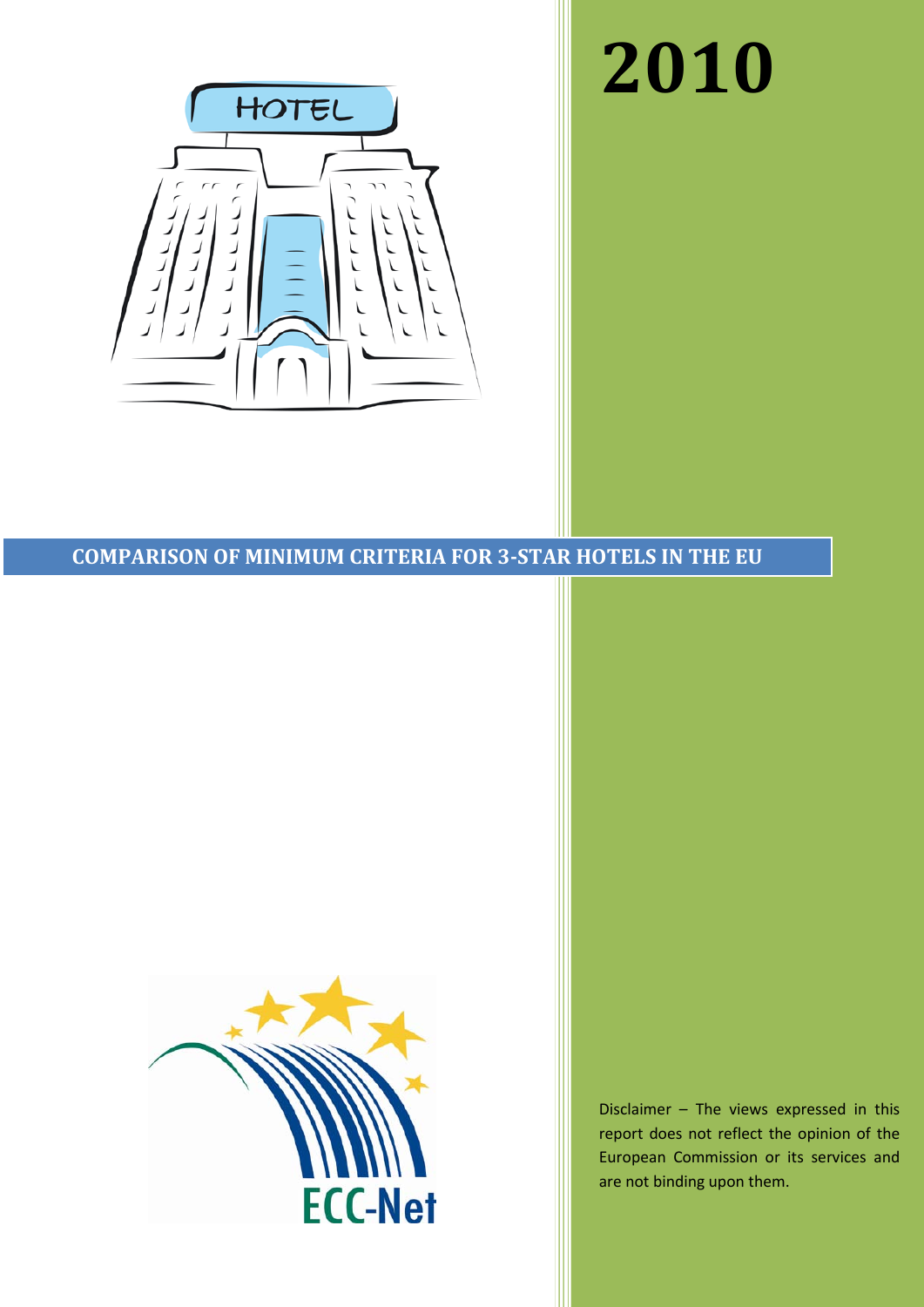# **2010**



# **COMPARISON OF MINIMUM CRITERIA FOR 3-STAR HOTELS IN THE EU**



Disclaimer – The views expressed in this report does not reflect the opinion of the European Commission or its services and are not binding upon them.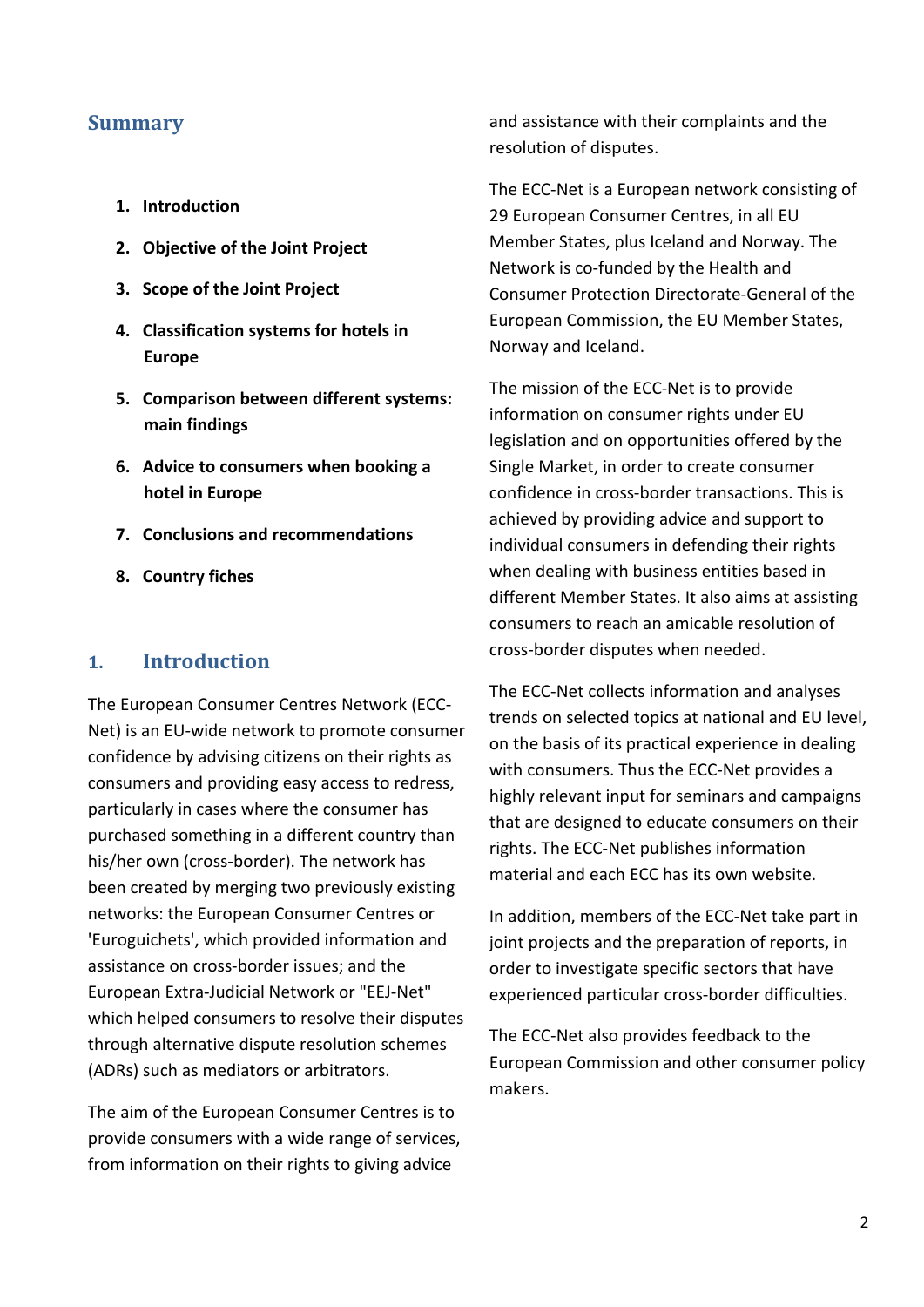## **Summary**

- **1. Introduction**
- **2. Objective of the Joint Project**
- **3. Scope of the Joint Project**
- **4. Classification systems for hotels in Europe**
- **5. Comparison between different systems: main findings**
- **6. Advice to consumers when booking a hotel in Europe**
- **7. Conclusions and recommendations**
- **8. Country fiches**

# **1. Introduction**

The European Consumer Centres Network (ECC-Net) is an EU-wide network to promote consumer confidence by advising citizens on their rights as consumers and providing easy access to redress, particularly in cases where the consumer has purchased something in a different country than his/her own (cross-border). The network has been created by merging two previously existing networks: the European Consumer Centres or 'Euroguichets', which provided information and assistance on cross-border issues; and the European Extra-Judicial Network or "EEJ-Net" which helped consumers to resolve their disputes through alternative dispute resolution schemes (ADRs) such as mediators or arbitrators.

The aim of the European Consumer Centres is to provide consumers with a wide range of services, from information on their rights to giving advice

and assistance with their complaints and the resolution of disputes.

The ECC-Net is a European network consisting of 29 European Consumer Centres, in all EU Member States, plus Iceland and Norway. The Network is co-funded by the Health and Consumer Protection Directorate-General of the European Commission, the EU Member States, Norway and Iceland.

The mission of the ECC-Net is to provide information on consumer rights under EU legislation and on opportunities offered by the Single Market, in order to create consumer confidence in cross-border transactions. This is achieved by providing advice and support to individual consumers in defending their rights when dealing with business entities based in different Member States. It also aims at assisting consumers to reach an amicable resolution of cross-border disputes when needed.

The ECC-Net collects information and analyses trends on selected topics at national and EU level, on the basis of its practical experience in dealing with consumers. Thus the ECC-Net provides a highly relevant input for seminars and campaigns that are designed to educate consumers on their rights. The ECC-Net publishes information material and each ECC has its own website.

In addition, members of the ECC-Net take part in joint projects and the preparation of reports, in order to investigate specific sectors that have experienced particular cross-border difficulties.

The ECC-Net also provides feedback to the European Commission and other consumer policy makers.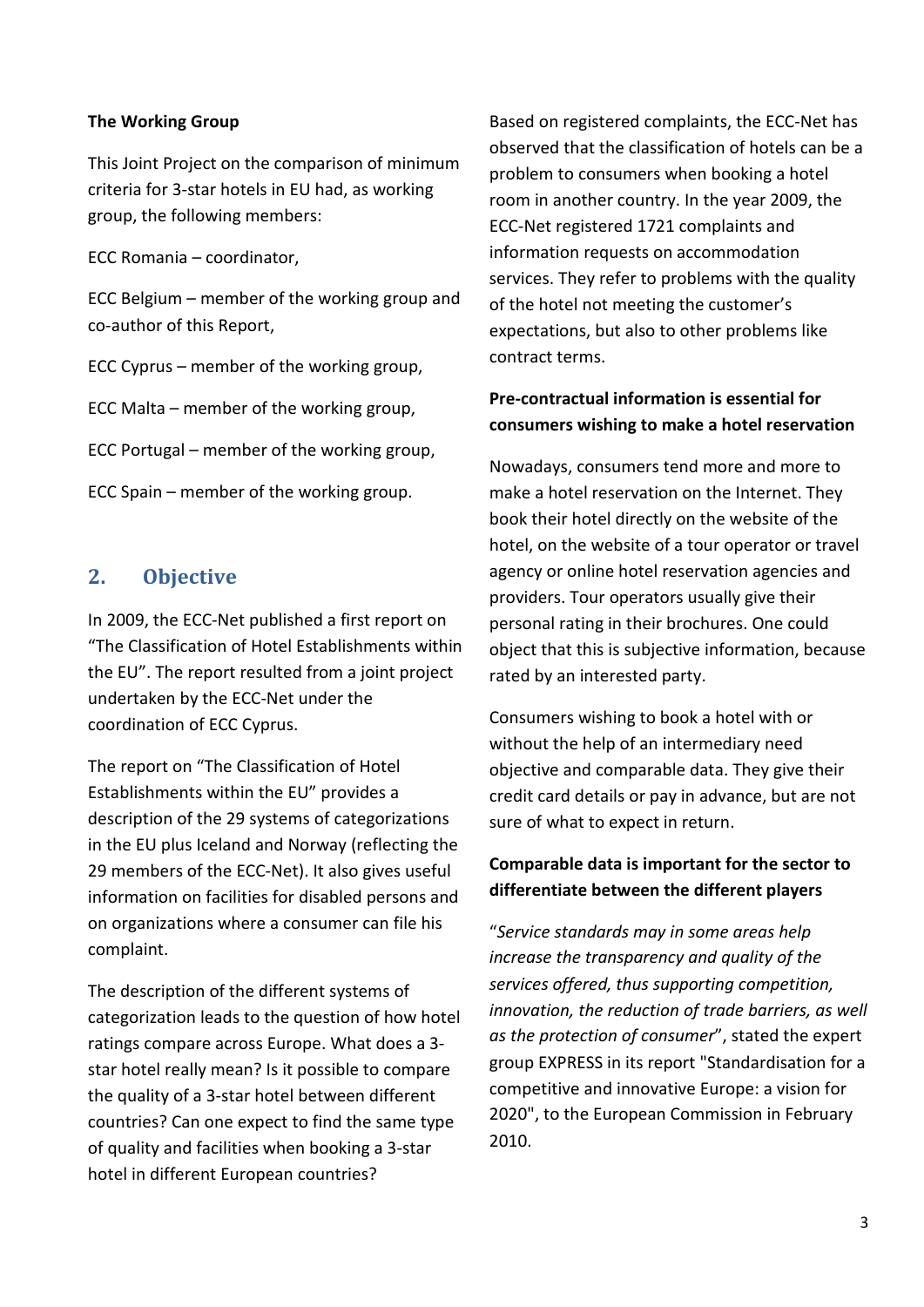#### **The Working Group**

This Joint Project on the comparison of minimum criteria for 3-star hotels in EU had, as working group, the following members:

ECC Romania – coordinator,

ECC Belgium – member of the working group and co-author of this Report,

ECC Cyprus – member of the working group,

ECC Malta – member of the working group,

ECC Portugal – member of the working group,

ECC Spain – member of the working group.

# **2. Objective**

In 2009, the ECC-Net published a first report on "The Classification of Hotel Establishments within the EU". The report resulted from a joint project undertaken by the ECC-Net under the coordination of ECC Cyprus.

The report on "The Classification of Hotel Establishments within the EU" provides a description of the 29 systems of categorizations in the EU plus Iceland and Norway (reflecting the 29 members of the ECC-Net). It also gives useful information on facilities for disabled persons and on organizations where a consumer can file his complaint.

The description of the different systems of categorization leads to the question of how hotel ratings compare across Europe. What does a 3 star hotel really mean? Is it possible to compare the quality of a 3-star hotel between different countries? Can one expect to find the same type of quality and facilities when booking a 3-star hotel in different European countries?

Based on registered complaints, the ECC-Net has observed that the classification of hotels can be a problem to consumers when booking a hotel room in another country. In the year 2009, the ECC-Net registered 1721 complaints and information requests on accommodation services. They refer to problems with the quality of the hotel not meeting the customer's expectations, but also to other problems like contract terms.

# **Pre-contractual information is essential for consumers wishing to make a hotel reservation**

Nowadays, consumers tend more and more to make a hotel reservation on the Internet. They book their hotel directly on the website of the hotel, on the website of a tour operator or travel agency or online hotel reservation agencies and providers. Tour operators usually give their personal rating in their brochures. One could object that this is subjective information, because rated by an interested party.

Consumers wishing to book a hotel with or without the help of an intermediary need objective and comparable data. They give their credit card details or pay in advance, but are not sure of what to expect in return.

# **Comparable data is important for the sector to differentiate between the different players**

"*Service standards may in some areas help increase the transparency and quality of the services offered, thus supporting competition, innovation, the reduction of trade barriers, as well as the protection of consumer*", stated the expert group EXPRESS in its report "Standardisation for a competitive and innovative Europe: a vision for 2020", to the European Commission in February 2010.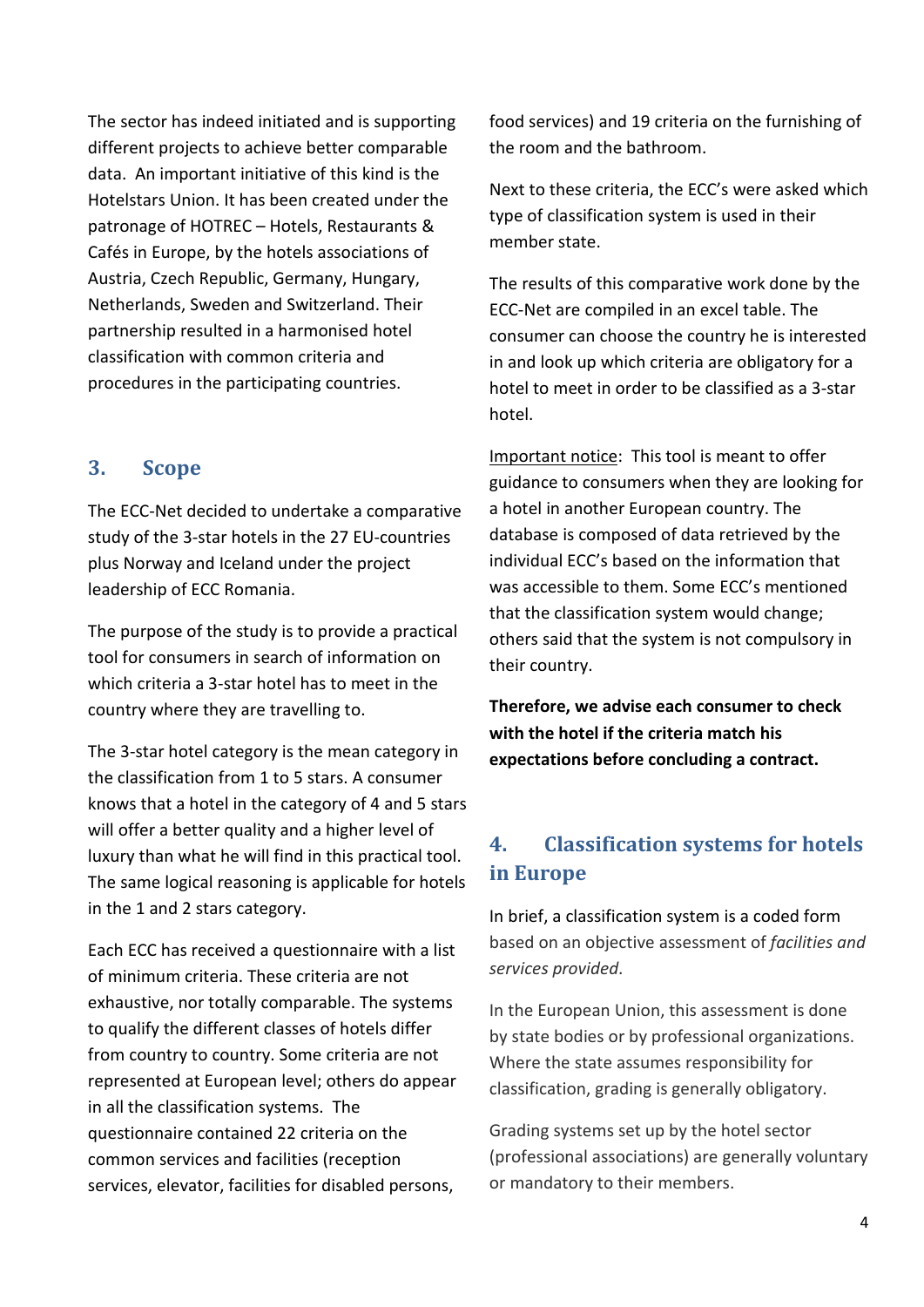The sector has indeed initiated and is supporting different projects to achieve better comparable data. An important initiative of this kind is the Hotelstars Union. It has been created under the patronage of HOTREC – Hotels, Restaurants & Cafés in Europe, by the hotels associations of Austria, Czech Republic, Germany, Hungary, Netherlands, Sweden and Switzerland. Their partnership resulted in a harmonised hotel classification with common criteria and procedures in the participating countries.

# **3. Scope**

The ECC-Net decided to undertake a comparative study of the 3-star hotels in the 27 EU-countries plus Norway and Iceland under the project leadership of ECC Romania.

The purpose of the study is to provide a practical tool for consumers in search of information on which criteria a 3-star hotel has to meet in the country where they are travelling to.

The 3-star hotel category is the mean category in the classification from 1 to 5 stars. A consumer knows that a hotel in the category of 4 and 5 stars will offer a better quality and a higher level of luxury than what he will find in this practical tool. The same logical reasoning is applicable for hotels in the 1 and 2 stars category.

Each ECC has received a questionnaire with a list of minimum criteria. These criteria are not exhaustive, nor totally comparable. The systems to qualify the different classes of hotels differ from country to country. Some criteria are not represented at European level; others do appear in all the classification systems. The questionnaire contained 22 criteria on the common services and facilities (reception services, elevator, facilities for disabled persons,

food services) and 19 criteria on the furnishing of the room and the bathroom.

Next to these criteria, the ECC's were asked which type of classification system is used in their member state.

The results of this comparative work done by the ECC-Net are compiled in an excel table. The consumer can choose the country he is interested in and look up which criteria are obligatory for a hotel to meet in order to be classified as a 3-star hotel.

Important notice: This tool is meant to offer guidance to consumers when they are looking for a hotel in another European country. The database is composed of data retrieved by the individual ECC's based on the information that was accessible to them. Some ECC's mentioned that the classification system would change; others said that the system is not compulsory in their country.

**Therefore, we advise each consumer to check with the hotel if the criteria match his expectations before concluding a contract.** 

# **4. Classification systems for hotels in Europe**

In brief, a classification system is a coded form based on an objective assessment of *facilities and services provided*.

In the European Union, this assessment is done by state bodies or by professional organizations. Where the state assumes responsibility for classification, grading is generally obligatory.

Grading systems set up by the hotel sector (professional associations) are generally voluntary or mandatory to their members.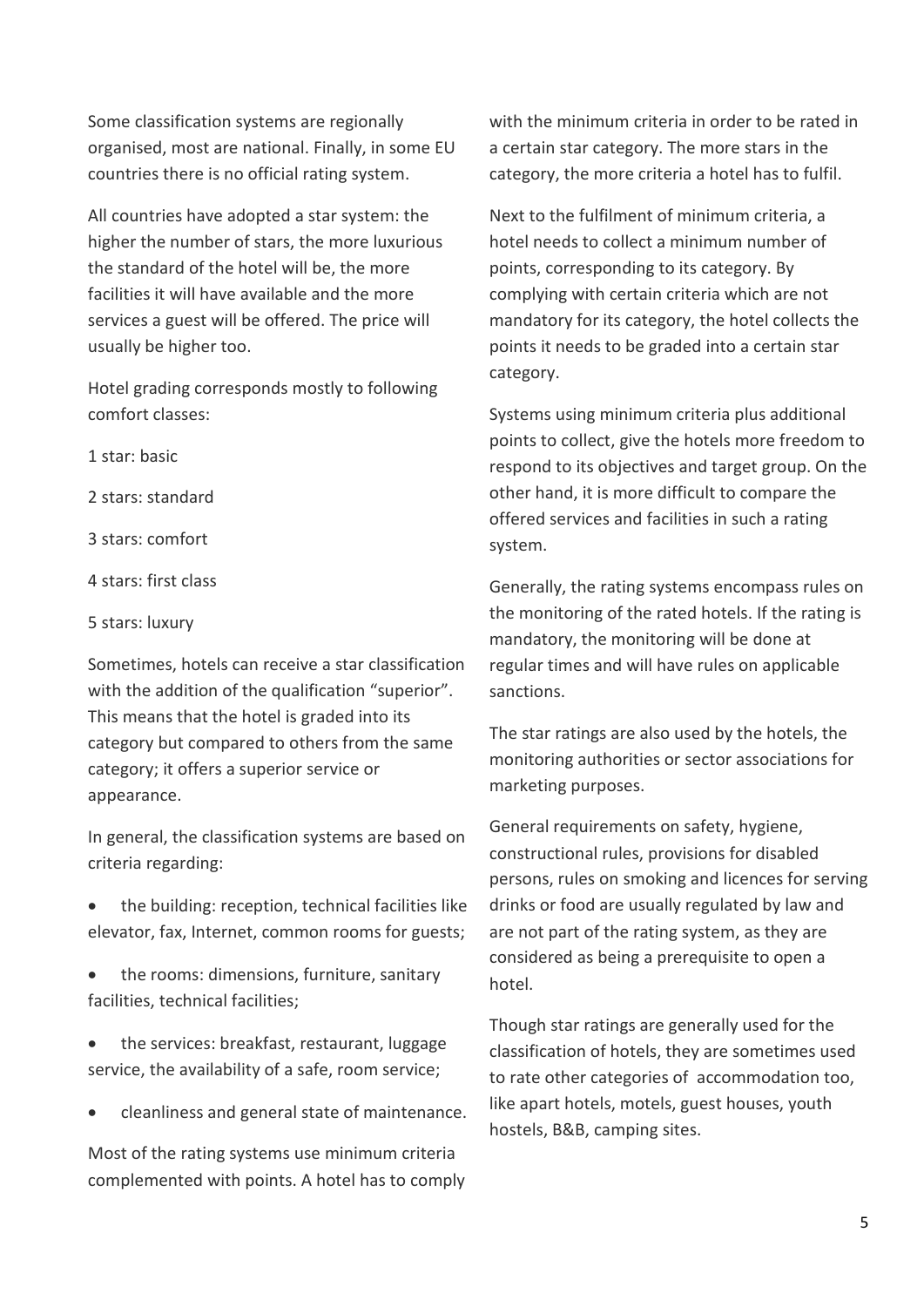Some classification systems are regionally organised, most are national. Finally, in some EU countries there is no official rating system.

All countries have adopted a star system: the higher the number of stars, the more luxurious the standard of the hotel will be, the more facilities it will have available and the more services a guest will be offered. The price will usually be higher too.

Hotel grading corresponds mostly to following comfort classes:

- 1 star: basic
- 2 stars: standard

3 stars: comfort

- 4 stars: first class
- 5 stars: luxury

Sometimes, hotels can receive a star classification with the addition of the qualification "superior". This means that the hotel is graded into its category but compared to others from the same category; it offers a superior service or appearance.

In general, the classification systems are based on criteria regarding:

- the building: reception, technical facilities like elevator, fax, Internet, common rooms for guests;
- the rooms: dimensions, furniture, sanitary facilities, technical facilities;
- the services: breakfast, restaurant, luggage service, the availability of a safe, room service;
- cleanliness and general state of maintenance.

Most of the rating systems use minimum criteria complemented with points. A hotel has to comply with the minimum criteria in order to be rated in a certain star category. The more stars in the category, the more criteria a hotel has to fulfil.

Next to the fulfilment of minimum criteria, a hotel needs to collect a minimum number of points, corresponding to its category. By complying with certain criteria which are not mandatory for its category, the hotel collects the points it needs to be graded into a certain star category.

Systems using minimum criteria plus additional points to collect, give the hotels more freedom to respond to its objectives and target group. On the other hand, it is more difficult to compare the offered services and facilities in such a rating system.

Generally, the rating systems encompass rules on the monitoring of the rated hotels. If the rating is mandatory, the monitoring will be done at regular times and will have rules on applicable sanctions.

The star ratings are also used by the hotels, the monitoring authorities or sector associations for marketing purposes.

General requirements on safety, hygiene, constructional rules, provisions for disabled persons, rules on smoking and licences for serving drinks or food are usually regulated by law and are not part of the rating system, as they are considered as being a prerequisite to open a hotel.

Though star ratings are generally used for the classification of hotels, they are sometimes used to rate other categories of accommodation too, like apart hotels, motels, guest houses, youth hostels, B&B, camping sites.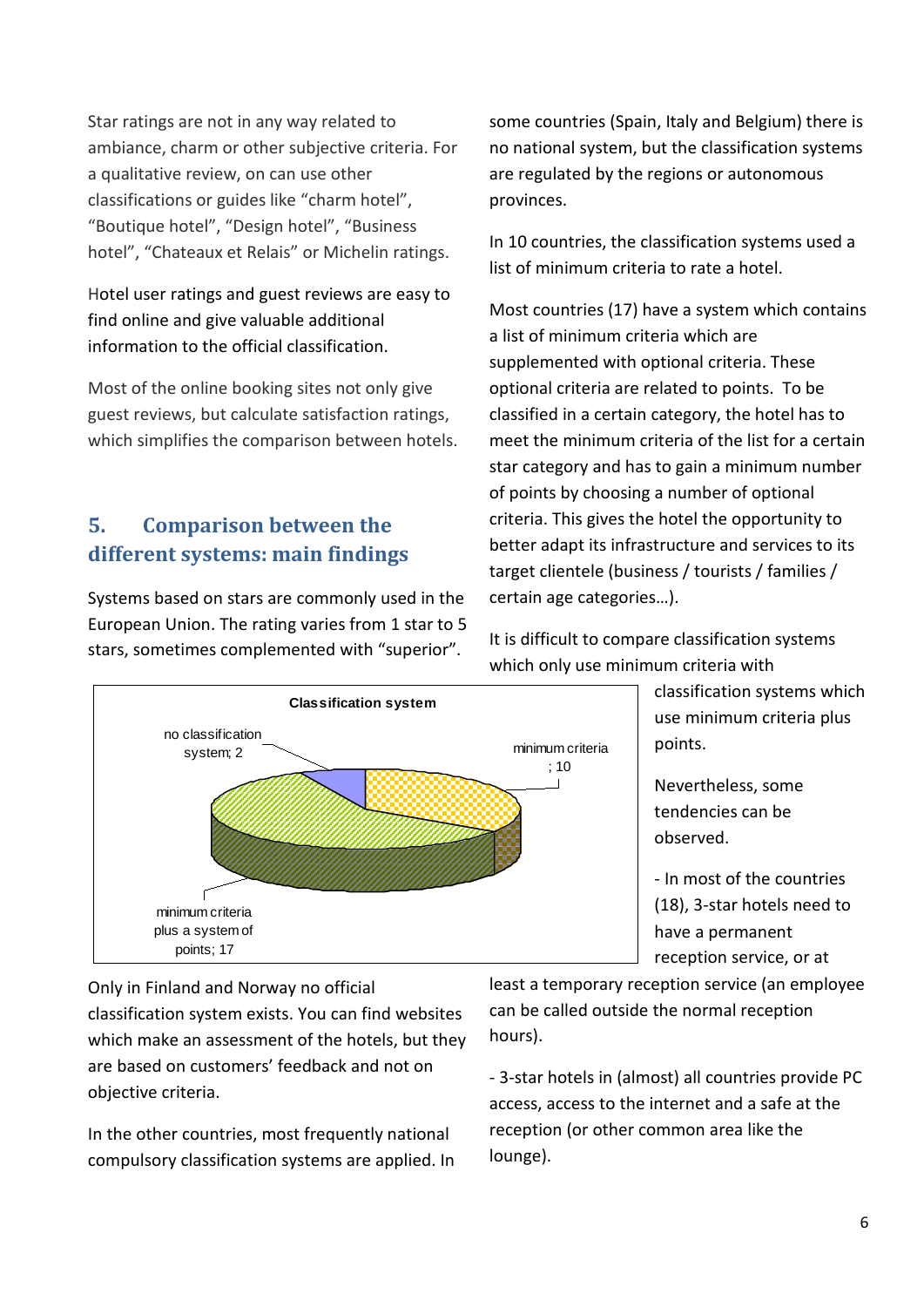Star ratings are not in any way related to ambiance, charm or other subjective criteria. For a qualitative review, on can use other classifications or guides like "charm hotel", "Boutique hotel", "Design hotel", "Business hotel", "Chateaux et Relais" or Michelin ratings.

Hotel user ratings and guest reviews are easy to find online and give valuable additional information to the official classification.

Most of the online booking sites not only give guest reviews, but calculate satisfaction ratings, which simplifies the comparison between hotels.

# **5. Comparison between the different systems: main findings**

Systems based on stars are commonly used in the European Union. The rating varies from 1 star to 5 stars, sometimes complemented with "superior".



some countries (Spain, Italy and Belgium) there is no national system, but the classification systems are regulated by the regions or autonomous provinces.

In 10 countries, the classification systems used a list of minimum criteria to rate a hotel.

Most countries (17) have a system which contains a list of minimum criteria which are supplemented with optional criteria. These optional criteria are related to points. To be classified in a certain category, the hotel has to meet the minimum criteria of the list for a certain star category and has to gain a minimum number of points by choosing a number of optional criteria. This gives the hotel the opportunity to better adapt its infrastructure and services to its target clientele (business / tourists / families / certain age categories…).

It is difficult to compare classification systems which only use minimum criteria with

> classification systems which use minimum criteria plus points.

Nevertheless, some tendencies can be observed.

- In most of the countries (18), 3-star hotels need to have a permanent reception service, or at

Only in Finland and Norway no official classification system exists. You can find websites which make an assessment of the hotels, but they are based on customers' feedback and not on objective criteria.

In the other countries, most frequently national compulsory classification systems are applied. In least a temporary reception service (an employee can be called outside the normal reception hours).

- 3-star hotels in (almost) all countries provide PC access, access to the internet and a safe at the reception (or other common area like the lounge).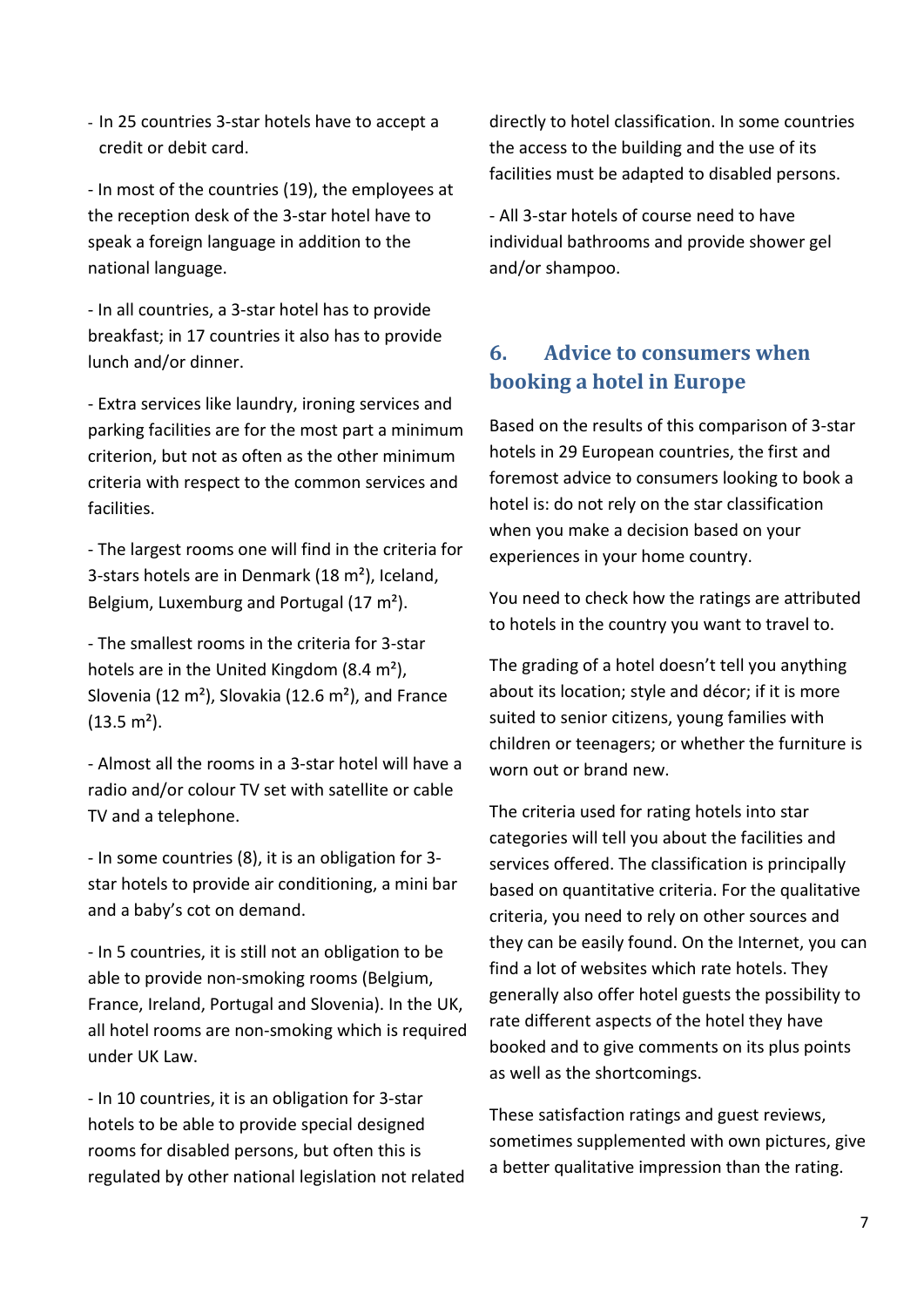- In 25 countries 3-star hotels have to accept a credit or debit card.

- In most of the countries (19), the employees at the reception desk of the 3-star hotel have to speak a foreign language in addition to the national language.

- In all countries, a 3-star hotel has to provide breakfast; in 17 countries it also has to provide lunch and/or dinner.

- Extra services like laundry, ironing services and parking facilities are for the most part a minimum criterion, but not as often as the other minimum criteria with respect to the common services and facilities.

- The largest rooms one will find in the criteria for 3-stars hotels are in Denmark (18 m²), Iceland, Belgium, Luxemburg and Portugal (17 m²).

- The smallest rooms in the criteria for 3-star hotels are in the United Kingdom (8.4 m<sup>2</sup>), Slovenia (12 m²), Slovakia (12.6 m²), and France  $(13.5 \text{ m}^2)$ .

- Almost all the rooms in a 3-star hotel will have a radio and/or colour TV set with satellite or cable TV and a telephone.

- In some countries (8), it is an obligation for 3 star hotels to provide air conditioning, a mini bar and a baby's cot on demand.

- In 5 countries, it is still not an obligation to be able to provide non-smoking rooms (Belgium, France, Ireland, Portugal and Slovenia). In the UK, all hotel rooms are non-smoking which is required under UK Law.

- In 10 countries, it is an obligation for 3-star hotels to be able to provide special designed rooms for disabled persons, but often this is regulated by other national legislation not related

directly to hotel classification. In some countries the access to the building and the use of its facilities must be adapted to disabled persons.

- All 3-star hotels of course need to have individual bathrooms and provide shower gel and/or shampoo.

# **6. Advice to consumers when booking a hotel in Europe**

Based on the results of this comparison of 3-star hotels in 29 European countries, the first and foremost advice to consumers looking to book a hotel is: do not rely on the star classification when you make a decision based on your experiences in your home country.

You need to check how the ratings are attributed to hotels in the country you want to travel to.

The grading of a hotel doesn't tell you anything about its location; style and décor; if it is more suited to senior citizens, young families with children or teenagers; or whether the furniture is worn out or brand new.

The criteria used for rating hotels into star categories will tell you about the facilities and services offered. The classification is principally based on quantitative criteria. For the qualitative criteria, you need to rely on other sources and they can be easily found. On the Internet, you can find a lot of websites which rate hotels. They generally also offer hotel guests the possibility to rate different aspects of the hotel they have booked and to give comments on its plus points as well as the shortcomings.

These satisfaction ratings and guest reviews, sometimes supplemented with own pictures, give a better qualitative impression than the rating.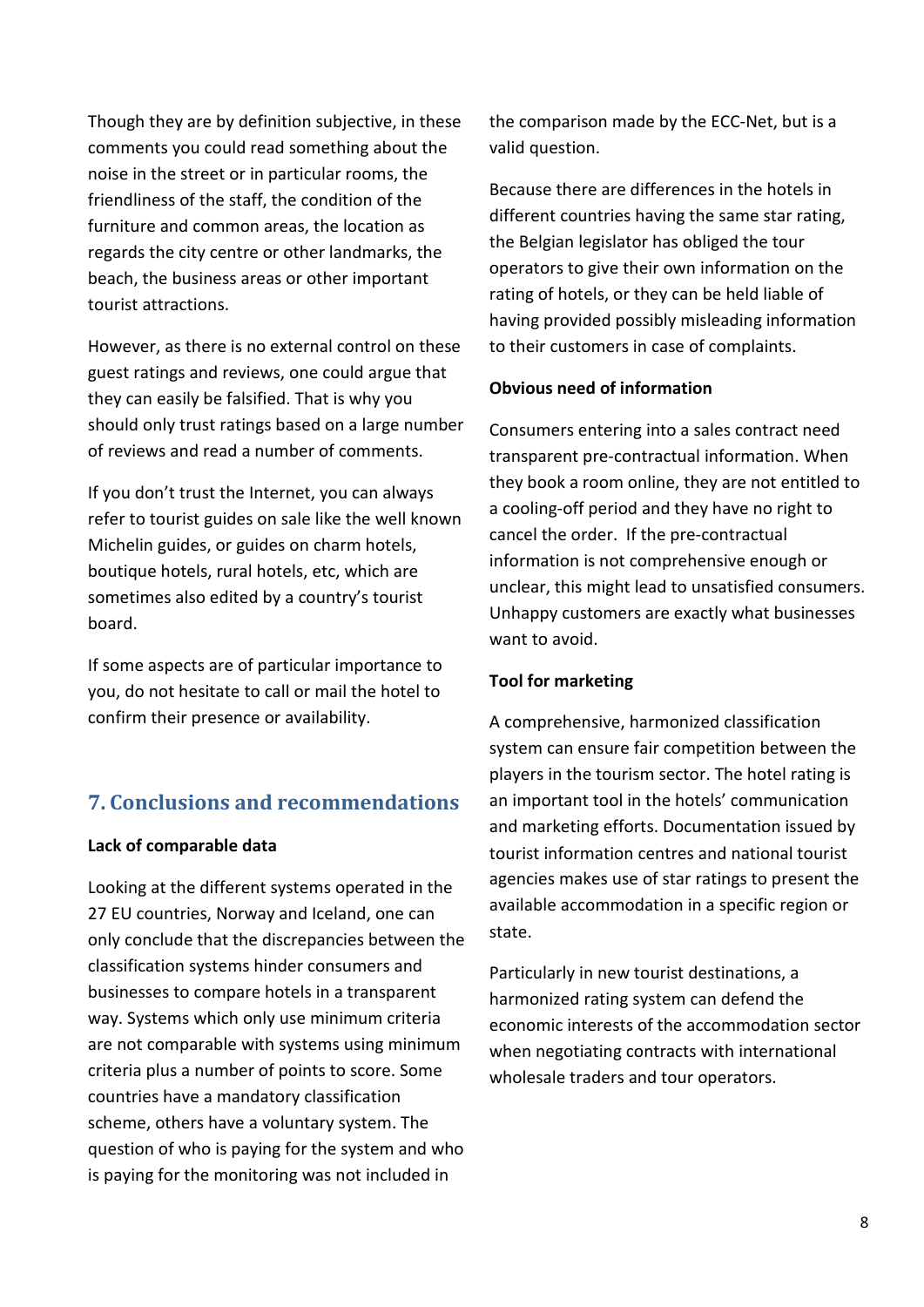Though they are by definition subjective, in these comments you could read something about the noise in the street or in particular rooms, the friendliness of the staff, the condition of the furniture and common areas, the location as regards the city centre or other landmarks, the beach, the business areas or other important tourist attractions.

However, as there is no external control on these guest ratings and reviews, one could argue that they can easily be falsified. That is why you should only trust ratings based on a large number of reviews and read a number of comments.

If you don't trust the Internet, you can always refer to tourist guides on sale like the well known Michelin guides, or guides on charm hotels, boutique hotels, rural hotels, etc, which are sometimes also edited by a country's tourist board.

If some aspects are of particular importance to you, do not hesitate to call or mail the hotel to confirm their presence or availability.

# **7. Conclusions and recommendations**

#### **Lack of comparable data**

Looking at the different systems operated in the 27 EU countries, Norway and Iceland, one can only conclude that the discrepancies between the classification systems hinder consumers and businesses to compare hotels in a transparent way. Systems which only use minimum criteria are not comparable with systems using minimum criteria plus a number of points to score. Some countries have a mandatory classification scheme, others have a voluntary system. The question of who is paying for the system and who is paying for the monitoring was not included in

the comparison made by the ECC-Net, but is a valid question.

Because there are differences in the hotels in different countries having the same star rating, the Belgian legislator has obliged the tour operators to give their own information on the rating of hotels, or they can be held liable of having provided possibly misleading information to their customers in case of complaints.

#### **Obvious need of information**

Consumers entering into a sales contract need transparent pre-contractual information. When they book a room online, they are not entitled to a cooling-off period and they have no right to cancel the order. If the pre-contractual information is not comprehensive enough or unclear, this might lead to unsatisfied consumers. Unhappy customers are exactly what businesses want to avoid.

#### **Tool for marketing**

A comprehensive, harmonized classification system can ensure fair competition between the players in the tourism sector. The hotel rating is an important tool in the hotels' communication and marketing efforts. Documentation issued by tourist information centres and national tourist agencies makes use of star ratings to present the available accommodation in a specific region or state.

Particularly in new tourist destinations, a harmonized rating system can defend the economic interests of the accommodation sector when negotiating contracts with international wholesale traders and tour operators.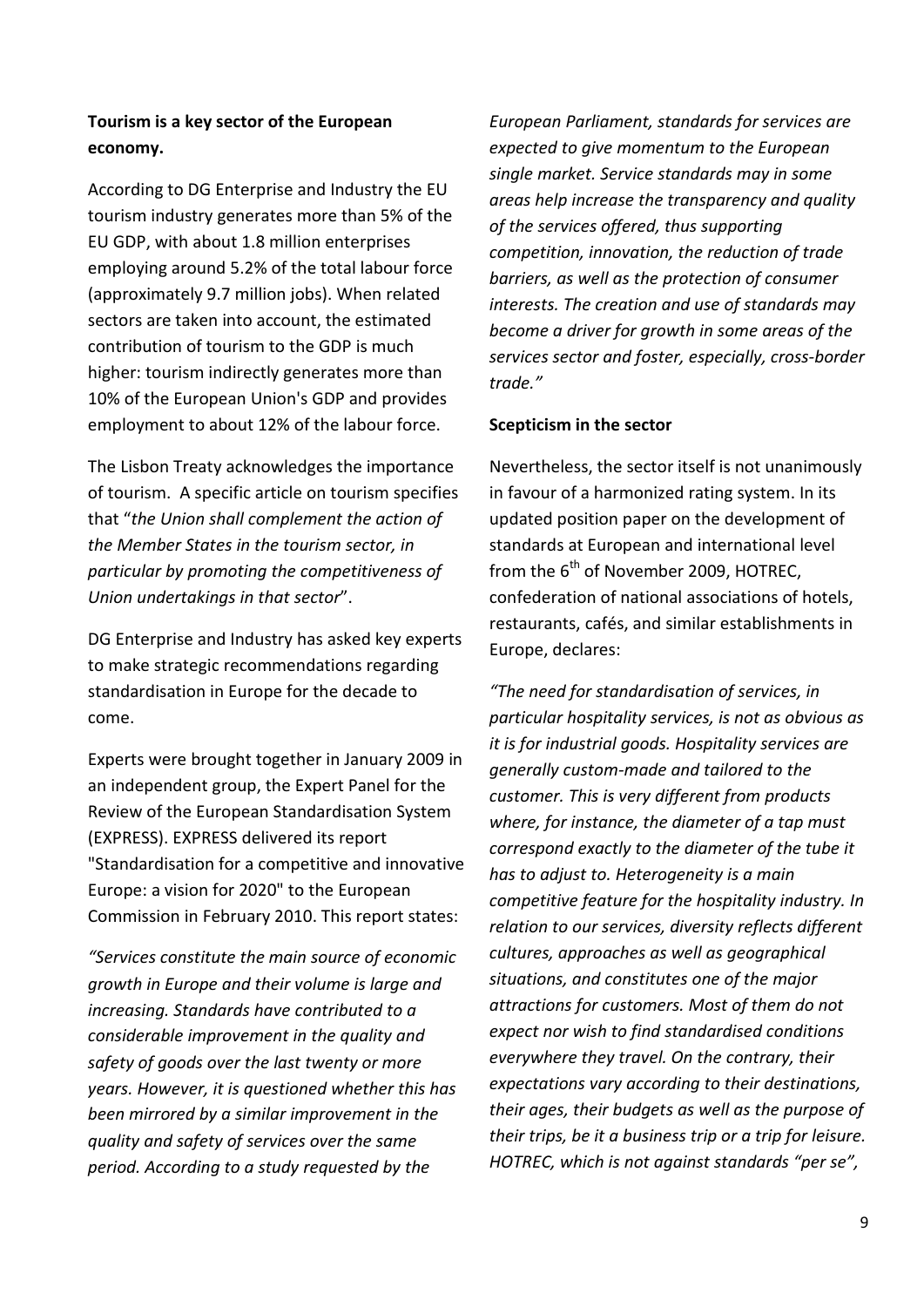## **Tourism is a key sector of the European economy.**

According to DG Enterprise and Industry the EU tourism industry generates more than 5% of the EU GDP, with about 1.8 million enterprises employing around 5.2% of the total labour force (approximately 9.7 million jobs). When related sectors are taken into account, the estimated contribution of tourism to the GDP is much higher: tourism indirectly generates more than 10% of the European Union's GDP and provides employment to about 12% of the labour force.

The Lisbon Treaty acknowledges the importance of tourism. A specific article on tourism specifies that "*the Union shall complement the action of the Member States in the tourism sector, in particular by promoting the competitiveness of Union undertakings in that sector*".

DG Enterprise and Industry has asked key experts to make strategic recommendations regarding standardisation in Europe for the decade to come.

Experts were brought together in January 2009 in an independent group, the Expert Panel for the Review of the European Standardisation System (EXPRESS). EXPRESS delivered its report "Standardisation for a competitive and innovative Europe: a vision for 2020" to the European Commission in February 2010. This report states:

*"Services constitute the main source of economic growth in Europe and their volume is large and increasing. Standards have contributed to a considerable improvement in the quality and safety of goods over the last twenty or more years. However, it is questioned whether this has been mirrored by a similar improvement in the quality and safety of services over the same period. According to a study requested by the* 

*European Parliament, standards for services are expected to give momentum to the European single market. Service standards may in some areas help increase the transparency and quality of the services offered, thus supporting competition, innovation, the reduction of trade barriers, as well as the protection of consumer interests. The creation and use of standards may become a driver for growth in some areas of the services sector and foster, especially, cross-border trade."*

#### **Scepticism in the sector**

Nevertheless, the sector itself is not unanimously in favour of a harmonized rating system. In its updated position paper on the development of standards at European and international level from the  $6<sup>th</sup>$  of November 2009, HOTREC. confederation of national associations of hotels, restaurants, cafés, and similar establishments in Europe, declares:

*"The need for standardisation of services, in particular hospitality services, is not as obvious as it is for industrial goods. Hospitality services are generally custom-made and tailored to the customer. This is very different from products where, for instance, the diameter of a tap must correspond exactly to the diameter of the tube it has to adjust to. Heterogeneity is a main competitive feature for the hospitality industry. In relation to our services, diversity reflects different cultures, approaches as well as geographical situations, and constitutes one of the major attractions for customers. Most of them do not expect nor wish to find standardised conditions everywhere they travel. On the contrary, their expectations vary according to their destinations, their ages, their budgets as well as the purpose of their trips, be it a business trip or a trip for leisure. HOTREC, which is not against standards "per se",*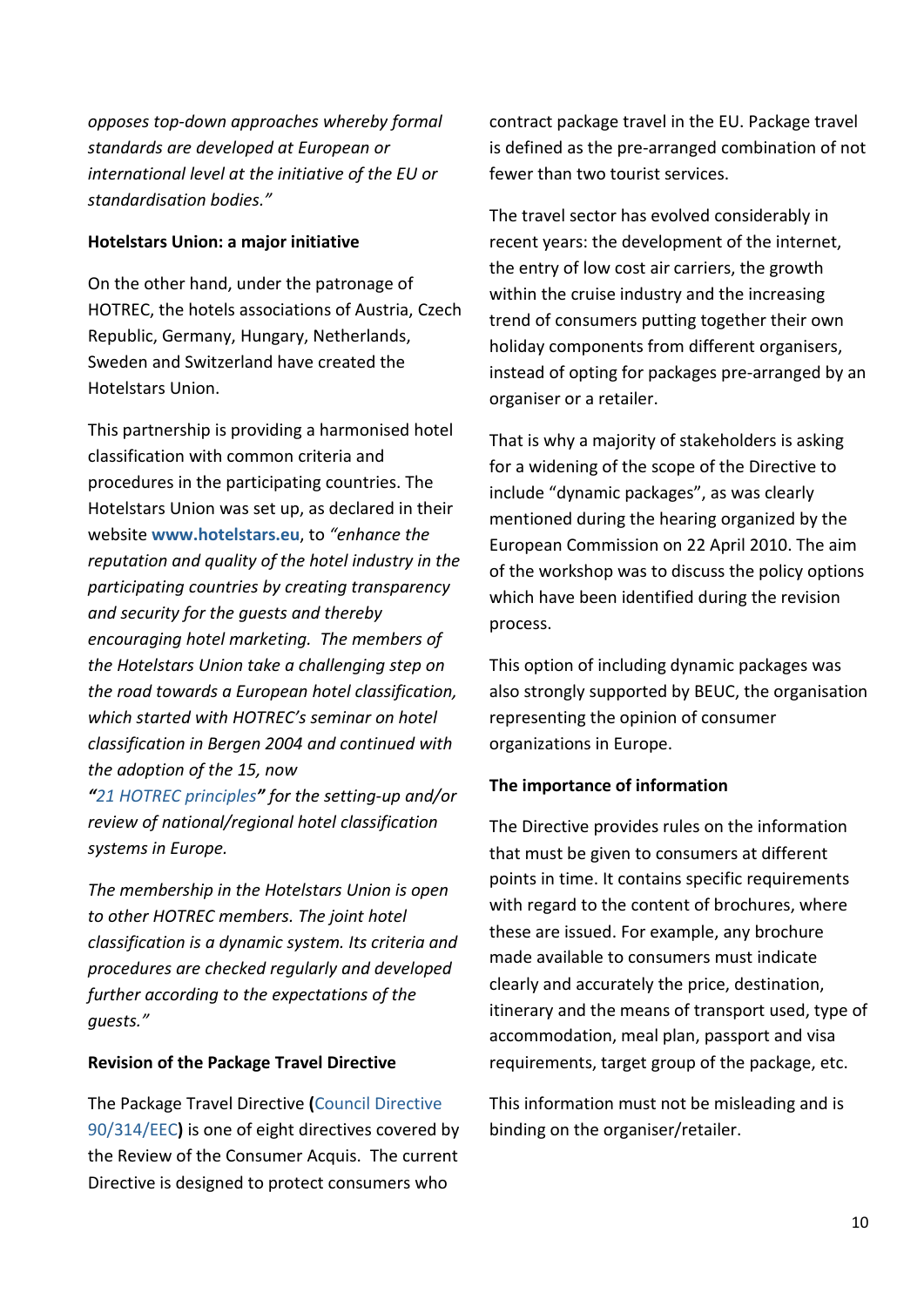*opposes top-down approaches whereby formal standards are developed at European or international level at the initiative of the EU or standardisation bodies."*

#### **Hotelstars Union: a major initiative**

On the other hand, under the patronage of HOTREC, the hotels associations of Austria, Czech Republic, Germany, Hungary, Netherlands, Sweden and Switzerland have created the Hotelstars Union.

This partnership is providing a harmonised hotel classification with common criteria and procedures in the participating countries. The Hotelstars Union was set up, as declared in their website **[www.hotelstars.eu](http://www.hotelstars.eu/)**, to *"enhance the reputation and quality of the hotel industry in the participating countries by creating transparency and security for the guests and thereby encouraging hotel marketing. The members of the Hotelstars Union take a challenging step on the road towards a European hotel classification, which started with HOTREC's seminar on hotel classification in Bergen 2004 and continued with the adoption of the 15, now "21 HOTREC [principles](http://www.hotelstars.eu/en/?open=Hotrec)" for the setting-up and/or review of national/regional hotel classification* 

*systems in Europe.*

*The membership in the Hotelstars Union is open to other HOTREC members. The joint hotel classification is a dynamic system. Its criteria and procedures are checked regularly and developed further according to the expectations of the guests."*

## **Revision of the Package Travel Directive**

The Package Travel Directive **(**[Council Directive](http://eur-lex.europa.eu/LexUriServ/LexUriServ.do?uri=CELEX:31990L0314:EN:NOT)  [90/314/EEC](http://eur-lex.europa.eu/LexUriServ/LexUriServ.do?uri=CELEX:31990L0314:EN:NOT)**)** is one of eight directives covered by the Review of the Consumer Acquis. The current Directive is designed to protect consumers who

contract package travel in the EU. Package travel is defined as the pre-arranged combination of not fewer than two tourist services.

The travel sector has evolved considerably in recent years: the development of the internet, the entry of low cost air carriers, the growth within the cruise industry and the increasing trend of consumers putting together their own holiday components from different organisers, instead of opting for packages pre-arranged by an organiser or a retailer.

That is why a majority of stakeholders is asking for a widening of the scope of the Directive to include "dynamic packages", as was clearly mentioned during the hearing organized by the European Commission on 22 April 2010. The aim of the workshop was to discuss the policy options which have been identified during the revision process.

This option of including dynamic packages was also strongly supported by BEUC, the organisation representing the opinion of consumer organizations in Europe.

## **The importance of information**

The Directive provides rules on the information that must be given to consumers at different points in time. It contains specific requirements with regard to the content of brochures, where these are issued. For example, any brochure made available to consumers must indicate clearly and accurately the price, destination, itinerary and the means of transport used, type of accommodation, meal plan, passport and visa requirements, target group of the package, etc.

This information must not be misleading and is binding on the organiser/retailer.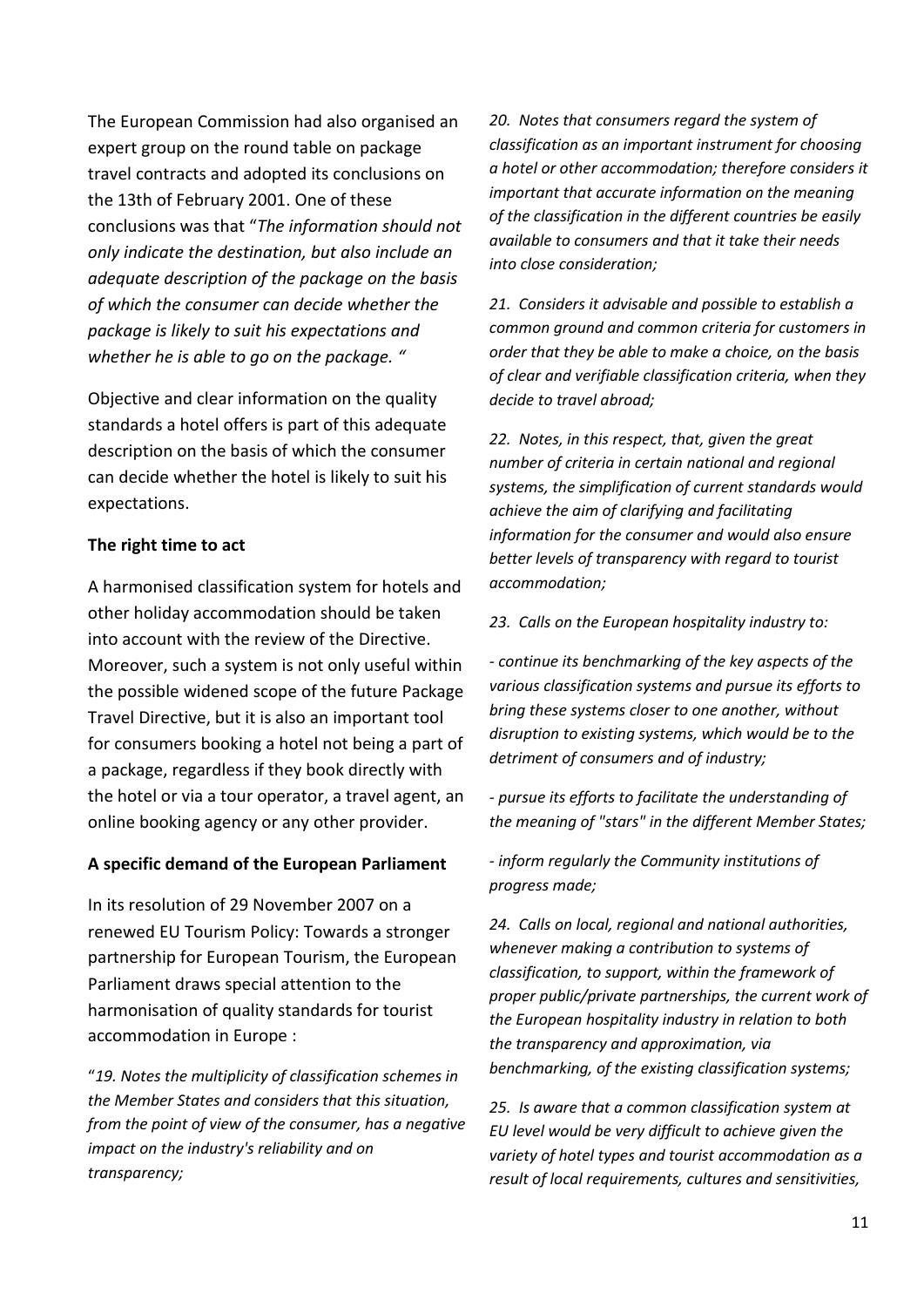The European Commission had also organised an expert group on the round table on package travel contracts and adopted its conclusions on the 13th of February 2001. One of these conclusions was that "*The information should not only indicate the destination, but also include an adequate description of the package on the basis of which the consumer can decide whether the package is likely to suit his expectations and whether he is able to go on the package. "*

Objective and clear information on the quality standards a hotel offers is part of this adequate description on the basis of which the consumer can decide whether the hotel is likely to suit his expectations.

#### **The right time to act**

A harmonised classification system for hotels and other holiday accommodation should be taken into account with the review of the Directive. Moreover, such a system is not only useful within the possible widened scope of the future Package Travel Directive, but it is also an important tool for consumers booking a hotel not being a part of a package, regardless if they book directly with the hotel or via a tour operator, a travel agent, an online booking agency or any other provider.

## **A specific demand of the European Parliament**

In its resolution of 29 November 2007 on a renewed EU Tourism Policy: Towards a stronger partnership for European Tourism, the European Parliament draws special attention to the harmonisation of quality standards for tourist accommodation in Europe :

"*19. Notes the multiplicity of classification schemes in the Member States and considers that this situation, from the point of view of the consumer, has a negative impact on the industry's reliability and on transparency;*

*20. Notes that consumers regard the system of classification as an important instrument for choosing a hotel or other accommodation; therefore considers it important that accurate information on the meaning of the classification in the different countries be easily available to consumers and that it take their needs into close consideration;*

*21. Considers it advisable and possible to establish a common ground and common criteria for customers in order that they be able to make a choice, on the basis of clear and verifiable classification criteria, when they decide to travel abroad;*

*22. Notes, in this respect, that, given the great number of criteria in certain national and regional systems, the simplification of current standards would achieve the aim of clarifying and facilitating information for the consumer and would also ensure better levels of transparency with regard to tourist accommodation;*

*23. Calls on the European hospitality industry to:*

*- continue its benchmarking of the key aspects of the various classification systems and pursue its efforts to bring these systems closer to one another, without disruption to existing systems, which would be to the detriment of consumers and of industry;*

*- pursue its efforts to facilitate the understanding of the meaning of "stars" in the different Member States;*

*- inform regularly the Community institutions of progress made;*

*24. Calls on local, regional and national authorities, whenever making a contribution to systems of classification, to support, within the framework of proper public/private partnerships, the current work of the European hospitality industry in relation to both the transparency and approximation, via benchmarking, of the existing classification systems;*

*25. Is aware that a common classification system at EU level would be very difficult to achieve given the variety of hotel types and tourist accommodation as a result of local requirements, cultures and sensitivities,*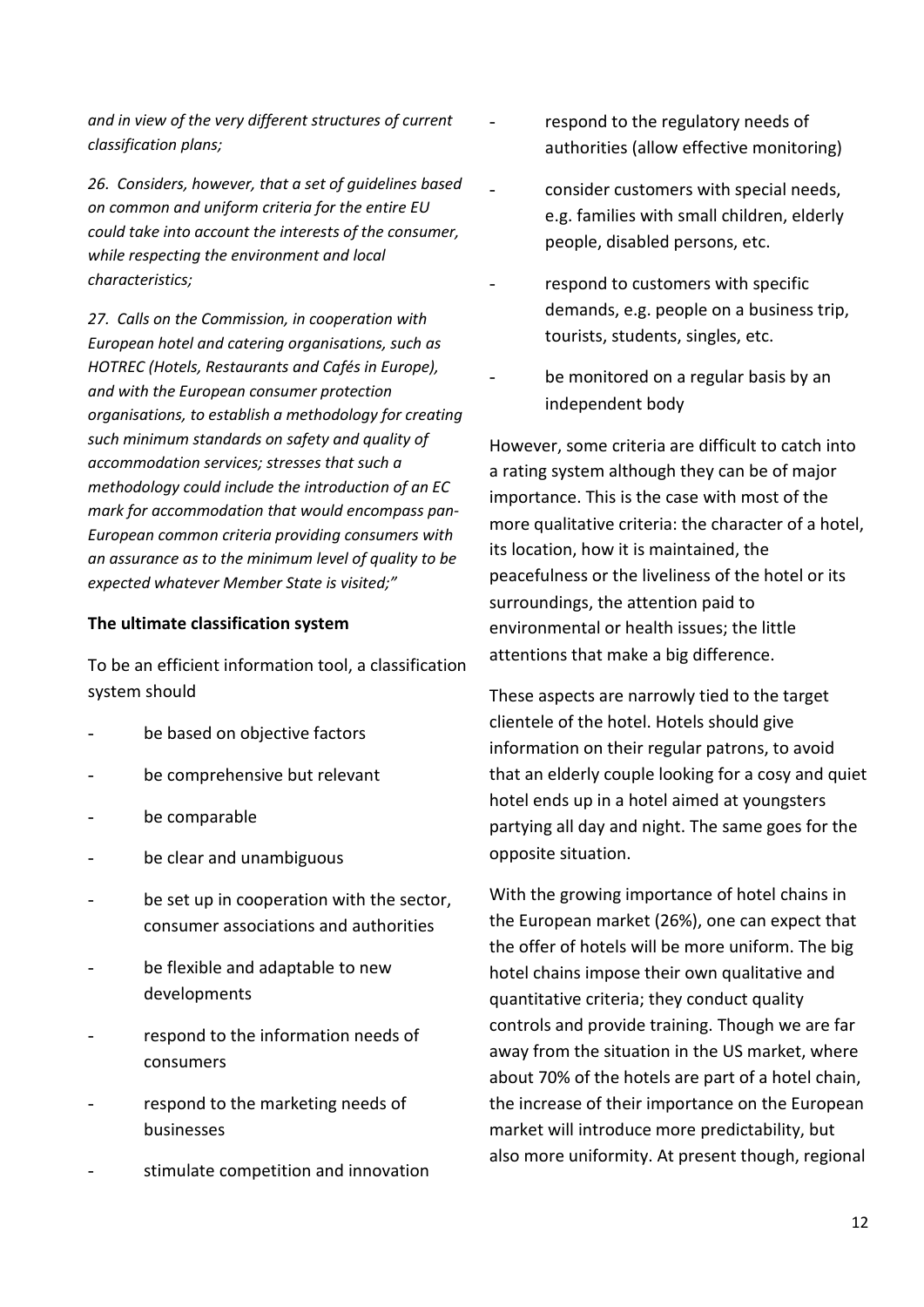*and in view of the very different structures of current classification plans;*

*26. Considers, however, that a set of guidelines based on common and uniform criteria for the entire EU could take into account the interests of the consumer, while respecting the environment and local characteristics;*

*27. Calls on the Commission, in cooperation with European hotel and catering organisations, such as HOTREC (Hotels, Restaurants and Cafés in Europe), and with the European consumer protection organisations, to establish a methodology for creating such minimum standards on safety and quality of accommodation services; stresses that such a methodology could include the introduction of an EC mark for accommodation that would encompass pan-European common criteria providing consumers with an assurance as to the minimum level of quality to be expected whatever Member State is visited;"*

#### **The ultimate classification system**

To be an efficient information tool, a classification system should

- be based on objective factors
- be comprehensive but relevant
- be comparable
- be clear and unambiguous
- be set up in cooperation with the sector, consumer associations and authorities
- be flexible and adaptable to new developments
- respond to the information needs of consumers
- respond to the marketing needs of businesses
- stimulate competition and innovation
- respond to the regulatory needs of authorities (allow effective monitoring)
	- consider customers with special needs, e.g. families with small children, elderly people, disabled persons, etc.
- respond to customers with specific demands, e.g. people on a business trip, tourists, students, singles, etc.
- be monitored on a regular basis by an independent body

However, some criteria are difficult to catch into a rating system although they can be of major importance. This is the case with most of the more qualitative criteria: the character of a hotel, its location, how it is maintained, the peacefulness or the liveliness of the hotel or its surroundings, the attention paid to environmental or health issues; the little attentions that make a big difference.

These aspects are narrowly tied to the target clientele of the hotel. Hotels should give information on their regular patrons, to avoid that an elderly couple looking for a cosy and quiet hotel ends up in a hotel aimed at youngsters partying all day and night. The same goes for the opposite situation.

With the growing importance of hotel chains in the European market (26%), one can expect that the offer of hotels will be more uniform. The big hotel chains impose their own qualitative and quantitative criteria; they conduct quality controls and provide training. Though we are far away from the situation in the US market, where about 70% of the hotels are part of a hotel chain, the increase of their importance on the European market will introduce more predictability, but also more uniformity. At present though, regional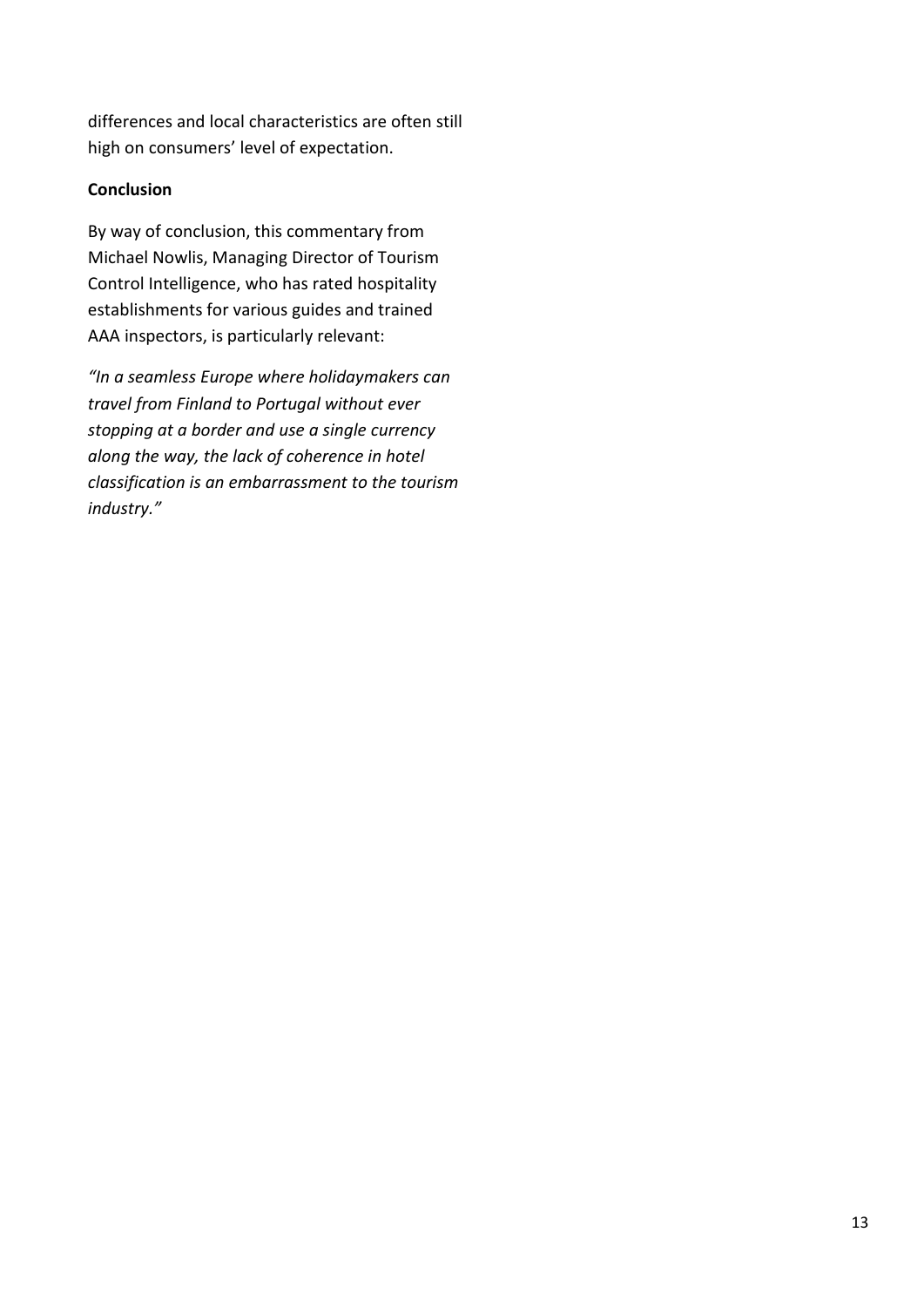differences and local characteristics are often still high on consumers' level of expectation.

# **Conclusion**

By way of conclusion, this commentary from Michael Nowlis, Managing Director of Tourism Control Intelligence, who has rated hospitality establishments for various guides and trained AAA inspectors, is particularly relevant:

*"In a seamless Europe where holidaymakers can travel from Finland to Portugal without ever stopping at a border and use a single currency along the way, the lack of coherence in hotel classification is an embarrassment to the tourism industry."*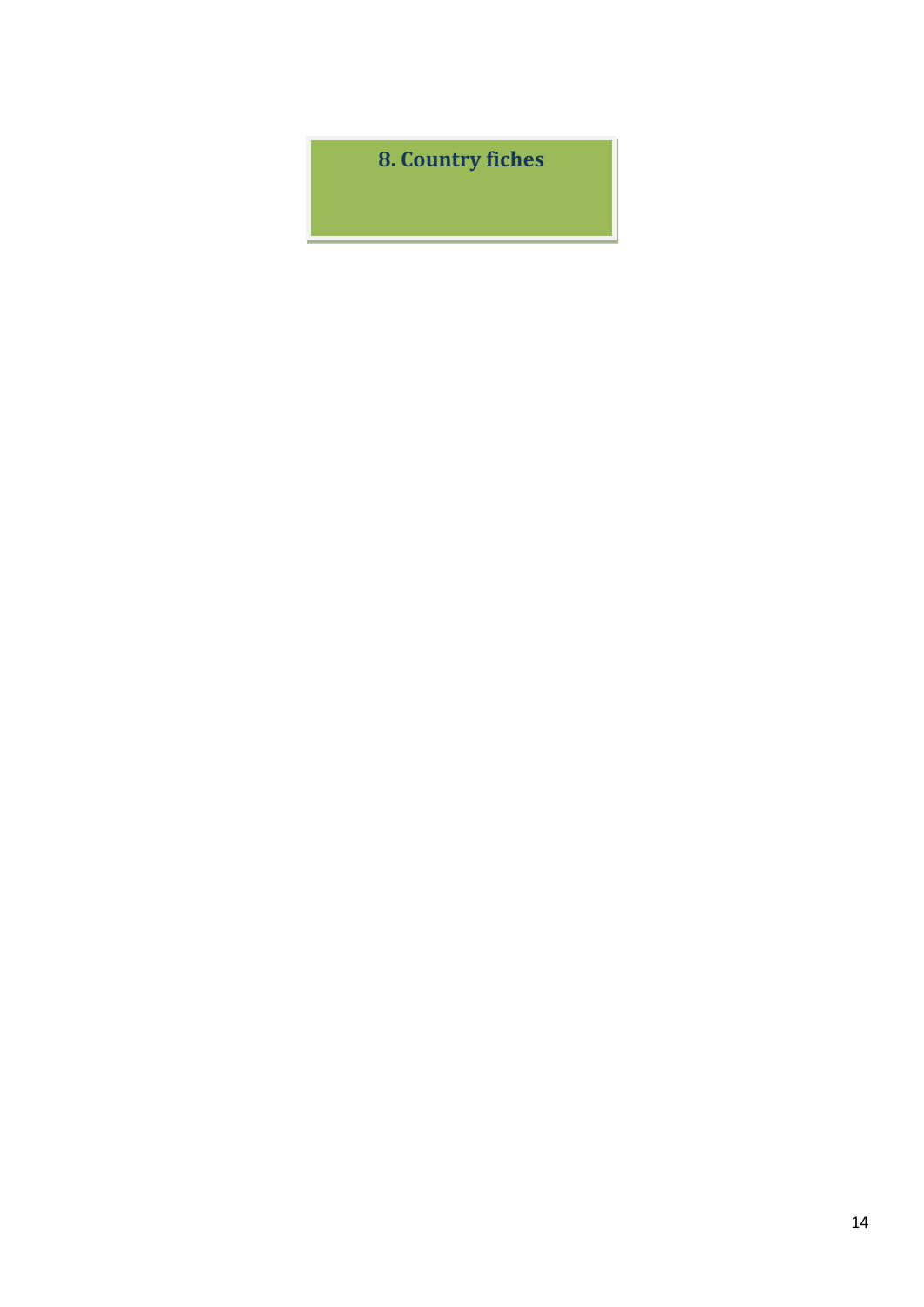**8. Country fiches**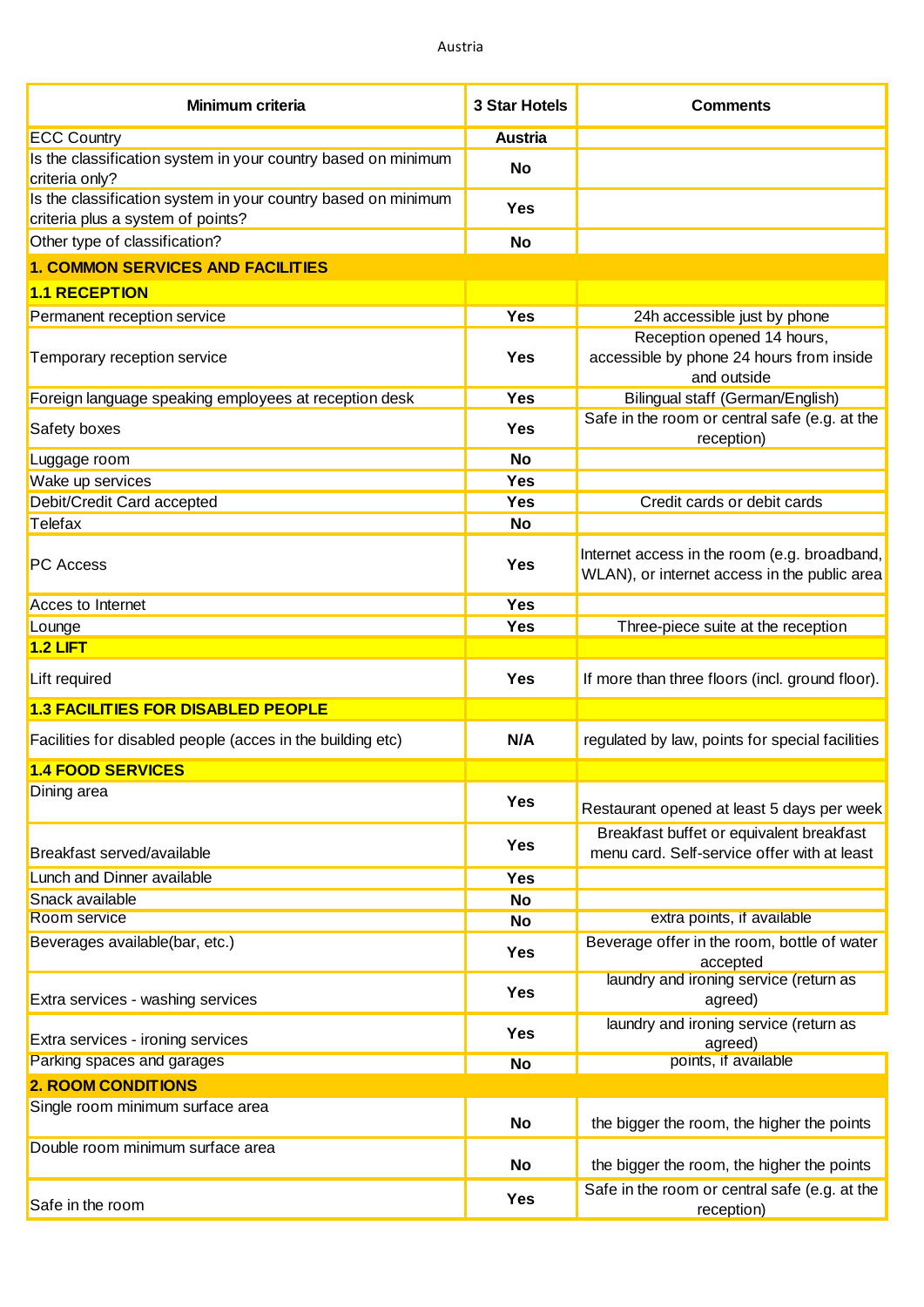| <b>Minimum criteria</b>                                                                            | <b>3 Star Hotels</b> | <b>Comments</b>                                                                              |
|----------------------------------------------------------------------------------------------------|----------------------|----------------------------------------------------------------------------------------------|
| <b>ECC Country</b>                                                                                 | <b>Austria</b>       |                                                                                              |
| Is the classification system in your country based on minimum<br>criteria only?                    | <b>No</b>            |                                                                                              |
| Is the classification system in your country based on minimum<br>criteria plus a system of points? | Yes                  |                                                                                              |
| Other type of classification?                                                                      | <b>No</b>            |                                                                                              |
| <b>1. COMMON SERVICES AND FACILITIES</b>                                                           |                      |                                                                                              |
| <b>1.1 RECEPTION</b>                                                                               |                      |                                                                                              |
| Permanent reception service                                                                        | <b>Yes</b>           | 24h accessible just by phone                                                                 |
| Temporary reception service                                                                        | <b>Yes</b>           | Reception opened 14 hours,<br>accessible by phone 24 hours from inside<br>and outside        |
| Foreign language speaking employees at reception desk                                              | <b>Yes</b>           | Bilingual staff (German/English)                                                             |
| Safety boxes                                                                                       | Yes                  | Safe in the room or central safe (e.g. at the<br>reception)                                  |
| Luggage room                                                                                       | <b>No</b>            |                                                                                              |
| Wake up services                                                                                   | Yes                  |                                                                                              |
| Debit/Credit Card accepted                                                                         | Yes                  | Credit cards or debit cards                                                                  |
| Telefax                                                                                            | <b>No</b>            |                                                                                              |
| <b>PC Access</b>                                                                                   | <b>Yes</b>           | Internet access in the room (e.g. broadband,<br>WLAN), or internet access in the public area |
| Acces to Internet                                                                                  | <b>Yes</b>           |                                                                                              |
| Lounge                                                                                             | Yes                  | Three-piece suite at the reception                                                           |
| <b>1.2 LIFT</b>                                                                                    |                      |                                                                                              |
| Lift required                                                                                      | <b>Yes</b>           | If more than three floors (incl. ground floor).                                              |
| <b>1.3 FACILITIES FOR DISABLED PEOPLE</b>                                                          |                      |                                                                                              |
| Facilities for disabled people (acces in the building etc)                                         | N/A                  | regulated by law, points for special facilities                                              |
| <b>1.4 FOOD SERVICES</b>                                                                           |                      |                                                                                              |
| Dining area                                                                                        | <b>Yes</b>           | Restaurant opened at least 5 days per week                                                   |
| Breakfast served/available                                                                         | <b>Yes</b>           | Breakfast buffet or equivalent breakfast<br>menu card. Self-service offer with at least      |
| Lunch and Dinner available                                                                         | <b>Yes</b>           |                                                                                              |
| Snack available                                                                                    | <b>No</b>            |                                                                                              |
| Room service                                                                                       | <b>No</b>            | extra points, if available                                                                   |
| Beverages available(bar, etc.)                                                                     | <b>Yes</b>           | Beverage offer in the room, bottle of water<br>accepted                                      |
| Extra services - washing services                                                                  | <b>Yes</b>           | laundry and ironing service (return as<br>agreed)                                            |
| Extra services - ironing services                                                                  | Yes                  | laundry and ironing service (return as<br>agreed)                                            |
| Parking spaces and garages                                                                         | <b>No</b>            | points, if available                                                                         |
| <b>2. ROOM CONDITIONS</b>                                                                          |                      |                                                                                              |
| Single room minimum surface area                                                                   | <b>No</b>            | the bigger the room, the higher the points                                                   |
| Double room minimum surface area                                                                   | No                   | the bigger the room, the higher the points                                                   |
| Safe in the room                                                                                   | <b>Yes</b>           | Safe in the room or central safe (e.g. at the<br>reception)                                  |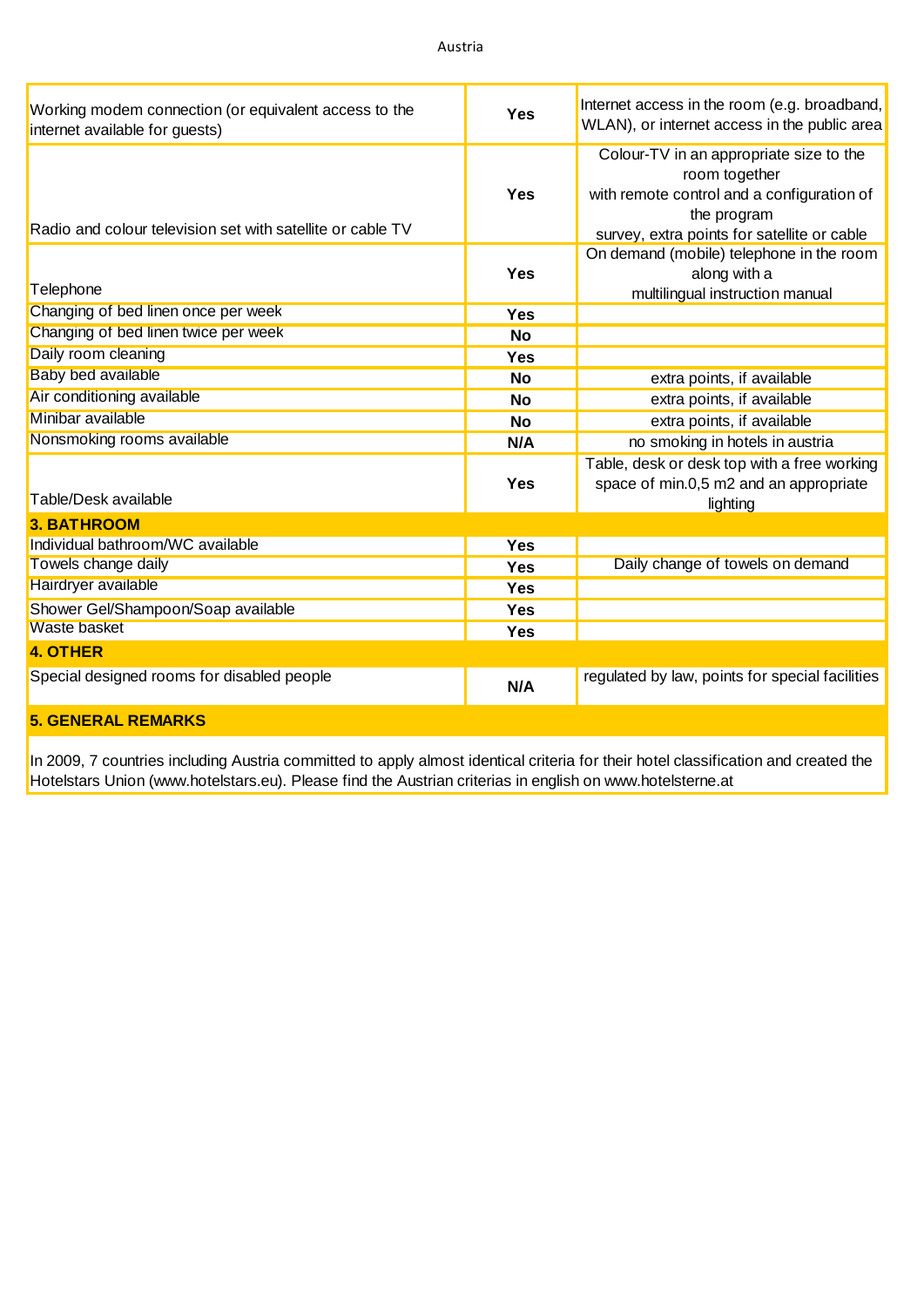| Working modem connection (or equivalent access to the<br>internet available for guests) | <b>Yes</b> | Internet access in the room (e.g. broadband,<br>WLAN), or internet access in the public area                                                                         |
|-----------------------------------------------------------------------------------------|------------|----------------------------------------------------------------------------------------------------------------------------------------------------------------------|
| Radio and colour television set with satellite or cable TV                              | <b>Yes</b> | Colour-TV in an appropriate size to the<br>room together<br>with remote control and a configuration of<br>the program<br>survey, extra points for satellite or cable |
| Telephone                                                                               | <b>Yes</b> | On demand (mobile) telephone in the room<br>along with a<br>multilingual instruction manual                                                                          |
| Changing of bed linen once per week                                                     | <b>Yes</b> |                                                                                                                                                                      |
| Changing of bed linen twice per week                                                    | <b>No</b>  |                                                                                                                                                                      |
| Daily room cleaning                                                                     | <b>Yes</b> |                                                                                                                                                                      |
| <b>Baby bed available</b>                                                               | <b>No</b>  | extra points, if available                                                                                                                                           |
| Air conditioning available                                                              | <b>No</b>  | extra points, if available                                                                                                                                           |
| Minibar available                                                                       | <b>No</b>  | extra points, if available                                                                                                                                           |
| Nonsmoking rooms available                                                              | N/A        | no smoking in hotels in austria                                                                                                                                      |
| Table/Desk available                                                                    | <b>Yes</b> | Table, desk or desk top with a free working<br>space of min.0,5 m2 and an appropriate<br>lighting                                                                    |
| <b>3. BATHROOM</b>                                                                      |            |                                                                                                                                                                      |
| Individual bathroom/WC available                                                        | <b>Yes</b> |                                                                                                                                                                      |
| Towels change daily                                                                     | Yes        | Daily change of towels on demand                                                                                                                                     |
| Hairdryer available                                                                     | <b>Yes</b> |                                                                                                                                                                      |
| Shower Gel/Shampoon/Soap available                                                      | <b>Yes</b> |                                                                                                                                                                      |
| <b>Waste basket</b>                                                                     | <b>Yes</b> |                                                                                                                                                                      |
| <b>4. OTHER</b>                                                                         |            |                                                                                                                                                                      |
| Special designed rooms for disabled people                                              | N/A        | regulated by law, points for special facilities                                                                                                                      |
| <b>5. GENERAL REMARKS</b>                                                               |            |                                                                                                                                                                      |

In 2009, 7 countries including Austria committed to apply almost identical criteria for their hotel classification and created the Hotelstars Union [\(www.hotelstars.eu](www.hotelstars.eu)). Please find the Austrian criterias in english on<www.hotelsterne.at>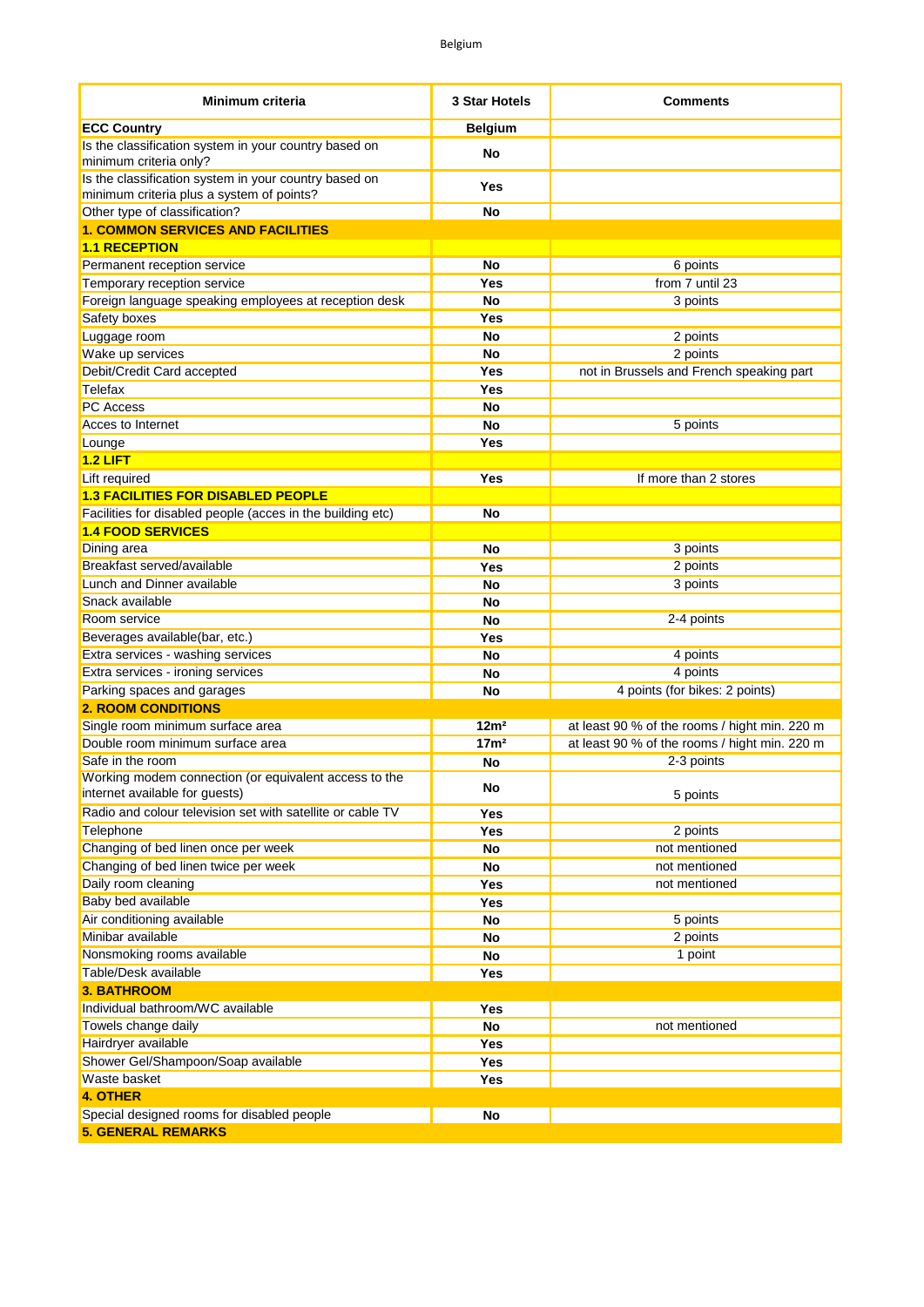| Minimum criteria                                                                                   | 3 Star Hotels    | <b>Comments</b>                               |
|----------------------------------------------------------------------------------------------------|------------------|-----------------------------------------------|
| <b>ECC Country</b>                                                                                 | <b>Belgium</b>   |                                               |
| Is the classification system in your country based on<br>minimum criteria only?                    | No               |                                               |
| Is the classification system in your country based on<br>minimum criteria plus a system of points? | Yes              |                                               |
| Other type of classification?                                                                      | No               |                                               |
| <b>1. COMMON SERVICES AND FACILITIES</b>                                                           |                  |                                               |
| <b>1.1 RECEPTION</b>                                                                               |                  |                                               |
| Permanent reception service                                                                        | No               | 6 points                                      |
| Temporary reception service                                                                        | Yes              | from 7 until 23                               |
| Foreign language speaking employees at reception desk                                              | No               | 3 points                                      |
| Safety boxes                                                                                       | Yes              |                                               |
| Luggage room                                                                                       | <b>No</b>        | 2 points                                      |
| Wake up services                                                                                   | <b>No</b>        | 2 points                                      |
| Debit/Credit Card accepted                                                                         | Yes              | not in Brussels and French speaking part      |
| Telefax                                                                                            | Yes              |                                               |
| <b>PC Access</b>                                                                                   | No               |                                               |
| Acces to Internet                                                                                  | <b>No</b>        | 5 points                                      |
| Lounge                                                                                             | Yes              |                                               |
| $1.2$ LIFT                                                                                         |                  |                                               |
| Lift required                                                                                      | Yes              | If more than 2 stores                         |
| <b>1.3 FACILITIES FOR DISABLED PEOPLE</b>                                                          |                  |                                               |
| Facilities for disabled people (acces in the building etc)                                         | <b>No</b>        |                                               |
| <b>1.4 FOOD SERVICES</b>                                                                           |                  |                                               |
| Dining area                                                                                        | No               | 3 points                                      |
| Breakfast served/available                                                                         | Yes              | 2 points                                      |
| Lunch and Dinner available                                                                         | No               | 3 points                                      |
| Snack available                                                                                    | No               |                                               |
| Room service                                                                                       | <b>No</b>        | 2-4 points                                    |
| Beverages available(bar, etc.)                                                                     | Yes              |                                               |
| Extra services - washing services                                                                  | No               | 4 points                                      |
| Extra services - ironing services                                                                  | <b>No</b>        | 4 points                                      |
| Parking spaces and garages                                                                         | <b>No</b>        | 4 points (for bikes: 2 points)                |
| <b>2. ROOM CONDITIONS</b>                                                                          |                  |                                               |
| Single room minimum surface area                                                                   | 12m <sup>2</sup> | at least 90 % of the rooms / hight min. 220 m |
| Double room minimum surface area                                                                   | 17 <sup>m²</sup> | at least 90 % of the rooms / hight min. 220 m |
| Safe in the room                                                                                   | No               | 2-3 points                                    |
| Working modem connection (or equivalent access to the<br>internet available for guests)            | No               | 5 points                                      |
| Radio and colour television set with satellite or cable TV                                         | Yes              |                                               |
| Telephone                                                                                          | Yes              | 2 points                                      |
| Changing of bed linen once per week                                                                | No               | not mentioned                                 |
| Changing of bed linen twice per week                                                               | No               | not mentioned                                 |
| Daily room cleaning                                                                                | Yes              | not mentioned                                 |
| Baby bed available                                                                                 | Yes              |                                               |
| Air conditioning available                                                                         | No               | 5 points                                      |
| Minibar available                                                                                  | No               | 2 points                                      |
| Nonsmoking rooms available                                                                         | No               | 1 point                                       |
| Table/Desk available                                                                               | Yes              |                                               |
| <b>3. BATHROOM</b>                                                                                 |                  |                                               |
| Individual bathroom/WC available                                                                   | Yes              |                                               |
| Towels change daily                                                                                | No               | not mentioned                                 |
| Hairdryer available                                                                                | Yes              |                                               |
| Shower Gel/Shampoon/Soap available                                                                 | Yes              |                                               |
| Waste basket                                                                                       | Yes              |                                               |
| <b>4. OTHER</b>                                                                                    |                  |                                               |
| Special designed rooms for disabled people<br><b>5. GENERAL REMARKS</b>                            | <b>No</b>        |                                               |
|                                                                                                    |                  |                                               |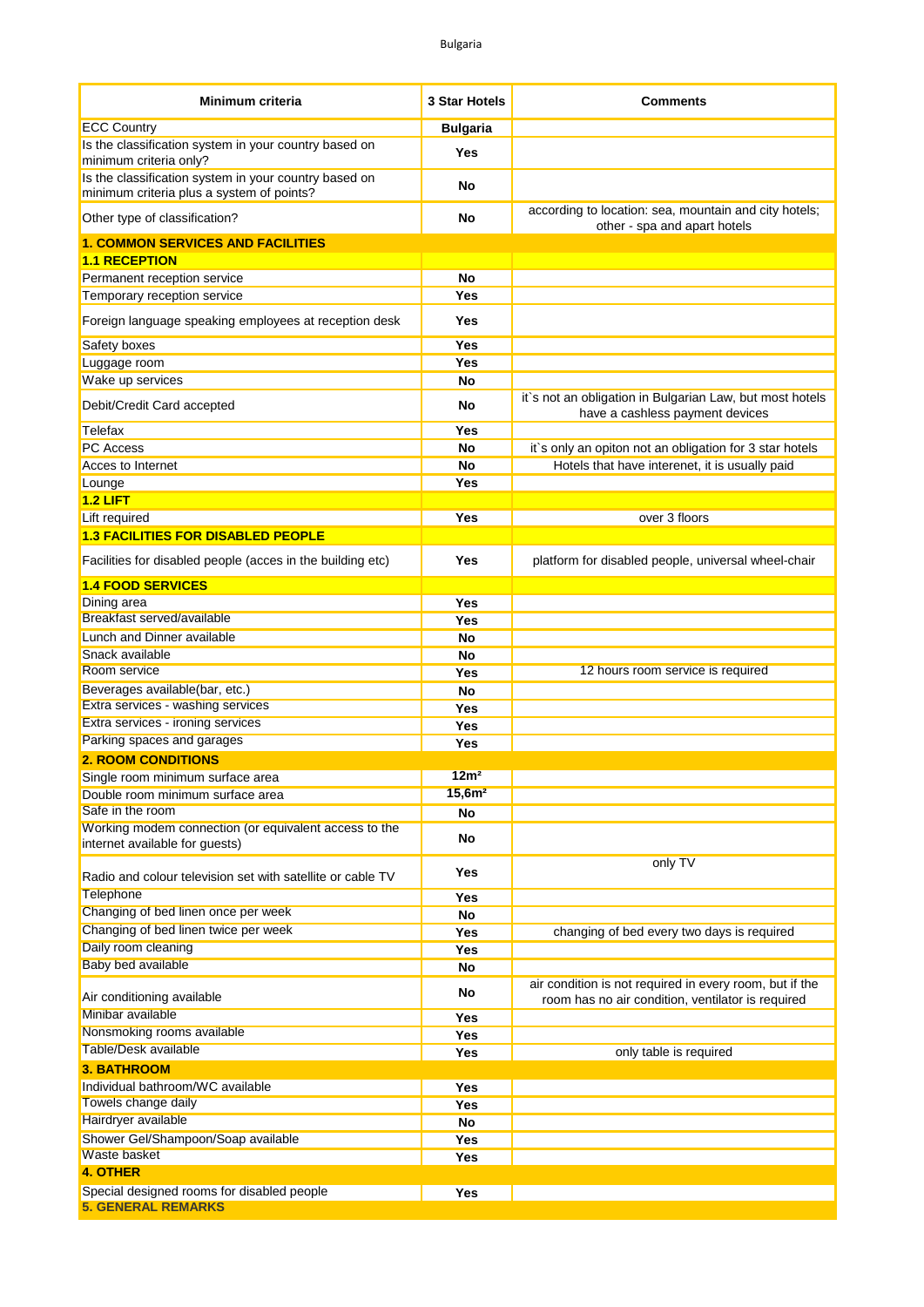| Minimum criteria                                                                                   | <b>3 Star Hotels</b> | <b>Comments</b>                                                                                              |
|----------------------------------------------------------------------------------------------------|----------------------|--------------------------------------------------------------------------------------------------------------|
| <b>ECC Country</b>                                                                                 | <b>Bulgaria</b>      |                                                                                                              |
| Is the classification system in your country based on<br>minimum criteria only?                    | Yes                  |                                                                                                              |
| Is the classification system in your country based on<br>minimum criteria plus a system of points? | No                   |                                                                                                              |
| Other type of classification?                                                                      | No                   | according to location: sea, mountain and city hotels;<br>other - spa and apart hotels                        |
| <b>1. COMMON SERVICES AND FACILITIES</b>                                                           |                      |                                                                                                              |
| <b>1.1 RECEPTION</b>                                                                               |                      |                                                                                                              |
| Permanent reception service                                                                        | No                   |                                                                                                              |
| Temporary reception service                                                                        | Yes                  |                                                                                                              |
| Foreign language speaking employees at reception desk                                              | Yes                  |                                                                                                              |
| Safety boxes                                                                                       | Yes                  |                                                                                                              |
| Luggage room                                                                                       | Yes                  |                                                                                                              |
| Wake up services                                                                                   | No                   |                                                                                                              |
| Debit/Credit Card accepted                                                                         | No                   | it's not an obligation in Bulgarian Law, but most hotels<br>have a cashless payment devices                  |
| Telefax                                                                                            | Yes                  |                                                                                                              |
| <b>PC Access</b>                                                                                   | No                   | it's only an opiton not an obligation for 3 star hotels                                                      |
| Acces to Internet                                                                                  | No                   | Hotels that have interenet, it is usually paid                                                               |
| Lounge<br>$1.2$ LIFT                                                                               | Yes                  |                                                                                                              |
| Lift required                                                                                      | Yes                  | over 3 floors                                                                                                |
| <b>1.3 FACILITIES FOR DISABLED PEOPLE</b>                                                          |                      |                                                                                                              |
|                                                                                                    |                      |                                                                                                              |
| Facilities for disabled people (acces in the building etc)                                         | Yes                  | platform for disabled people, universal wheel-chair                                                          |
| <b>1.4 FOOD SERVICES</b>                                                                           |                      |                                                                                                              |
| Dining area<br>Breakfast served/available                                                          | Yes                  |                                                                                                              |
|                                                                                                    | <b>Yes</b>           |                                                                                                              |
| Lunch and Dinner available<br>Snack available                                                      | No                   |                                                                                                              |
| Room service                                                                                       | No                   | 12 hours room service is required                                                                            |
| Beverages available(bar, etc.)                                                                     | Yes<br>No            |                                                                                                              |
| Extra services - washing services                                                                  | Yes                  |                                                                                                              |
| Extra services - ironing services                                                                  | Yes                  |                                                                                                              |
| Parking spaces and garages                                                                         | Yes                  |                                                                                                              |
| <b>2. ROOM CONDITIONS</b>                                                                          |                      |                                                                                                              |
| Single room minimum surface area                                                                   | 12m <sup>2</sup>     |                                                                                                              |
| Double room minimum surface area                                                                   | 15,6m <sup>2</sup>   |                                                                                                              |
| Safe in the room                                                                                   | <b>No</b>            |                                                                                                              |
| Working modem connection (or equivalent access to the<br>internet available for guests)            | No                   |                                                                                                              |
| Radio and colour television set with satellite or cable TV                                         | Yes                  | only TV                                                                                                      |
| <b>Telephone</b>                                                                                   | Yes                  |                                                                                                              |
| Changing of bed linen once per week                                                                | No                   |                                                                                                              |
| Changing of bed linen twice per week                                                               | Yes                  | changing of bed every two days is required                                                                   |
| Daily room cleaning                                                                                | Yes                  |                                                                                                              |
| Baby bed available                                                                                 | <b>No</b>            |                                                                                                              |
| Air conditioning available                                                                         | No                   | air condition is not required in every room, but if the<br>room has no air condition, ventilator is required |
| Minibar available                                                                                  | Yes                  |                                                                                                              |
| Nonsmoking rooms available                                                                         | Yes                  |                                                                                                              |
| <b>Table/Desk available</b>                                                                        | Yes                  | only table is required                                                                                       |
| <b>3. BATHROOM</b>                                                                                 |                      |                                                                                                              |
| Individual bathroom/WC available                                                                   | Yes                  |                                                                                                              |
| Towels change daily                                                                                | Yes                  |                                                                                                              |
| Hairdryer available                                                                                | <b>No</b>            |                                                                                                              |
| Shower Gel/Shampoon/Soap available<br>Waste basket                                                 | Yes                  |                                                                                                              |
| <b>4. OTHER</b>                                                                                    | Yes                  |                                                                                                              |
| Special designed rooms for disabled people                                                         | Yes                  |                                                                                                              |
| <b>5. GENERAL REMARKS</b>                                                                          |                      |                                                                                                              |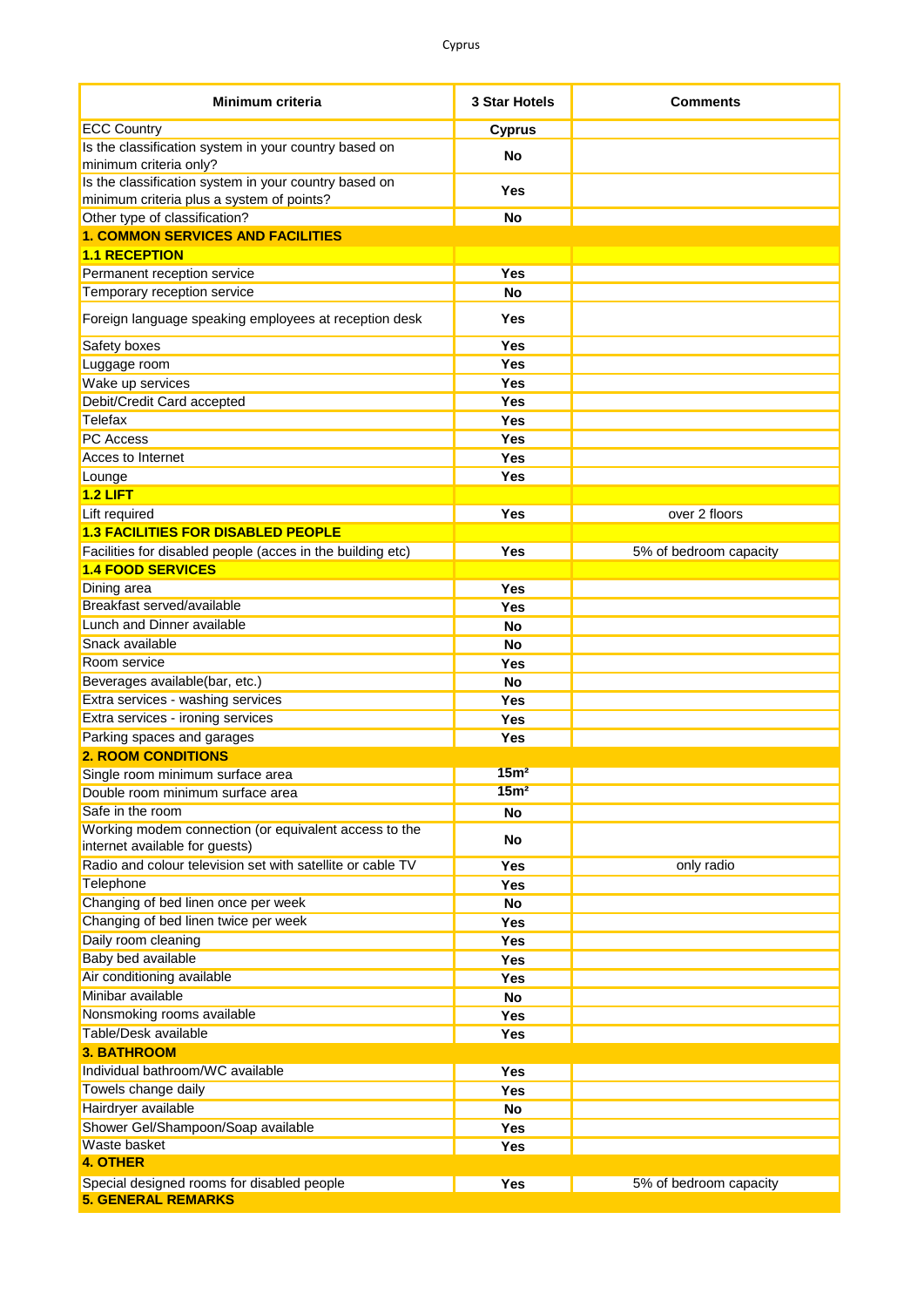| Minimum criteria                                                                                   | 3 Star Hotels    | <b>Comments</b>        |
|----------------------------------------------------------------------------------------------------|------------------|------------------------|
| <b>ECC Country</b>                                                                                 | <b>Cyprus</b>    |                        |
| Is the classification system in your country based on                                              | <b>No</b>        |                        |
| minimum criteria only?                                                                             |                  |                        |
| Is the classification system in your country based on<br>minimum criteria plus a system of points? | Yes              |                        |
| Other type of classification?                                                                      | <b>No</b>        |                        |
| <b>1. COMMON SERVICES AND FACILITIES</b>                                                           |                  |                        |
| <b>1.1 RECEPTION</b>                                                                               |                  |                        |
| Permanent reception service                                                                        | Yes              |                        |
| Temporary reception service                                                                        | No               |                        |
| Foreign language speaking employees at reception desk                                              | Yes              |                        |
| Safety boxes                                                                                       | Yes              |                        |
| Luggage room                                                                                       | <b>Yes</b>       |                        |
| Wake up services                                                                                   | Yes              |                        |
| Debit/Credit Card accepted                                                                         | Yes              |                        |
| Telefax                                                                                            | Yes              |                        |
| <b>PC</b> Access                                                                                   | Yes              |                        |
| Acces to Internet                                                                                  | <b>Yes</b>       |                        |
| Lounge                                                                                             | <b>Yes</b>       |                        |
| $1.2$ LIFT                                                                                         |                  |                        |
| Lift required                                                                                      | <b>Yes</b>       | over 2 floors          |
| <b>1.3 FACILITIES FOR DISABLED PEOPLE</b>                                                          |                  |                        |
| Facilities for disabled people (acces in the building etc)                                         | <b>Yes</b>       | 5% of bedroom capacity |
| <b>1.4 FOOD SERVICES</b>                                                                           |                  |                        |
| Dining area                                                                                        | Yes              |                        |
| Breakfast served/available                                                                         | Yes              |                        |
| <b>Lunch and Dinner available</b>                                                                  | <b>No</b>        |                        |
| Snack available                                                                                    | <b>No</b>        |                        |
| Room service                                                                                       | Yes              |                        |
| Beverages available(bar, etc.)                                                                     | <b>No</b>        |                        |
| Extra services - washing services                                                                  | <b>Yes</b>       |                        |
| Extra services - ironing services                                                                  | <b>Yes</b>       |                        |
| Parking spaces and garages                                                                         | <b>Yes</b>       |                        |
| <b>2. ROOM CONDITIONS</b>                                                                          |                  |                        |
| Single room minimum surface area                                                                   | 15 <sup>m²</sup> |                        |
| Double room minimum surface area                                                                   | 15 <sub>m²</sub> |                        |
| Safe in the room                                                                                   | <b>No</b>        |                        |
| Working modem connection (or equivalent access to the<br>internet available for guests)            | No               |                        |
| Radio and colour television set with satellite or cable TV                                         | Yes              | only radio             |
| Telephone                                                                                          | <b>Yes</b>       |                        |
| Changing of bed linen once per week                                                                | No               |                        |
| Changing of bed linen twice per week                                                               | Yes              |                        |
| Daily room cleaning                                                                                | Yes              |                        |
| Baby bed available                                                                                 | Yes              |                        |
| Air conditioning available                                                                         | Yes              |                        |
| Minibar available                                                                                  | No               |                        |
| Nonsmoking rooms available                                                                         | Yes              |                        |
| Table/Desk available                                                                               | Yes              |                        |
| <b>3. BATHROOM</b>                                                                                 |                  |                        |
| Individual bathroom/WC available                                                                   | Yes              |                        |
| Towels change daily                                                                                | Yes              |                        |
| Hairdryer available                                                                                | No               |                        |
| Shower Gel/Shampoon/Soap available                                                                 | Yes              |                        |
| Waste basket                                                                                       | Yes              |                        |
| <b>4. OTHER</b>                                                                                    |                  |                        |
| Special designed rooms for disabled people<br><b>5. GENERAL REMARKS</b>                            | Yes              | 5% of bedroom capacity |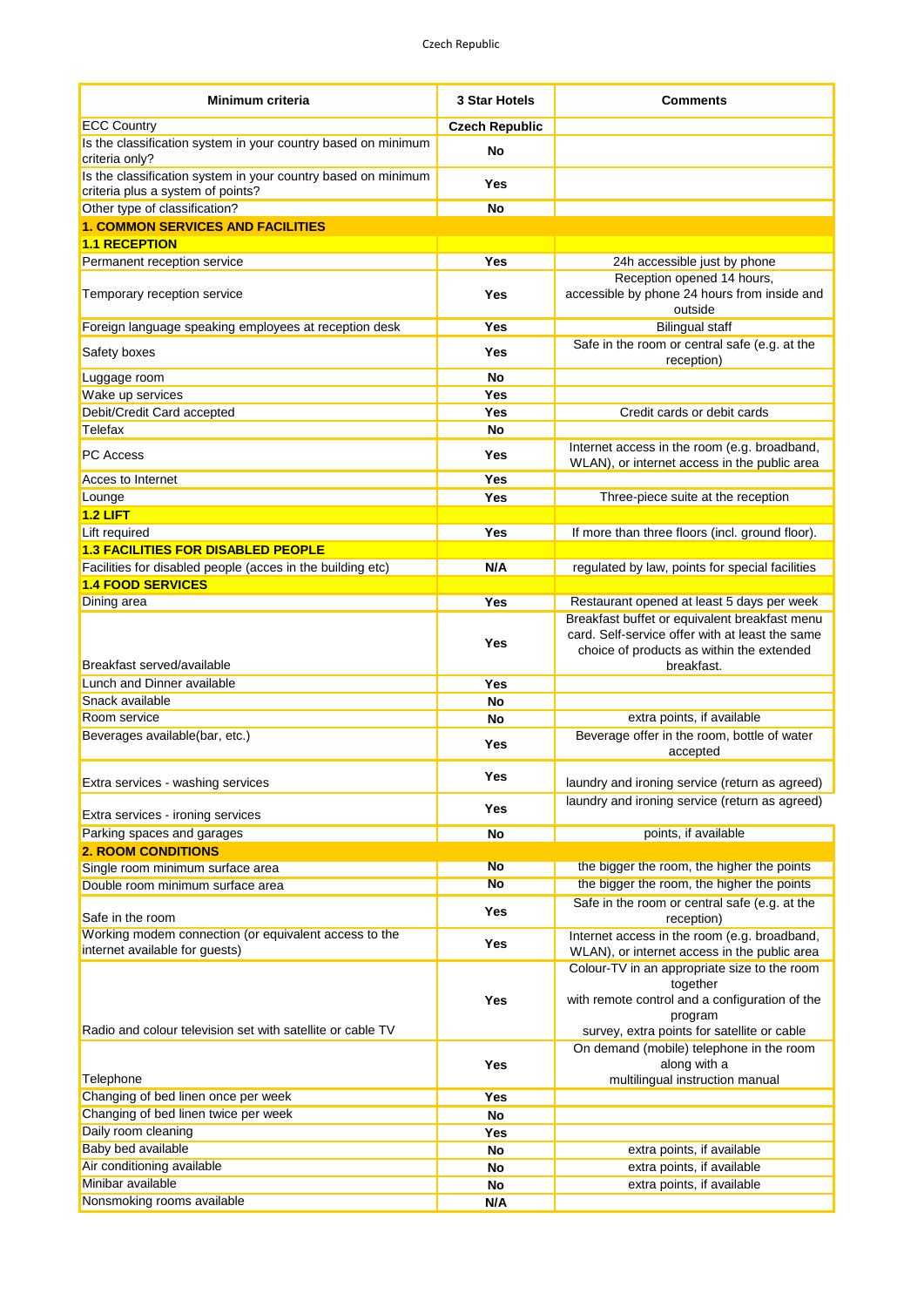| <b>Minimum criteria</b>                                                                            | <b>3 Star Hotels</b>  | <b>Comments</b>                                                                                                                                                      |
|----------------------------------------------------------------------------------------------------|-----------------------|----------------------------------------------------------------------------------------------------------------------------------------------------------------------|
| <b>ECC Country</b>                                                                                 | <b>Czech Republic</b> |                                                                                                                                                                      |
| Is the classification system in your country based on minimum<br>criteria only?                    | No                    |                                                                                                                                                                      |
| Is the classification system in your country based on minimum<br>criteria plus a system of points? | Yes                   |                                                                                                                                                                      |
| Other type of classification?                                                                      | No                    |                                                                                                                                                                      |
| <b>1. COMMON SERVICES AND FACILITIES</b>                                                           |                       |                                                                                                                                                                      |
| <b>1.1 RECEPTION</b>                                                                               |                       |                                                                                                                                                                      |
| Permanent reception service                                                                        | Yes                   | 24h accessible just by phone                                                                                                                                         |
| Temporary reception service                                                                        | <b>Yes</b>            | Reception opened 14 hours,<br>accessible by phone 24 hours from inside and<br>outside                                                                                |
| Foreign language speaking employees at reception desk                                              | Yes                   | <b>Bilingual staff</b>                                                                                                                                               |
| Safety boxes                                                                                       | Yes                   | Safe in the room or central safe (e.g. at the<br>reception)                                                                                                          |
| Luggage room                                                                                       | No                    |                                                                                                                                                                      |
| Wake up services                                                                                   | Yes                   |                                                                                                                                                                      |
| Debit/Credit Card accepted                                                                         | Yes                   | Credit cards or debit cards                                                                                                                                          |
| Telefax                                                                                            | No                    |                                                                                                                                                                      |
| <b>PC Access</b>                                                                                   | Yes                   | Internet access in the room (e.g. broadband,<br>WLAN), or internet access in the public area                                                                         |
| Acces to Internet                                                                                  | Yes                   |                                                                                                                                                                      |
| Lounge                                                                                             | Yes                   | Three-piece suite at the reception                                                                                                                                   |
| $1.2$ LIFT                                                                                         |                       |                                                                                                                                                                      |
| Lift required                                                                                      | Yes                   | If more than three floors (incl. ground floor).                                                                                                                      |
| <b>1.3 FACILITIES FOR DISABLED PEOPLE</b>                                                          |                       |                                                                                                                                                                      |
| Facilities for disabled people (acces in the building etc)                                         | N/A                   | regulated by law, points for special facilities                                                                                                                      |
| <b>1.4 FOOD SERVICES</b>                                                                           |                       |                                                                                                                                                                      |
| Dining area                                                                                        | Yes                   | Restaurant opened at least 5 days per week                                                                                                                           |
| Breakfast served/available                                                                         | Yes                   | Breakfast buffet or equivalent breakfast menu<br>card. Self-service offer with at least the same<br>choice of products as within the extended<br>breakfast.          |
| Lunch and Dinner available                                                                         | Yes                   |                                                                                                                                                                      |
| Snack available                                                                                    | No                    |                                                                                                                                                                      |
| Room service                                                                                       | No                    | extra points, if available                                                                                                                                           |
| Beverages available(bar, etc.)                                                                     | Yes                   | Beverage offer in the room, bottle of water<br>accepted                                                                                                              |
| Extra services - washing services                                                                  | Yes                   | laundry and ironing service (return as agreed)                                                                                                                       |
| Extra services - ironing services                                                                  | Yes                   | laundry and ironing service (return as agreed)                                                                                                                       |
| Parking spaces and garages                                                                         | No                    | points, if available                                                                                                                                                 |
| <b>2. ROOM CONDITIONS</b>                                                                          |                       |                                                                                                                                                                      |
| Single room minimum surface area                                                                   | <b>No</b>             | the bigger the room, the higher the points                                                                                                                           |
| Double room minimum surface area                                                                   | <b>No</b>             | the bigger the room, the higher the points                                                                                                                           |
| Safe in the room                                                                                   | <b>Yes</b>            | Safe in the room or central safe (e.g. at the<br>reception)                                                                                                          |
| Working modem connection (or equivalent access to the<br>internet available for guests)            | <b>Yes</b>            | Internet access in the room (e.g. broadband,<br>WLAN), or internet access in the public area                                                                         |
| Radio and colour television set with satellite or cable TV                                         | <b>Yes</b>            | Colour-TV in an appropriate size to the room<br>together<br>with remote control and a configuration of the<br>program<br>survey, extra points for satellite or cable |
| Telephone                                                                                          | <b>Yes</b>            | On demand (mobile) telephone in the room<br>along with a<br>multilingual instruction manual                                                                          |
| Changing of bed linen once per week                                                                | Yes                   |                                                                                                                                                                      |
| Changing of bed linen twice per week                                                               | No                    |                                                                                                                                                                      |
| Daily room cleaning                                                                                | <b>Yes</b>            |                                                                                                                                                                      |
| Baby bed available                                                                                 | <b>No</b>             | extra points, if available                                                                                                                                           |
| Air conditioning available                                                                         | No                    | extra points, if available                                                                                                                                           |
| Minibar available                                                                                  | No                    | extra points, if available                                                                                                                                           |
| Nonsmoking rooms available                                                                         | N/A                   |                                                                                                                                                                      |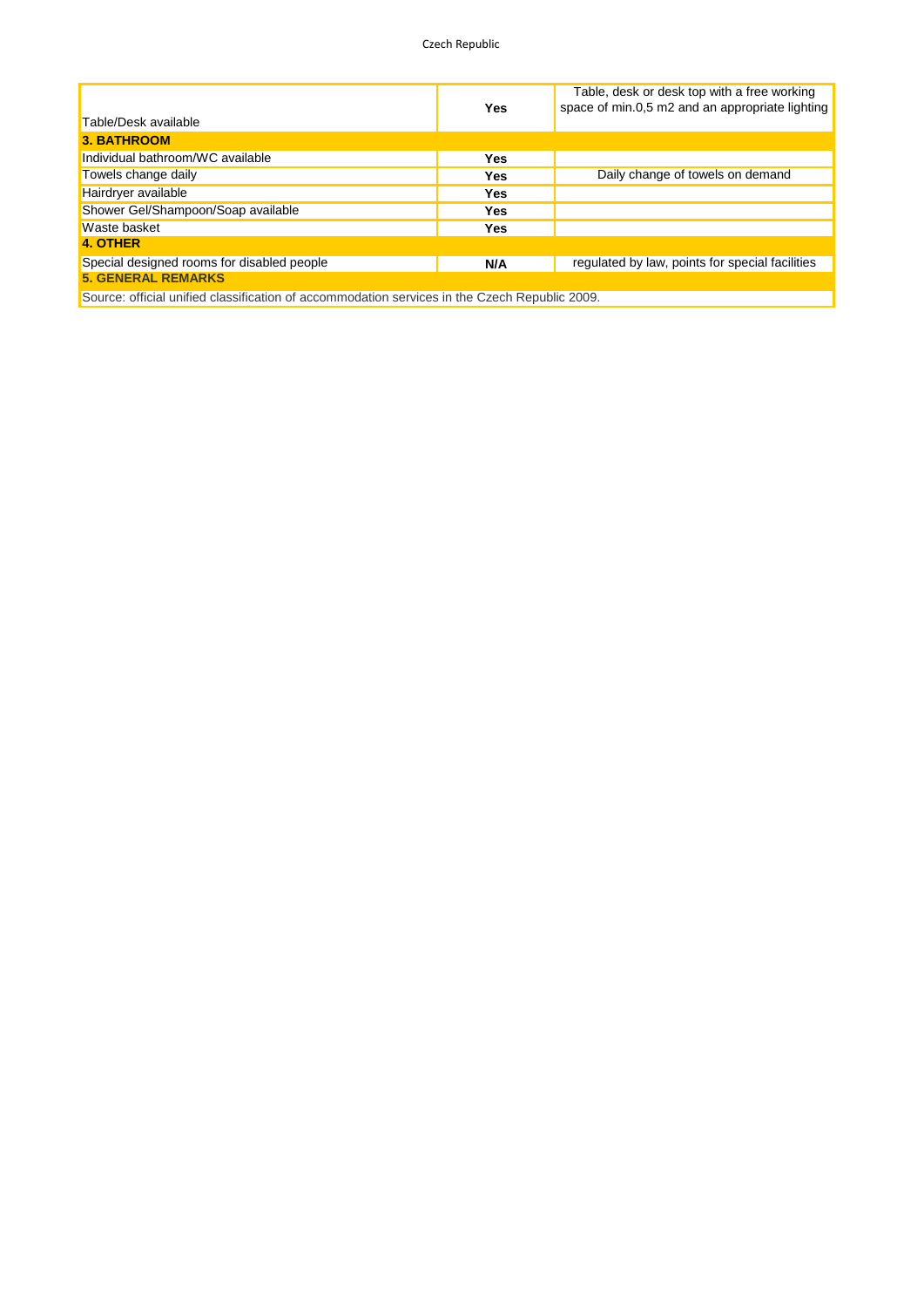Czech Republic

|                                                                                               |     | Table, desk or desk top with a free working     |  |
|-----------------------------------------------------------------------------------------------|-----|-------------------------------------------------|--|
|                                                                                               | Yes | space of min.0.5 m2 and an appropriate lighting |  |
| Table/Desk available                                                                          |     |                                                 |  |
| <b>3. BATHROOM</b>                                                                            |     |                                                 |  |
| Individual bathroom/WC available                                                              | Yes |                                                 |  |
| Towels change daily                                                                           | Yes | Daily change of towels on demand                |  |
| Hairdryer available                                                                           | Yes |                                                 |  |
| Shower Gel/Shampoon/Soap available                                                            | Yes |                                                 |  |
| Waste basket                                                                                  | Yes |                                                 |  |
| 4. OTHER                                                                                      |     |                                                 |  |
| Special designed rooms for disabled people                                                    | N/A | regulated by law, points for special facilities |  |
| <b>5. GENERAL REMARKS</b>                                                                     |     |                                                 |  |
| Source: official unified classification of accommodation services in the Czech Republic 2009. |     |                                                 |  |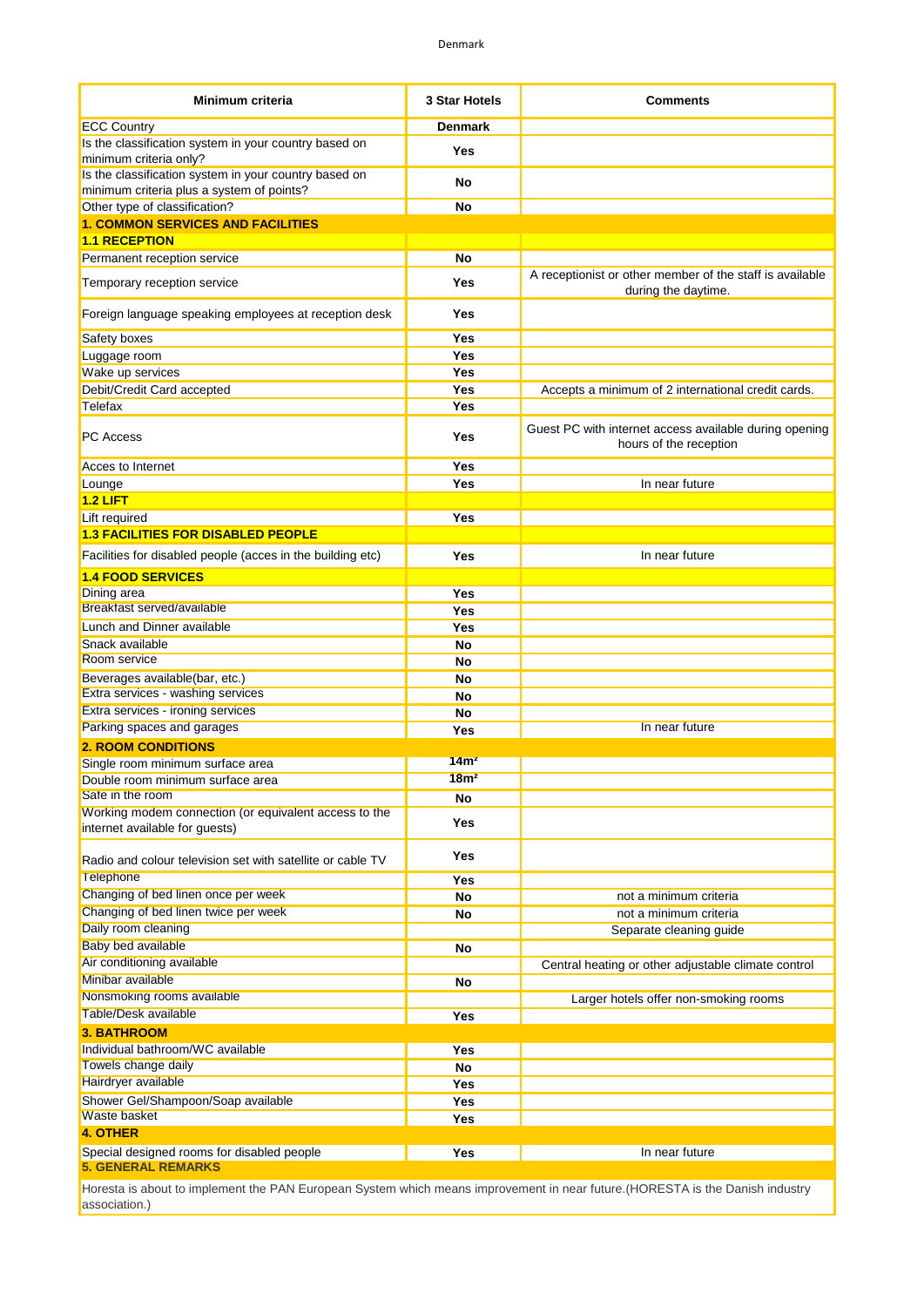| <b>Minimum criteria</b>                                                                            | 3 Star Hotels    | Comments                                                                         |
|----------------------------------------------------------------------------------------------------|------------------|----------------------------------------------------------------------------------|
| <b>ECC Country</b>                                                                                 | <b>Denmark</b>   |                                                                                  |
| Is the classification system in your country based on                                              | Yes              |                                                                                  |
| minimum criteria only?                                                                             |                  |                                                                                  |
| Is the classification system in your country based on<br>minimum criteria plus a system of points? | No               |                                                                                  |
| Other type of classification?                                                                      | No               |                                                                                  |
| <b>1. COMMON SERVICES AND FACILITIES</b>                                                           |                  |                                                                                  |
| <b>1.1 RECEPTION</b>                                                                               |                  |                                                                                  |
| Permanent reception service                                                                        | No               |                                                                                  |
| Temporary reception service                                                                        | Yes              | A receptionist or other member of the staff is available<br>during the daytime.  |
| Foreign language speaking employees at reception desk                                              | Yes              |                                                                                  |
| Safety boxes                                                                                       | Yes              |                                                                                  |
| Luggage room                                                                                       | Yes              |                                                                                  |
| Wake up services                                                                                   | Yes              |                                                                                  |
| Debit/Credit Card accepted                                                                         | Yes              | Accepts a minimum of 2 international credit cards.                               |
| Telefax                                                                                            | Yes              |                                                                                  |
| <b>PC</b> Access                                                                                   | Yes              | Guest PC with internet access available during opening<br>hours of the reception |
| Acces to Internet                                                                                  | Yes              |                                                                                  |
| Lounge                                                                                             | Yes              | In near future                                                                   |
| $1.2$ LIFT                                                                                         |                  |                                                                                  |
| Lift required                                                                                      | Yes              |                                                                                  |
| <b>1.3 FACILITIES FOR DISABLED PEOPLE</b>                                                          |                  |                                                                                  |
| Facilities for disabled people (acces in the building etc)                                         | Yes              | In near future                                                                   |
| <b>1.4 FOOD SERVICES</b>                                                                           |                  |                                                                                  |
| Dining area<br>Breakfast served/available                                                          | Yes              |                                                                                  |
| Lunch and Dinner available                                                                         | Yes              |                                                                                  |
| Snack available                                                                                    | Yes              |                                                                                  |
| Room service                                                                                       | No<br>No         |                                                                                  |
| Beverages available(bar, etc.)                                                                     | No               |                                                                                  |
| Extra services - washing services                                                                  | No               |                                                                                  |
| Extra services - ironing services                                                                  | No               |                                                                                  |
| Parking spaces and garages                                                                         | Yes              | In near future                                                                   |
| <b>2. ROOM CONDITIONS</b>                                                                          |                  |                                                                                  |
| Single room minimum surface area                                                                   | 14m <sup>2</sup> |                                                                                  |
| Double room minimum surface area                                                                   | 18m <sup>2</sup> |                                                                                  |
| Safe in the room                                                                                   | No               |                                                                                  |
| Working modem connection (or equivalent access to the<br>internet available for guests)            | <b>Yes</b>       |                                                                                  |
| Radio and colour television set with satellite or cable TV                                         | Yes              |                                                                                  |
| <b>Telephone</b>                                                                                   | Yes              |                                                                                  |
| Changing of bed linen once per week                                                                | <b>No</b>        | not a minimum criteria                                                           |
| Changing of bed linen twice per week                                                               | No               | not a minimum criteria                                                           |
| Daily room cleaning<br><b>Baby bed available</b>                                                   |                  | Separate cleaning guide                                                          |
| Air conditioning available                                                                         | No               |                                                                                  |
| Minibar available                                                                                  |                  | Central heating or other adjustable climate control                              |
| Nonsmoking rooms available                                                                         | No               | Larger hotels offer non-smoking rooms                                            |
| <b>Table/Desk available</b>                                                                        | Yes              |                                                                                  |
| <b>3. BATHROOM</b>                                                                                 |                  |                                                                                  |
| Individual bathroom/WC available                                                                   | Yes              |                                                                                  |
| Towels change daily                                                                                | <b>No</b>        |                                                                                  |
| Hairdryer available                                                                                | Yes              |                                                                                  |
| Shower Gel/Shampoon/Soap available                                                                 | Yes              |                                                                                  |
| Waste basket                                                                                       | Yes              |                                                                                  |
| <b>4. OTHER</b>                                                                                    |                  |                                                                                  |
| Special designed rooms for disabled people<br><b>5. GENERAL REMARKS</b>                            | Yes              | In near future                                                                   |

Horesta is about to implement the PAN European System which means improvement in near future.(HORESTA is the Danish industry association.)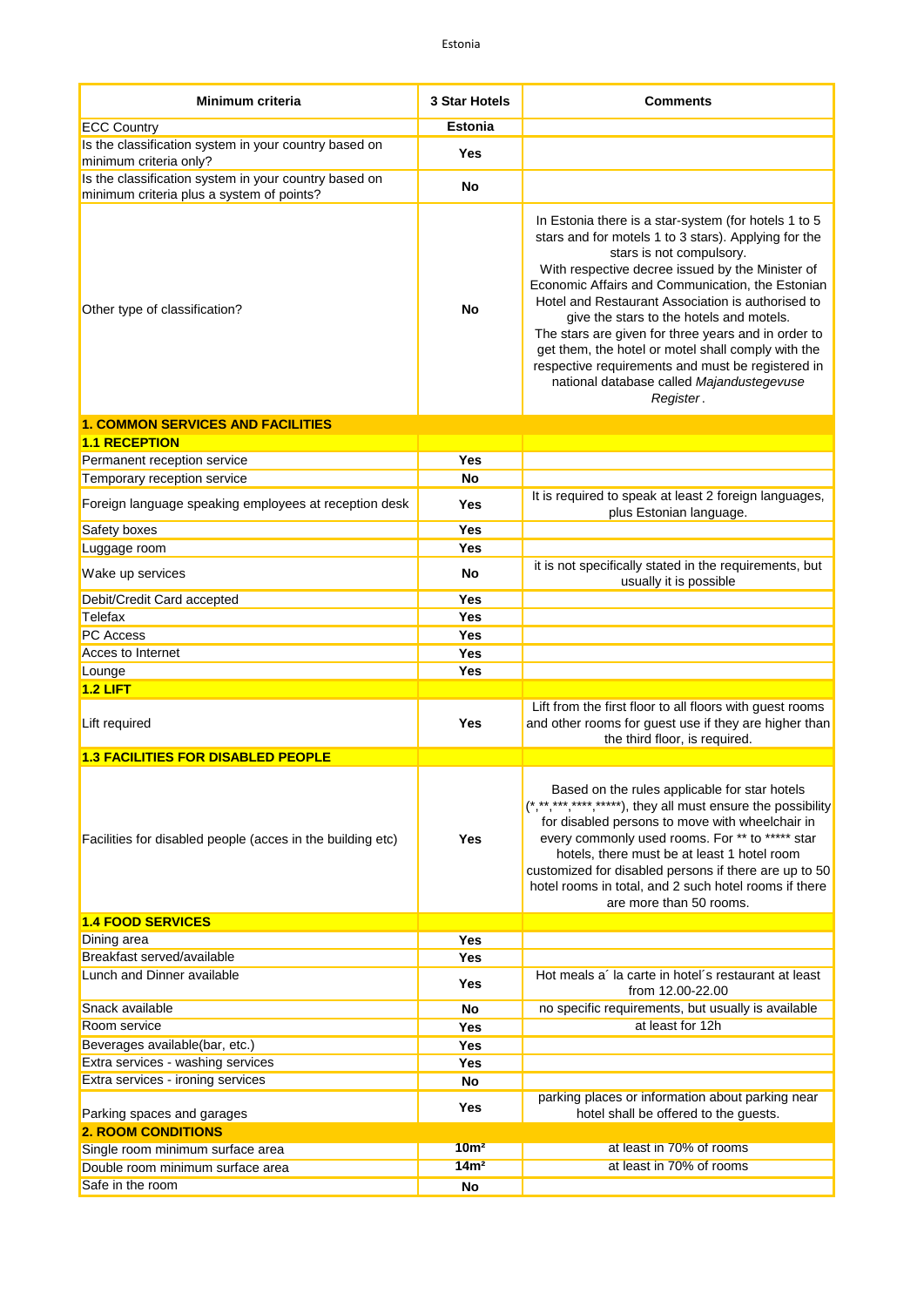| Minimum criteria                                                                                   | 3 Star Hotels     | <b>Comments</b>                                                                                                                                                                                                                                                                                                                                                                                                                                                                                                                                                               |
|----------------------------------------------------------------------------------------------------|-------------------|-------------------------------------------------------------------------------------------------------------------------------------------------------------------------------------------------------------------------------------------------------------------------------------------------------------------------------------------------------------------------------------------------------------------------------------------------------------------------------------------------------------------------------------------------------------------------------|
| <b>ECC Country</b>                                                                                 | <b>Estonia</b>    |                                                                                                                                                                                                                                                                                                                                                                                                                                                                                                                                                                               |
| Is the classification system in your country based on<br>minimum criteria only?                    | Yes               |                                                                                                                                                                                                                                                                                                                                                                                                                                                                                                                                                                               |
| Is the classification system in your country based on<br>minimum criteria plus a system of points? | No                |                                                                                                                                                                                                                                                                                                                                                                                                                                                                                                                                                                               |
| Other type of classification?                                                                      | No                | In Estonia there is a star-system (for hotels 1 to 5<br>stars and for motels 1 to 3 stars). Applying for the<br>stars is not compulsory.<br>With respective decree issued by the Minister of<br>Economic Affairs and Communication, the Estonian<br>Hotel and Restaurant Association is authorised to<br>give the stars to the hotels and motels.<br>The stars are given for three years and in order to<br>get them, the hotel or motel shall comply with the<br>respective requirements and must be registered in<br>national database called Majandustegevuse<br>Register. |
| <b>1. COMMON SERVICES AND FACILITIES</b>                                                           |                   |                                                                                                                                                                                                                                                                                                                                                                                                                                                                                                                                                                               |
| <b>1.1 RECEPTION</b>                                                                               |                   |                                                                                                                                                                                                                                                                                                                                                                                                                                                                                                                                                                               |
| Permanent reception service                                                                        | Yes               |                                                                                                                                                                                                                                                                                                                                                                                                                                                                                                                                                                               |
| Temporary reception service                                                                        | No                |                                                                                                                                                                                                                                                                                                                                                                                                                                                                                                                                                                               |
| Foreign language speaking employees at reception desk                                              | Yes               | It is required to speak at least 2 foreign languages,<br>plus Estonian language.                                                                                                                                                                                                                                                                                                                                                                                                                                                                                              |
| Safety boxes                                                                                       | Yes               |                                                                                                                                                                                                                                                                                                                                                                                                                                                                                                                                                                               |
| Luggage room                                                                                       | Yes               | it is not specifically stated in the requirements, but                                                                                                                                                                                                                                                                                                                                                                                                                                                                                                                        |
| Wake up services                                                                                   | No                | usually it is possible                                                                                                                                                                                                                                                                                                                                                                                                                                                                                                                                                        |
| Debit/Credit Card accepted                                                                         | Yes               |                                                                                                                                                                                                                                                                                                                                                                                                                                                                                                                                                                               |
| Telefax<br><b>PC</b> Access                                                                        | Yes<br>Yes        |                                                                                                                                                                                                                                                                                                                                                                                                                                                                                                                                                                               |
| Acces to Internet                                                                                  | Yes               |                                                                                                                                                                                                                                                                                                                                                                                                                                                                                                                                                                               |
| Lounge                                                                                             | Yes               |                                                                                                                                                                                                                                                                                                                                                                                                                                                                                                                                                                               |
| $1.2$ LIFT                                                                                         |                   |                                                                                                                                                                                                                                                                                                                                                                                                                                                                                                                                                                               |
| Lift required                                                                                      | Yes               | Lift from the first floor to all floors with guest rooms<br>and other rooms for guest use if they are higher than<br>the third floor, is required.                                                                                                                                                                                                                                                                                                                                                                                                                            |
| <b>1.3 FACILITIES FOR DISABLED PEOPLE</b>                                                          |                   |                                                                                                                                                                                                                                                                                                                                                                                                                                                                                                                                                                               |
| Facilities for disabled people (acces in the building etc)                                         | <b>Yes</b>        | Based on the rules applicable for star hotels<br>(*,**,***,****,*****), they all must ensure the possibility<br>for disabled persons to move with wheelchair in<br>every commonly used rooms. For ** to ***** star<br>hotels, there must be at least 1 hotel room<br>customized for disabled persons if there are up to 50<br>hotel rooms in total, and 2 such hotel rooms if there<br>are more than 50 rooms.                                                                                                                                                                |
| <b>1.4 FOOD SERVICES</b>                                                                           |                   |                                                                                                                                                                                                                                                                                                                                                                                                                                                                                                                                                                               |
| Dining area<br>Breakfast served/available                                                          | Yes<br><b>Yes</b> |                                                                                                                                                                                                                                                                                                                                                                                                                                                                                                                                                                               |
| Lunch and Dinner available                                                                         | Yes               | Hot meals a' la carte in hotel's restaurant at least<br>from 12.00-22.00                                                                                                                                                                                                                                                                                                                                                                                                                                                                                                      |
| Snack available                                                                                    | No                | no specific requirements, but usually is available                                                                                                                                                                                                                                                                                                                                                                                                                                                                                                                            |
| Room service                                                                                       | <b>Yes</b>        | at least for 12h                                                                                                                                                                                                                                                                                                                                                                                                                                                                                                                                                              |
| Beverages available(bar, etc.)                                                                     | <b>Yes</b>        |                                                                                                                                                                                                                                                                                                                                                                                                                                                                                                                                                                               |
| Extra services - washing services                                                                  | Yes               |                                                                                                                                                                                                                                                                                                                                                                                                                                                                                                                                                                               |
| Extra services - ironing services                                                                  | No                |                                                                                                                                                                                                                                                                                                                                                                                                                                                                                                                                                                               |
| Parking spaces and garages                                                                         | Yes               | parking places or information about parking near<br>hotel shall be offered to the guests.                                                                                                                                                                                                                                                                                                                                                                                                                                                                                     |
| <b>2. ROOM CONDITIONS</b>                                                                          |                   |                                                                                                                                                                                                                                                                                                                                                                                                                                                                                                                                                                               |
| Single room minimum surface area                                                                   | 10 <sup>m²</sup>  | at least in 70% of rooms                                                                                                                                                                                                                                                                                                                                                                                                                                                                                                                                                      |
| Double room minimum surface area                                                                   | 14m <sup>2</sup>  | at least in 70% of rooms                                                                                                                                                                                                                                                                                                                                                                                                                                                                                                                                                      |
| Safe in the room                                                                                   | No                |                                                                                                                                                                                                                                                                                                                                                                                                                                                                                                                                                                               |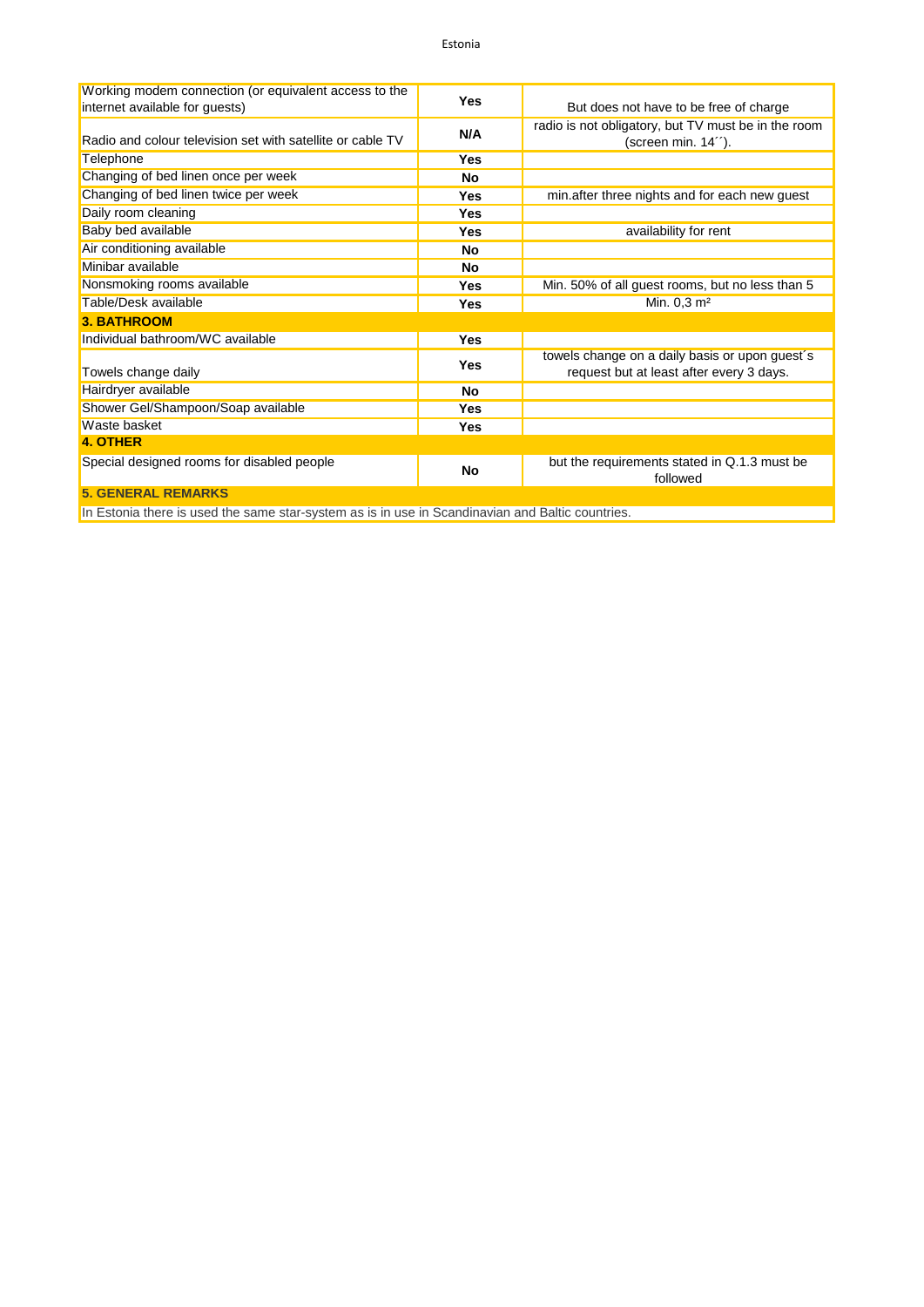| Working modem connection (or equivalent access to the<br>internet available for guests) | <b>Yes</b> | But does not have to be free of charge                                                     |
|-----------------------------------------------------------------------------------------|------------|--------------------------------------------------------------------------------------------|
| Radio and colour television set with satellite or cable TV                              | N/A        | radio is not obligatory, but TV must be in the room<br>(screen min. 14").                  |
| Telephone                                                                               | <b>Yes</b> |                                                                                            |
| Changing of bed linen once per week                                                     | No         |                                                                                            |
| Changing of bed linen twice per week                                                    | Yes        | min.after three nights and for each new guest                                              |
| Daily room cleaning                                                                     | Yes        |                                                                                            |
| Baby bed available                                                                      | Yes        | availability for rent                                                                      |
| Air conditioning available                                                              | <b>No</b>  |                                                                                            |
| Minibar available                                                                       | No         |                                                                                            |
| Nonsmoking rooms available                                                              | <b>Yes</b> | Min. 50% of all guest rooms, but no less than 5                                            |
| Table/Desk available                                                                    | Yes        | Min. $0,3 \, \text{m}^2$                                                                   |
| <b>3. BATHROOM</b>                                                                      |            |                                                                                            |
| Individual bathroom/WC available                                                        | <b>Yes</b> |                                                                                            |
| Towels change daily                                                                     | <b>Yes</b> | towels change on a daily basis or upon guest's<br>request but at least after every 3 days. |
| Hairdryer available                                                                     | No         |                                                                                            |
| Shower Gel/Shampoon/Soap available                                                      | <b>Yes</b> |                                                                                            |
| Waste basket                                                                            | Yes        |                                                                                            |
| 4. OTHER                                                                                |            |                                                                                            |
| Special designed rooms for disabled people                                              | No         | but the requirements stated in Q.1.3 must be<br>followed                                   |
| <b>5. GENERAL REMARKS</b>                                                               |            |                                                                                            |

In Estonia there is used the same star-system as is in use in Scandinavian and Baltic countries.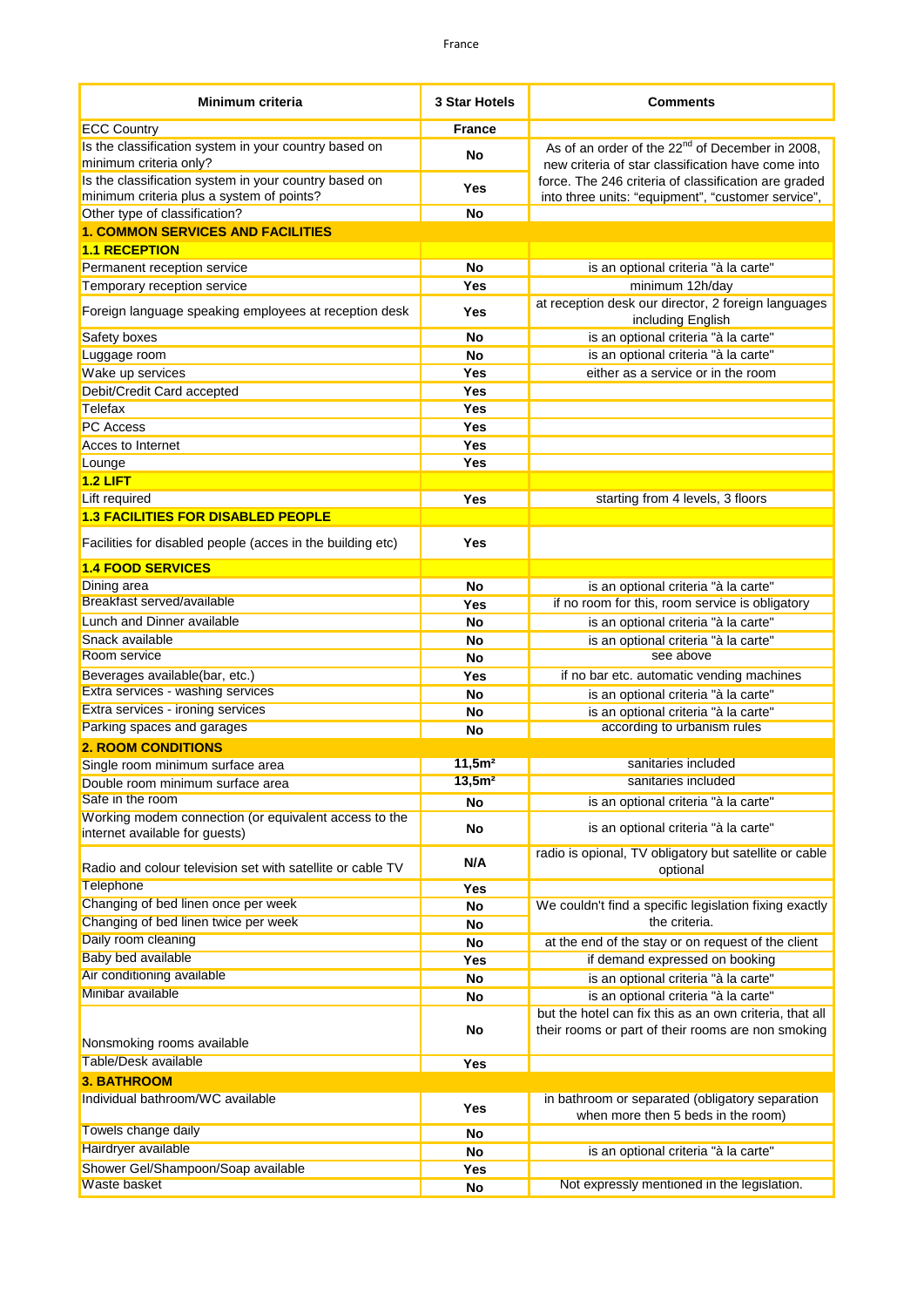| <b>Minimum criteria</b>                                                         | 3 Star Hotels      | <b>Comments</b>                                                                                                   |
|---------------------------------------------------------------------------------|--------------------|-------------------------------------------------------------------------------------------------------------------|
| <b>ECC Country</b>                                                              | France             |                                                                                                                   |
| Is the classification system in your country based on<br>minimum criteria only? | No                 | As of an order of the 22 <sup>nd</sup> of December in 2008,<br>new criteria of star classification have come into |
| Is the classification system in your country based on                           | Yes                | force. The 246 criteria of classification are graded                                                              |
| minimum criteria plus a system of points?                                       |                    | into three units: "equipment", "customer service",                                                                |
| Other type of classification?                                                   | No                 |                                                                                                                   |
| <b>1. COMMON SERVICES AND FACILITIES</b><br><b>1.1 RECEPTION</b>                |                    |                                                                                                                   |
| Permanent reception service                                                     | No                 |                                                                                                                   |
| Temporary reception service                                                     | Yes                | is an optional criteria "à la carte"<br>minimum 12h/day                                                           |
|                                                                                 |                    | at reception desk our director, 2 foreign languages                                                               |
| Foreign language speaking employees at reception desk                           | Yes                | including English                                                                                                 |
| Safety boxes                                                                    | <b>No</b>          | is an optional criteria "à la carte"                                                                              |
| Luggage room                                                                    | No                 | is an optional criteria "à la carte"                                                                              |
| Wake up services                                                                | Yes                | either as a service or in the room                                                                                |
| Debit/Credit Card accepted                                                      | Yes                |                                                                                                                   |
| Telefax                                                                         | Yes                |                                                                                                                   |
| <b>PC</b> Access                                                                | Yes                |                                                                                                                   |
| Acces to Internet                                                               | <b>Yes</b>         |                                                                                                                   |
| Lounge                                                                          | Yes                |                                                                                                                   |
| $1.2$ LIFT                                                                      |                    |                                                                                                                   |
| Lift required                                                                   | Yes                | starting from 4 levels, 3 floors                                                                                  |
| <b>1.3 FACILITIES FOR DISABLED PEOPLE</b>                                       |                    |                                                                                                                   |
| Facilities for disabled people (acces in the building etc)                      | Yes                |                                                                                                                   |
| <b>1.4 FOOD SERVICES</b>                                                        |                    |                                                                                                                   |
| Dining area                                                                     | No                 | is an optional criteria "à la carte"                                                                              |
| Breakfast served/available                                                      | Yes                | if no room for this, room service is obligatory                                                                   |
| Lunch and Dinner available                                                      | No                 | is an optional criteria "à la carte"                                                                              |
| Snack available                                                                 | No                 | is an optional criteria "à la carte"                                                                              |
| Room service                                                                    | No                 | see above                                                                                                         |
| Beverages available(bar, etc.)                                                  | Yes                | if no bar etc. automatic vending machines                                                                         |
| Extra services - washing services                                               | No                 | is an optional criteria "à la carte"                                                                              |
| Extra services - ironing services                                               | No                 | is an optional criteria "à la carte"                                                                              |
| Parking spaces and garages                                                      | No                 | according to urbanism rules                                                                                       |
| <b>2. ROOM CONDITIONS</b>                                                       |                    |                                                                                                                   |
| Single room minimum surface area                                                | 11,5m <sup>2</sup> | sanitaries included                                                                                               |
| Double room minimum surface area                                                | 13,5m <sup>2</sup> | sanitaries included                                                                                               |
| Safe in the room                                                                | No                 | is an optional criteria "à la carte"                                                                              |
| Working modem connection (or equivalent access to the                           |                    |                                                                                                                   |
| internet available for guests)                                                  | No                 | is an optional criteria "à la carte"                                                                              |
| Radio and colour television set with satellite or cable TV                      | N/A                | radio is opional, TV obligatory but satellite or cable<br>optional                                                |
| Telephone                                                                       | Yes                |                                                                                                                   |
| Changing of bed linen once per week                                             | No                 | We couldn't find a specific legislation fixing exactly                                                            |
| Changing of bed linen twice per week                                            | No                 | the criteria.                                                                                                     |
| Daily room cleaning                                                             | No                 | at the end of the stay or on request of the client                                                                |
| <b>Baby bed available</b>                                                       | Yes                | if demand expressed on booking                                                                                    |
| Air conditioning available                                                      | No                 | is an optional criteria "à la carte"                                                                              |
| Minibar available                                                               | No                 | is an optional criteria "à la carte"                                                                              |
|                                                                                 |                    | but the hotel can fix this as an own criteria, that all                                                           |
| Nonsmoking rooms available                                                      | No                 | their rooms or part of their rooms are non smoking                                                                |
| Table/Desk available                                                            | Yes                |                                                                                                                   |
| <b>3. BATHROOM</b>                                                              |                    |                                                                                                                   |
| Individual bathroom/WC available                                                | Yes                | in bathroom or separated (obligatory separation<br>when more then 5 beds in the room)                             |
| Towels change daily                                                             | No                 |                                                                                                                   |
| Hairdryer available                                                             | No                 | is an optional criteria "à la carte"                                                                              |
| Shower Gel/Shampoon/Soap available                                              | Yes                |                                                                                                                   |
| Waste basket                                                                    | No                 | Not expressly mentioned in the legislation.                                                                       |
|                                                                                 |                    |                                                                                                                   |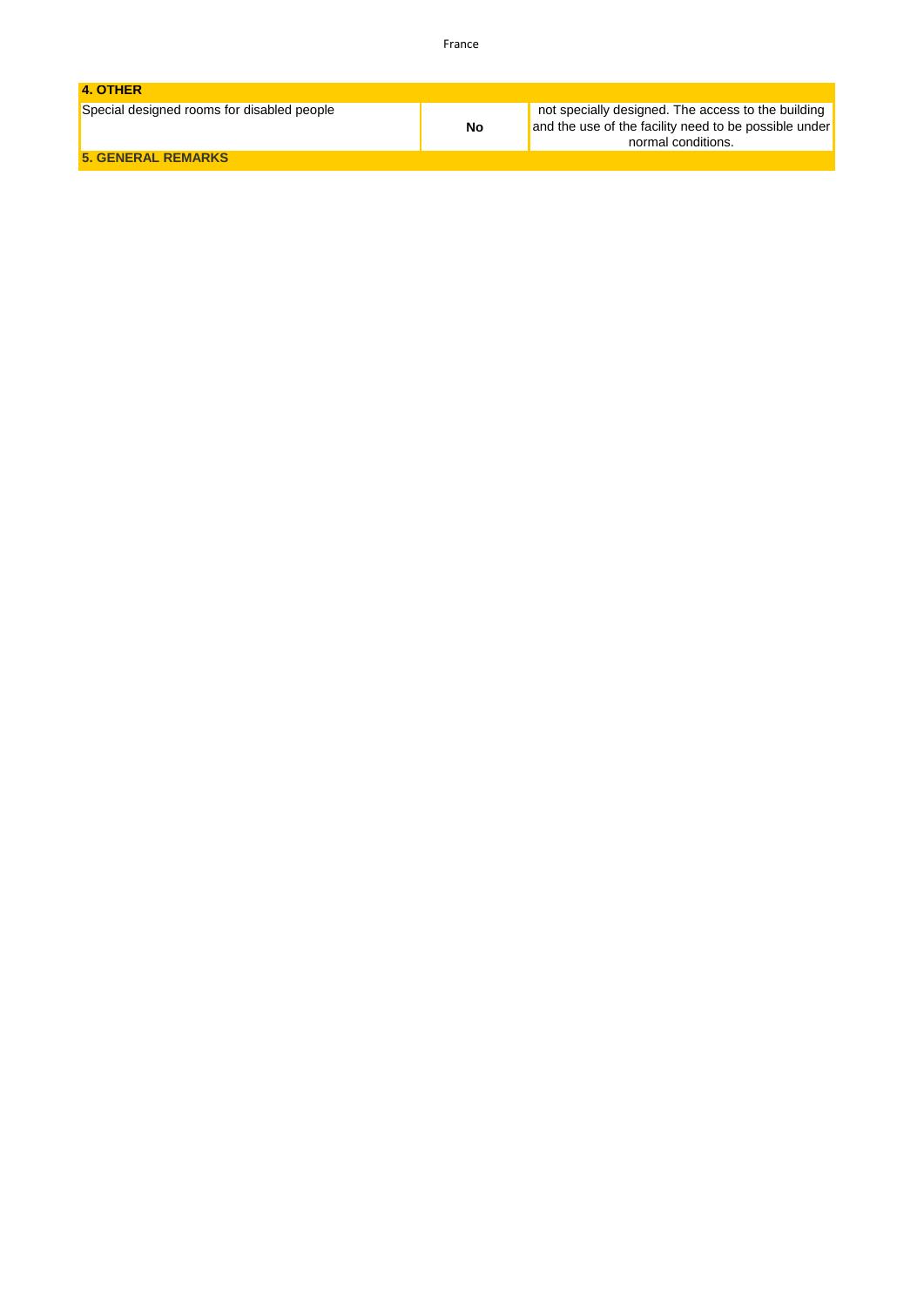| 4. OTHER                                   |           |                                                                                                                                   |
|--------------------------------------------|-----------|-----------------------------------------------------------------------------------------------------------------------------------|
| Special designed rooms for disabled people | <b>No</b> | not specially designed. The access to the building<br>and the use of the facility need to be possible under<br>normal conditions. |
| <b>5. GENERAL REMARKS</b>                  |           |                                                                                                                                   |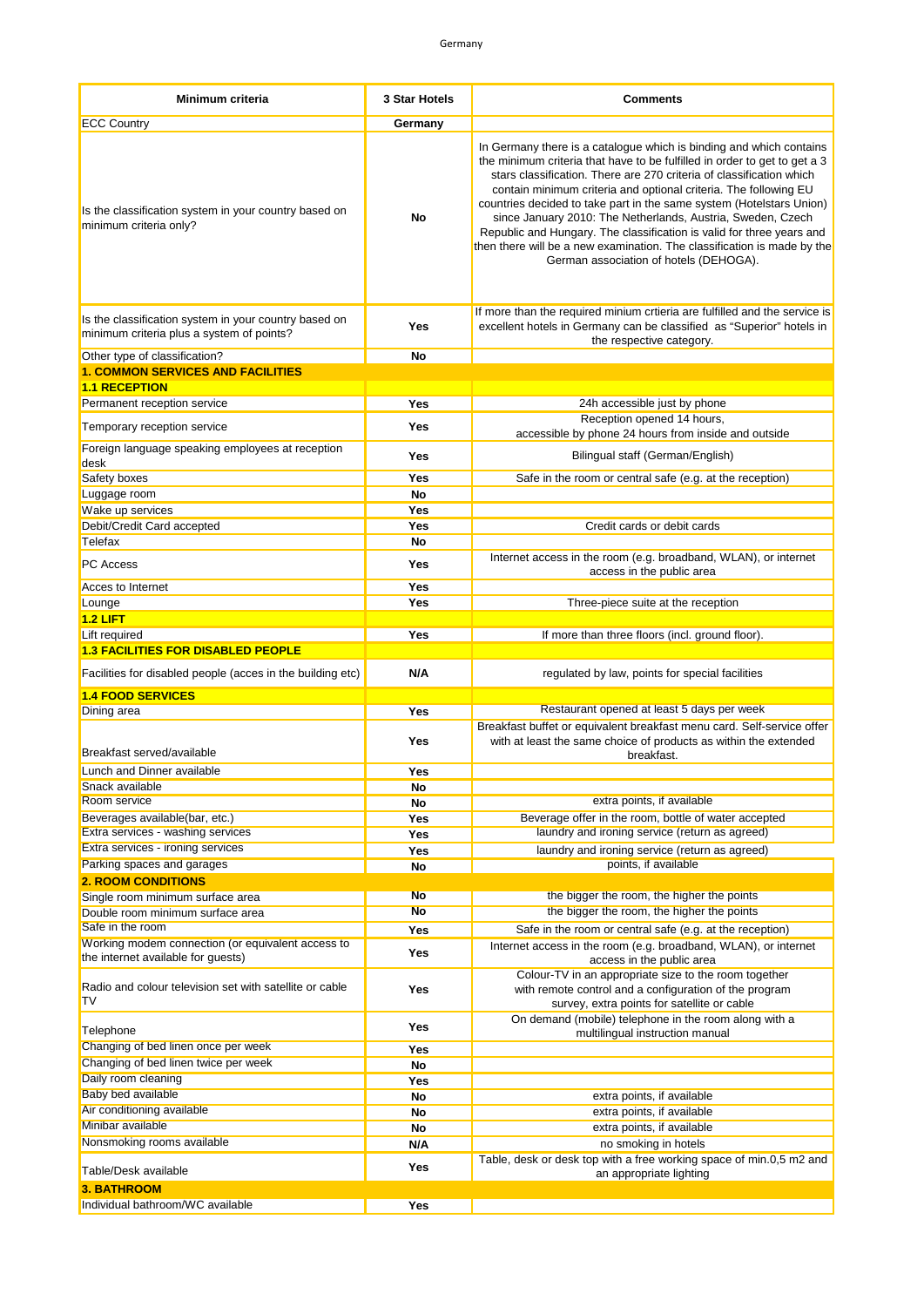| Minimum criteria                                                                                   | <b>3 Star Hotels</b> | <b>Comments</b>                                                                                                                                                                                                                                                                                                                                                                                                                                                                                                                                                                                                                   |
|----------------------------------------------------------------------------------------------------|----------------------|-----------------------------------------------------------------------------------------------------------------------------------------------------------------------------------------------------------------------------------------------------------------------------------------------------------------------------------------------------------------------------------------------------------------------------------------------------------------------------------------------------------------------------------------------------------------------------------------------------------------------------------|
| <b>ECC Country</b>                                                                                 | Germany              |                                                                                                                                                                                                                                                                                                                                                                                                                                                                                                                                                                                                                                   |
| Is the classification system in your country based on<br>minimum criteria only?                    | No                   | In Germany there is a catalogue which is binding and which contains<br>the minimum criteria that have to be fulfilled in order to get to get a 3<br>stars classification. There are 270 criteria of classification which<br>contain minimum criteria and optional criteria. The following EU<br>countries decided to take part in the same system (Hotelstars Union)<br>since January 2010: The Netherlands, Austria, Sweden, Czech<br>Republic and Hungary. The classification is valid for three years and<br>then there will be a new examination. The classification is made by the<br>German association of hotels (DEHOGA). |
| Is the classification system in your country based on<br>minimum criteria plus a system of points? | Yes                  | If more than the required minium crtieria are fulfilled and the service is<br>excellent hotels in Germany can be classified as "Superior" hotels in<br>the respective category.                                                                                                                                                                                                                                                                                                                                                                                                                                                   |
| Other type of classification?                                                                      | No                   |                                                                                                                                                                                                                                                                                                                                                                                                                                                                                                                                                                                                                                   |
| <b>1. COMMON SERVICES AND FACILITIES</b>                                                           |                      |                                                                                                                                                                                                                                                                                                                                                                                                                                                                                                                                                                                                                                   |
| <b>1.1 RECEPTION</b>                                                                               |                      |                                                                                                                                                                                                                                                                                                                                                                                                                                                                                                                                                                                                                                   |
| Permanent reception service                                                                        | Yes                  | 24h accessible just by phone<br>Reception opened 14 hours,                                                                                                                                                                                                                                                                                                                                                                                                                                                                                                                                                                        |
| Temporary reception service                                                                        | Yes                  | accessible by phone 24 hours from inside and outside                                                                                                                                                                                                                                                                                                                                                                                                                                                                                                                                                                              |
| Foreign language speaking employees at reception<br>desk                                           | Yes                  | Bilingual staff (German/English)                                                                                                                                                                                                                                                                                                                                                                                                                                                                                                                                                                                                  |
| Safety boxes                                                                                       | Yes                  | Safe in the room or central safe (e.g. at the reception)                                                                                                                                                                                                                                                                                                                                                                                                                                                                                                                                                                          |
| Luggage room                                                                                       | No                   |                                                                                                                                                                                                                                                                                                                                                                                                                                                                                                                                                                                                                                   |
| Wake up services                                                                                   | Yes                  |                                                                                                                                                                                                                                                                                                                                                                                                                                                                                                                                                                                                                                   |
| Debit/Credit Card accepted                                                                         | Yes                  | Credit cards or debit cards                                                                                                                                                                                                                                                                                                                                                                                                                                                                                                                                                                                                       |
| Telefax                                                                                            | No                   | Internet access in the room (e.g. broadband, WLAN), or internet                                                                                                                                                                                                                                                                                                                                                                                                                                                                                                                                                                   |
| <b>PC Access</b>                                                                                   | Yes                  | access in the public area                                                                                                                                                                                                                                                                                                                                                                                                                                                                                                                                                                                                         |
| Acces to Internet                                                                                  | Yes<br>Yes           | Three-piece suite at the reception                                                                                                                                                                                                                                                                                                                                                                                                                                                                                                                                                                                                |
| Lounge<br>$1.2$ LIFT                                                                               |                      |                                                                                                                                                                                                                                                                                                                                                                                                                                                                                                                                                                                                                                   |
| Lift required                                                                                      | Yes                  | If more than three floors (incl. ground floor).                                                                                                                                                                                                                                                                                                                                                                                                                                                                                                                                                                                   |
| <b>1.3 FACILITIES FOR DISABLED PEOPLE</b>                                                          |                      |                                                                                                                                                                                                                                                                                                                                                                                                                                                                                                                                                                                                                                   |
| Facilities for disabled people (acces in the building etc)                                         | N/A                  | regulated by law, points for special facilities                                                                                                                                                                                                                                                                                                                                                                                                                                                                                                                                                                                   |
| <b>1.4 FOOD SERVICES</b>                                                                           |                      | Restaurant opened at least 5 days per week                                                                                                                                                                                                                                                                                                                                                                                                                                                                                                                                                                                        |
| Dining area                                                                                        | Yes                  | Breakfast buffet or equivalent breakfast menu card. Self-service offer                                                                                                                                                                                                                                                                                                                                                                                                                                                                                                                                                            |
| Breakfast served/available                                                                         | Yes                  | with at least the same choice of products as within the extended<br>breakfast.                                                                                                                                                                                                                                                                                                                                                                                                                                                                                                                                                    |
| Lunch and Dinner available                                                                         | Yes                  |                                                                                                                                                                                                                                                                                                                                                                                                                                                                                                                                                                                                                                   |
| Snack available                                                                                    | No                   |                                                                                                                                                                                                                                                                                                                                                                                                                                                                                                                                                                                                                                   |
| Room service                                                                                       | No                   | extra points, if available                                                                                                                                                                                                                                                                                                                                                                                                                                                                                                                                                                                                        |
| Beverages available(bar, etc.)                                                                     | Yes                  | Beverage offer in the room, bottle of water accepted                                                                                                                                                                                                                                                                                                                                                                                                                                                                                                                                                                              |
| Extra services - washing services                                                                  | Yes                  | laundry and ironing service (return as agreed)                                                                                                                                                                                                                                                                                                                                                                                                                                                                                                                                                                                    |
| Extra services - ironing services                                                                  | Yes                  | laundry and ironing service (return as agreed)                                                                                                                                                                                                                                                                                                                                                                                                                                                                                                                                                                                    |
| Parking spaces and garages                                                                         | No                   | points, if available                                                                                                                                                                                                                                                                                                                                                                                                                                                                                                                                                                                                              |
| <b>2. ROOM CONDITIONS</b>                                                                          | <b>No</b>            | the bigger the room, the higher the points                                                                                                                                                                                                                                                                                                                                                                                                                                                                                                                                                                                        |
| Single room minimum surface area<br>Double room minimum surface area                               | No                   | the bigger the room, the higher the points                                                                                                                                                                                                                                                                                                                                                                                                                                                                                                                                                                                        |
| Safe in the room                                                                                   | Yes                  | Safe in the room or central safe (e.g. at the reception)                                                                                                                                                                                                                                                                                                                                                                                                                                                                                                                                                                          |
| Working modem connection (or equivalent access to<br>the internet available for guests)            | Yes                  | Internet access in the room (e.g. broadband, WLAN), or internet                                                                                                                                                                                                                                                                                                                                                                                                                                                                                                                                                                   |
| Radio and colour television set with satellite or cable<br>TV                                      | Yes                  | access in the public area<br>Colour-TV in an appropriate size to the room together<br>with remote control and a configuration of the program<br>survey, extra points for satellite or cable                                                                                                                                                                                                                                                                                                                                                                                                                                       |
| Telephone                                                                                          | Yes                  | On demand (mobile) telephone in the room along with a<br>multilingual instruction manual                                                                                                                                                                                                                                                                                                                                                                                                                                                                                                                                          |
| Changing of bed linen once per week                                                                |                      |                                                                                                                                                                                                                                                                                                                                                                                                                                                                                                                                                                                                                                   |
| Changing of bed linen twice per week                                                               | Yes                  |                                                                                                                                                                                                                                                                                                                                                                                                                                                                                                                                                                                                                                   |
|                                                                                                    | No                   |                                                                                                                                                                                                                                                                                                                                                                                                                                                                                                                                                                                                                                   |
| Daily room cleaning                                                                                | Yes                  |                                                                                                                                                                                                                                                                                                                                                                                                                                                                                                                                                                                                                                   |
| Baby bed available                                                                                 | No                   | extra points, if available                                                                                                                                                                                                                                                                                                                                                                                                                                                                                                                                                                                                        |
| Air conditioning available                                                                         | No                   | extra points, if available                                                                                                                                                                                                                                                                                                                                                                                                                                                                                                                                                                                                        |
| Minibar available                                                                                  | No                   | extra points, if available                                                                                                                                                                                                                                                                                                                                                                                                                                                                                                                                                                                                        |
| Nonsmoking rooms available                                                                         | N/A<br>Yes           | no smoking in hotels<br>Table, desk or desk top with a free working space of min.0,5 m2 and                                                                                                                                                                                                                                                                                                                                                                                                                                                                                                                                       |
| Table/Desk available                                                                               |                      | an appropriate lighting                                                                                                                                                                                                                                                                                                                                                                                                                                                                                                                                                                                                           |
| <b>3. BATHROOM</b><br>Individual bathroom/WC available                                             | Yes                  |                                                                                                                                                                                                                                                                                                                                                                                                                                                                                                                                                                                                                                   |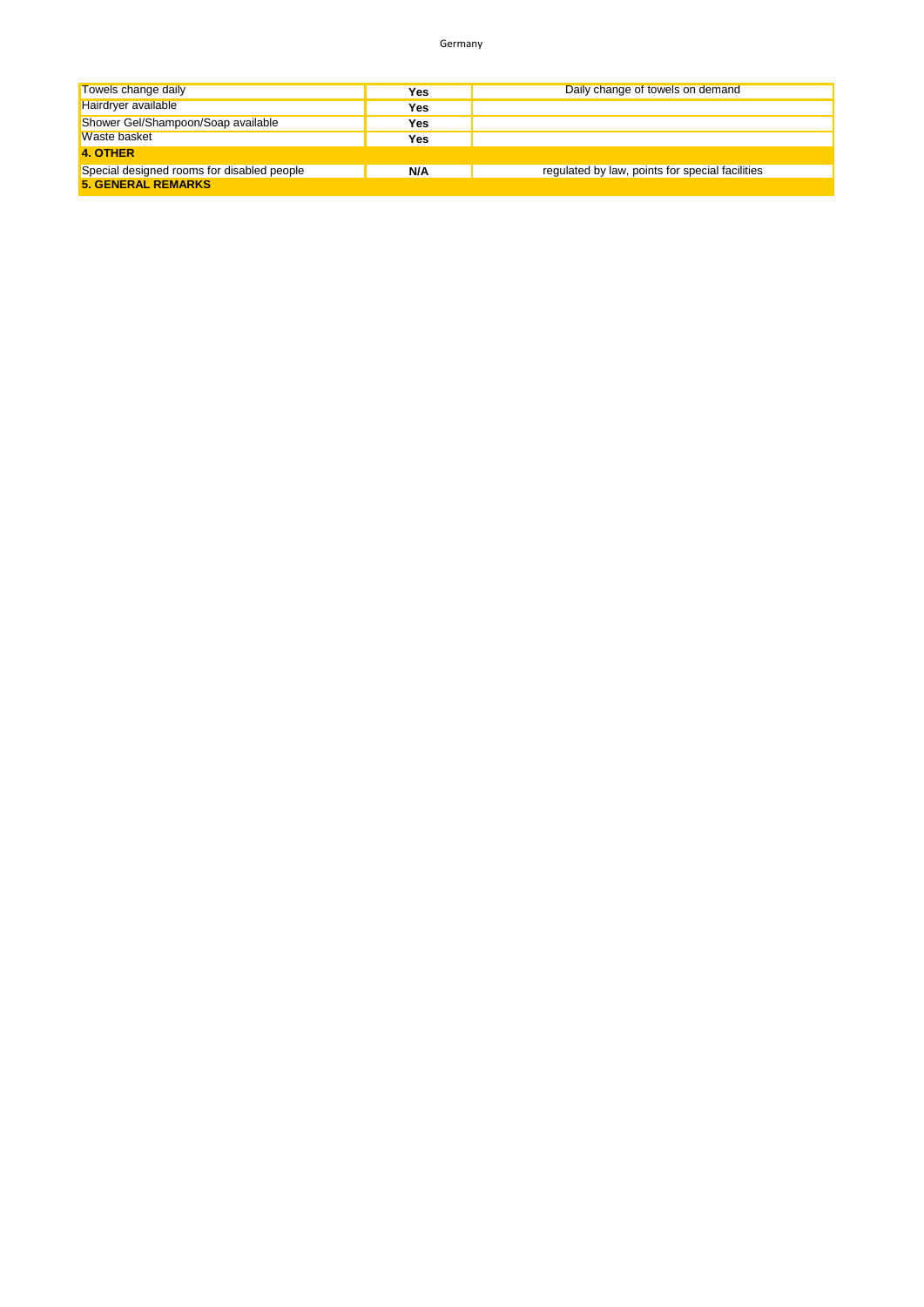| Towels change daily                        | Yes | Daily change of towels on demand                |
|--------------------------------------------|-----|-------------------------------------------------|
| Hairdryer available                        | Yes |                                                 |
| Shower Gel/Shampoon/Soap available         | Yes |                                                 |
| Waste basket                               | Yes |                                                 |
| 4. OTHER                                   |     |                                                 |
| Special designed rooms for disabled people | N/A | regulated by law, points for special facilities |
| <b>5. GENERAL REMARKS</b>                  |     |                                                 |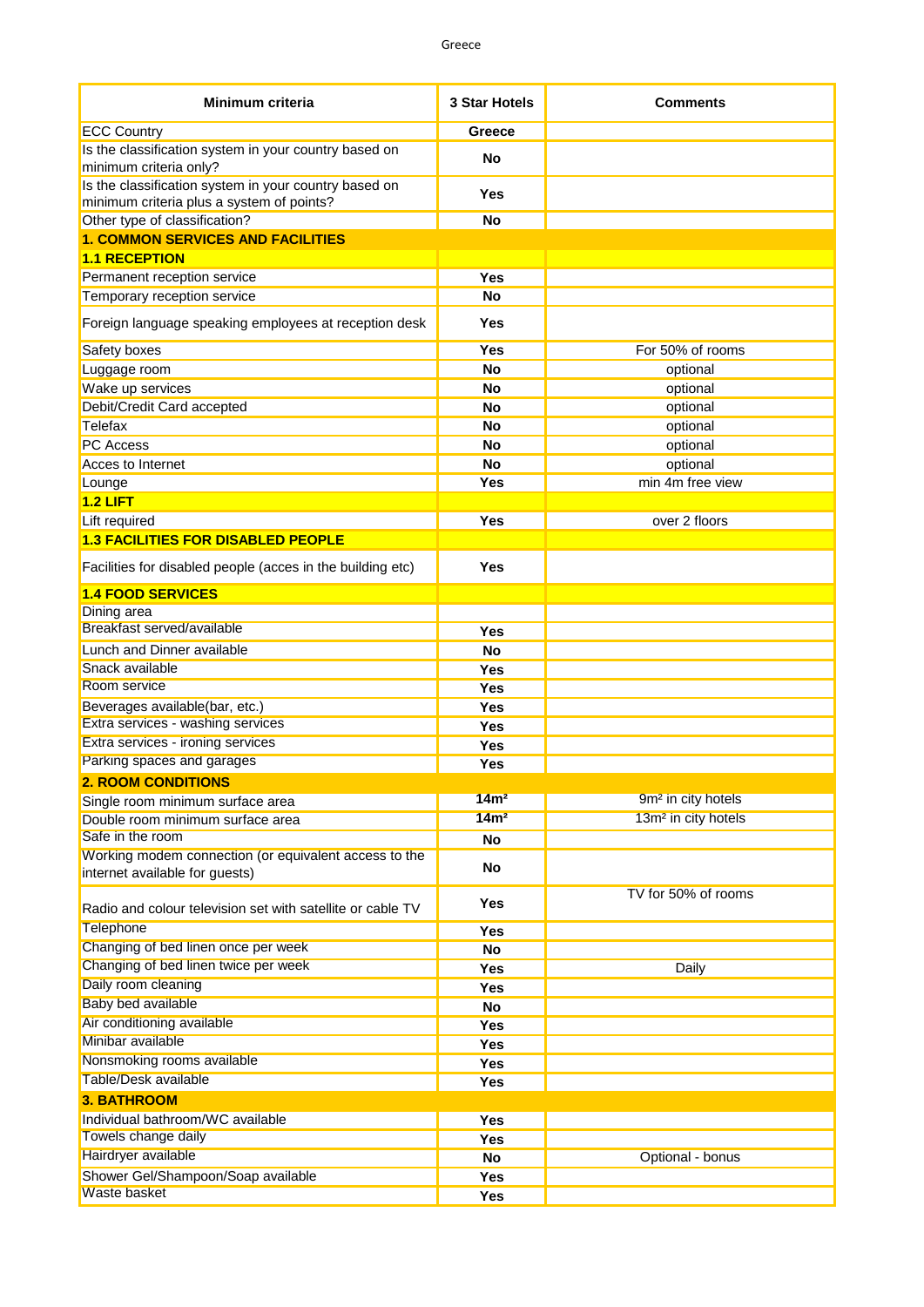| Minimum criteria                                                                                   | <b>3 Star Hotels</b> | <b>Comments</b>                 |
|----------------------------------------------------------------------------------------------------|----------------------|---------------------------------|
| <b>ECC Country</b>                                                                                 | Greece               |                                 |
| Is the classification system in your country based on<br>minimum criteria only?                    | <b>No</b>            |                                 |
| Is the classification system in your country based on<br>minimum criteria plus a system of points? | Yes                  |                                 |
| Other type of classification?                                                                      | <b>No</b>            |                                 |
| <b>1. COMMON SERVICES AND FACILITIES</b>                                                           |                      |                                 |
| <b>1.1 RECEPTION</b>                                                                               |                      |                                 |
| Permanent reception service                                                                        | <b>Yes</b>           |                                 |
| Temporary reception service                                                                        | <b>No</b>            |                                 |
| Foreign language speaking employees at reception desk                                              | Yes                  |                                 |
| Safety boxes                                                                                       | <b>Yes</b>           | For 50% of rooms                |
| Luggage room                                                                                       | <b>No</b>            | optional                        |
| Wake up services                                                                                   | <b>No</b>            | optional                        |
| Debit/Credit Card accepted                                                                         | <b>No</b>            | optional                        |
| Telefax                                                                                            | <b>No</b>            | optional                        |
| PC Access                                                                                          | <b>No</b>            | optional                        |
| Acces to Internet                                                                                  | <b>No</b>            | optional                        |
| Lounge                                                                                             | <b>Yes</b>           | min 4m free view                |
| $1.2$ LIFT                                                                                         |                      |                                 |
| Lift required<br><b>1.3 FACILITIES FOR DISABLED PEOPLE</b>                                         | <b>Yes</b>           | over 2 floors                   |
|                                                                                                    |                      |                                 |
| Facilities for disabled people (acces in the building etc)                                         | <b>Yes</b>           |                                 |
| <b>1.4 FOOD SERVICES</b>                                                                           |                      |                                 |
| Dining area<br>Breakfast served/available                                                          |                      |                                 |
|                                                                                                    | <b>Yes</b>           |                                 |
| Lunch and Dinner available<br>Snack available                                                      | <b>No</b>            |                                 |
| Room service                                                                                       | <b>Yes</b>           |                                 |
| Beverages available(bar, etc.)                                                                     | <b>Yes</b>           |                                 |
| Extra services - washing services                                                                  | <b>Yes</b>           |                                 |
| Extra services - ironing services                                                                  | <b>Yes</b><br>Yes    |                                 |
| Parking spaces and garages                                                                         | <b>Yes</b>           |                                 |
| <b>2. ROOM CONDITIONS</b>                                                                          |                      |                                 |
| Single room minimum surface area                                                                   | 14m <sup>2</sup>     | 9m <sup>2</sup> in city hotels  |
| Double room minimum surface area                                                                   | 14m <sup>2</sup>     | 13m <sup>2</sup> in city hotels |
| Safe in the room                                                                                   | No                   |                                 |
| Working modem connection (or equivalent access to the<br>internet available for guests)            | No                   |                                 |
| Radio and colour television set with satellite or cable TV                                         | Yes                  | TV for 50% of rooms             |
| Telephone                                                                                          | Yes                  |                                 |
| Changing of bed linen once per week                                                                | No                   |                                 |
| Changing of bed linen twice per week                                                               | Yes                  | Daily                           |
| Daily room cleaning                                                                                | Yes                  |                                 |
| <b>Baby bed available</b>                                                                          | No                   |                                 |
| Air conditioning available                                                                         | Yes                  |                                 |
| Minibar available                                                                                  | Yes                  |                                 |
| Nonsmoking rooms available                                                                         | Yes                  |                                 |
| Table/Desk available                                                                               | Yes                  |                                 |
| <b>3. BATHROOM</b>                                                                                 |                      |                                 |
| Individual bathroom/WC available                                                                   | Yes                  |                                 |
| Towels change daily                                                                                | Yes                  |                                 |
| Hairdryer available                                                                                | <b>No</b>            | Optional - bonus                |
| Shower Gel/Shampoon/Soap available                                                                 | Yes                  |                                 |
| Waste basket                                                                                       | Yes                  |                                 |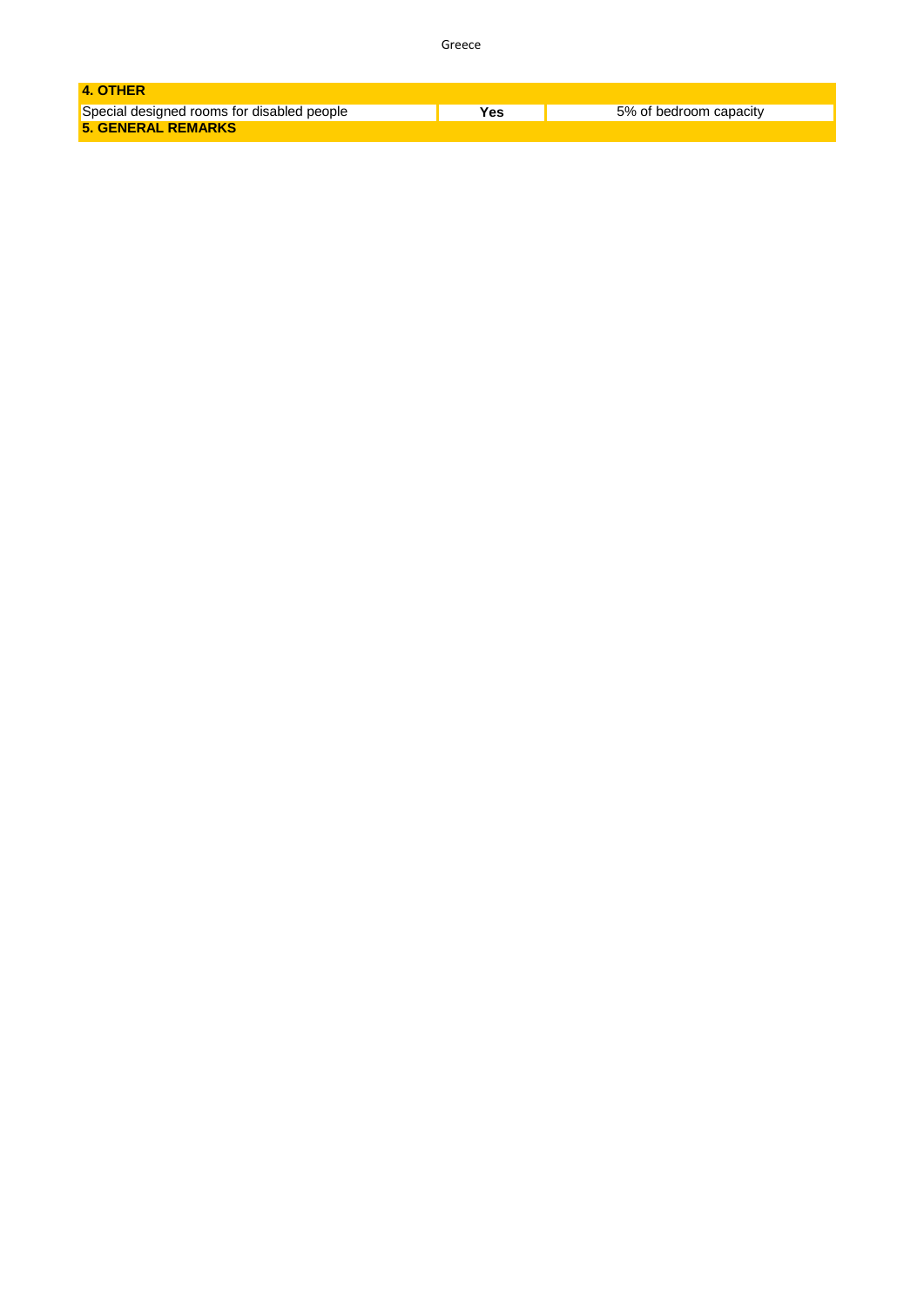|--|--|--|

| 4. OTHER                                   |      |                        |
|--------------------------------------------|------|------------------------|
| Special designed rooms for disabled people | Yes. | 5% of bedroom capacity |
| <b>5. GENERAL REMARKS</b>                  |      |                        |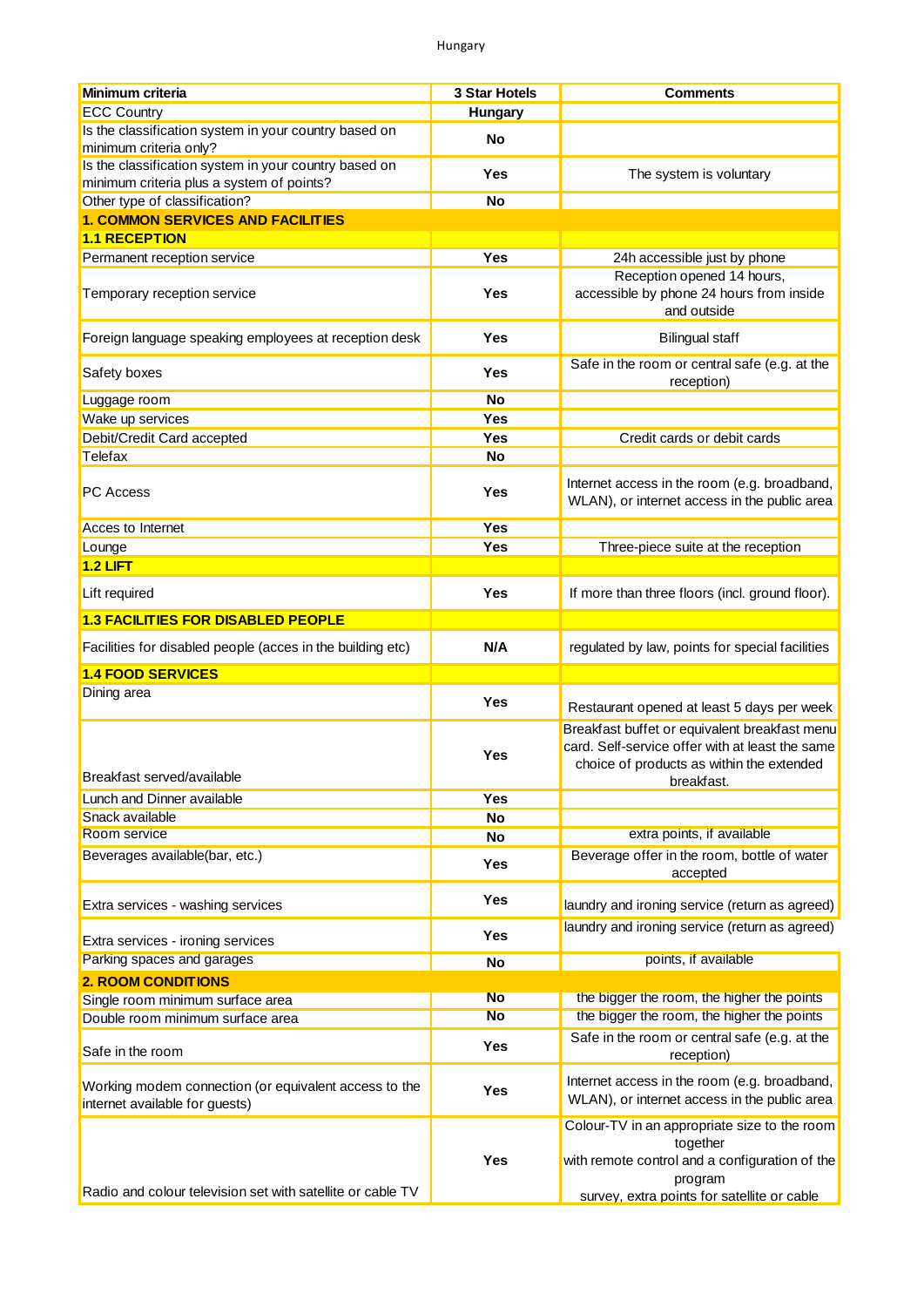| <b>Minimum criteria</b>                                                                 | 3 Star Hotels  | <b>Comments</b>                                                                                                                                                      |
|-----------------------------------------------------------------------------------------|----------------|----------------------------------------------------------------------------------------------------------------------------------------------------------------------|
| <b>ECC Country</b>                                                                      | <b>Hungary</b> |                                                                                                                                                                      |
| Is the classification system in your country based on                                   | No             |                                                                                                                                                                      |
| minimum criteria only?                                                                  |                |                                                                                                                                                                      |
| Is the classification system in your country based on                                   | <b>Yes</b>     | The system is voluntary                                                                                                                                              |
| minimum criteria plus a system of points?                                               |                |                                                                                                                                                                      |
| Other type of classification?                                                           | <b>No</b>      |                                                                                                                                                                      |
| <b>1. COMMON SERVICES AND FACILITIES</b>                                                |                |                                                                                                                                                                      |
| <b>1.1 RECEPTION</b>                                                                    |                |                                                                                                                                                                      |
| Permanent reception service                                                             | Yes            | 24h accessible just by phone<br>Reception opened 14 hours,                                                                                                           |
| Temporary reception service                                                             | Yes            | accessible by phone 24 hours from inside<br>and outside                                                                                                              |
| Foreign language speaking employees at reception desk                                   | Yes            | <b>Bilingual staff</b>                                                                                                                                               |
| Safety boxes                                                                            | Yes            | Safe in the room or central safe (e.g. at the<br>reception)                                                                                                          |
| Luggage room                                                                            | <b>No</b>      |                                                                                                                                                                      |
| Wake up services                                                                        | Yes            |                                                                                                                                                                      |
| Debit/Credit Card accepted                                                              | Yes            | Credit cards or debit cards                                                                                                                                          |
| Telefax                                                                                 | <b>No</b>      |                                                                                                                                                                      |
| <b>PC</b> Access                                                                        | Yes            | Internet access in the room (e.g. broadband,<br>WLAN), or internet access in the public area                                                                         |
| Acces to Internet                                                                       | <b>Yes</b>     |                                                                                                                                                                      |
| Lounge                                                                                  | Yes            | Three-piece suite at the reception                                                                                                                                   |
| $1.2$ LIFT                                                                              |                |                                                                                                                                                                      |
| Lift required                                                                           | <b>Yes</b>     | If more than three floors (incl. ground floor).                                                                                                                      |
| <b>1.3 FACILITIES FOR DISABLED PEOPLE</b>                                               |                |                                                                                                                                                                      |
| Facilities for disabled people (acces in the building etc)                              | N/A            | regulated by law, points for special facilities                                                                                                                      |
| <b>1.4 FOOD SERVICES</b>                                                                |                |                                                                                                                                                                      |
| Dining area                                                                             |                |                                                                                                                                                                      |
|                                                                                         | Yes            | Restaurant opened at least 5 days per week                                                                                                                           |
| Breakfast served/available                                                              | Yes            | Breakfast buffet or equivalent breakfast menu<br>card. Self-service offer with at least the same<br>choice of products as within the extended<br>breakfast.          |
| Lunch and Dinner available                                                              | Yes            |                                                                                                                                                                      |
| Snack available                                                                         | No             |                                                                                                                                                                      |
| Room service                                                                            | No             | extra points, if available                                                                                                                                           |
| Beverages available(bar, etc.)                                                          | Yes            | Beverage offer in the room, bottle of water<br>accepted                                                                                                              |
| Extra services - washing services                                                       | Yes            | laundry and ironing service (return as agreed)                                                                                                                       |
| Extra services - ironing services                                                       | Yes            | laundry and ironing service (return as agreed)                                                                                                                       |
| Parking spaces and garages                                                              | No             | points, if available                                                                                                                                                 |
| <b>2. ROOM CONDITIONS</b>                                                               |                |                                                                                                                                                                      |
| Single room minimum surface area                                                        | <b>No</b>      | the bigger the room, the higher the points                                                                                                                           |
| Double room minimum surface area                                                        | <b>No</b>      | the bigger the room, the higher the points                                                                                                                           |
|                                                                                         |                | Safe in the room or central safe (e.g. at the                                                                                                                        |
| Safe in the room                                                                        | Yes            | reception)                                                                                                                                                           |
| Working modem connection (or equivalent access to the<br>internet available for guests) | Yes            | Internet access in the room (e.g. broadband,<br>WLAN), or internet access in the public area                                                                         |
| Radio and colour television set with satellite or cable TV                              | Yes            | Colour-TV in an appropriate size to the room<br>together<br>with remote control and a configuration of the<br>program<br>survey, extra points for satellite or cable |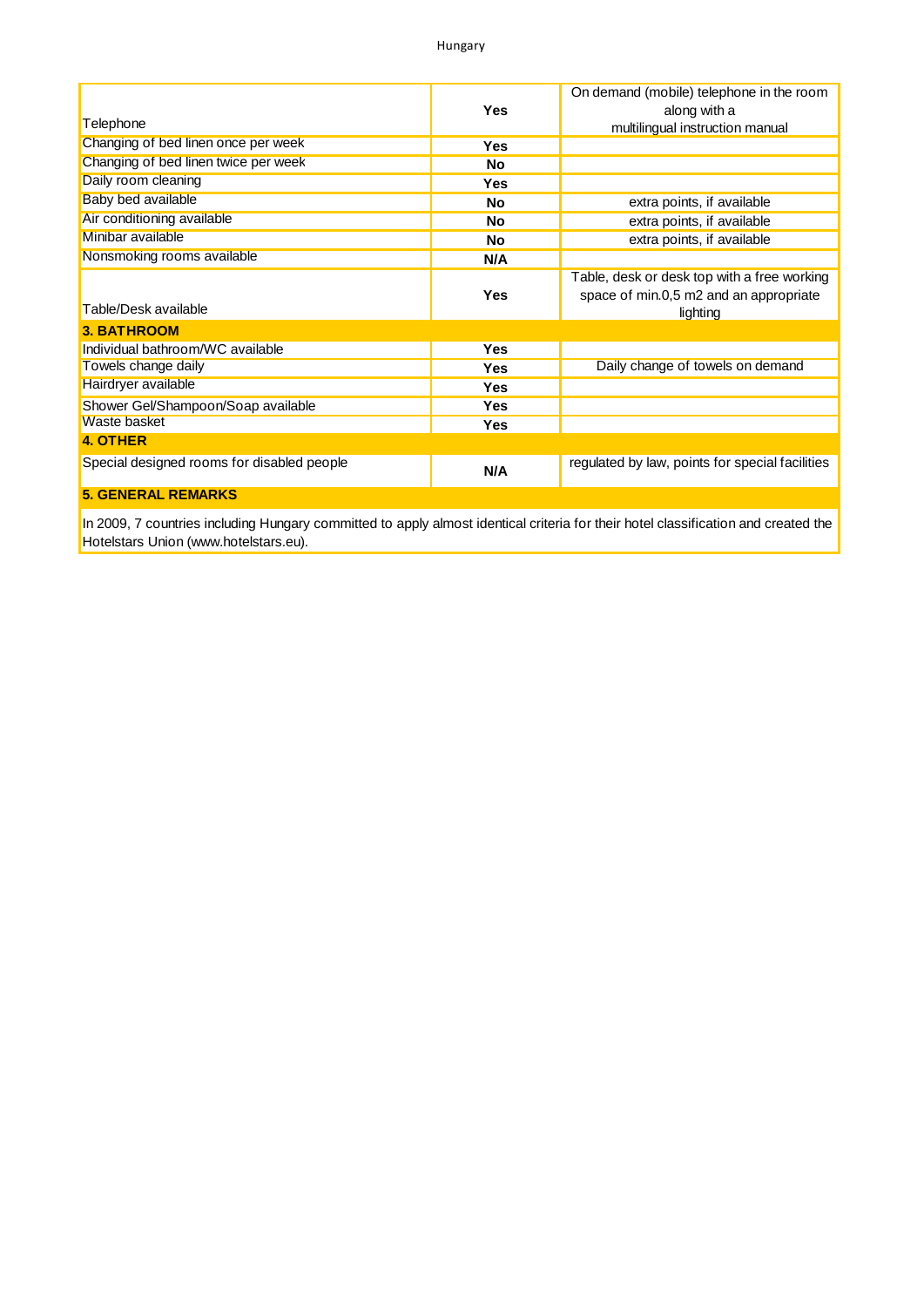|                                            |            | On demand (mobile) telephone in the room        |
|--------------------------------------------|------------|-------------------------------------------------|
|                                            | <b>Yes</b> | along with a                                    |
| Telephone                                  |            | multilingual instruction manual                 |
| Changing of bed linen once per week        | Yes        |                                                 |
| Changing of bed linen twice per week       | No         |                                                 |
| Daily room cleaning                        | <b>Yes</b> |                                                 |
| <b>Baby bed available</b>                  | No         | extra points, if available                      |
| Air conditioning available                 | No         | extra points, if available                      |
| Minibar available                          | No         | extra points, if available                      |
| Nonsmoking rooms available                 | N/A        |                                                 |
|                                            |            | Table, desk or desk top with a free working     |
|                                            | <b>Yes</b> | space of min.0,5 m2 and an appropriate          |
| Table/Desk available                       |            | lighting                                        |
| <b>3. BATHROOM</b>                         |            |                                                 |
| Individual bathroom/WC available           | <b>Yes</b> |                                                 |
| Towels change daily                        | <b>Yes</b> | Daily change of towels on demand                |
| Hairdryer available                        | <b>Yes</b> |                                                 |
| Shower Gel/Shampoon/Soap available         | <b>Yes</b> |                                                 |
| Waste basket                               | <b>Yes</b> |                                                 |
| <b>4. OTHER</b>                            |            |                                                 |
| Special designed rooms for disabled people | N/A        | regulated by law, points for special facilities |
| <b>5. GENERAL REMARKS</b>                  |            |                                                 |

In 2009, 7 countries including Hungary committed to apply almost identical criteria for their hotel classification and created the Hotelstars Union [\(www.hotelstars.eu](www.hotelstars.eu)).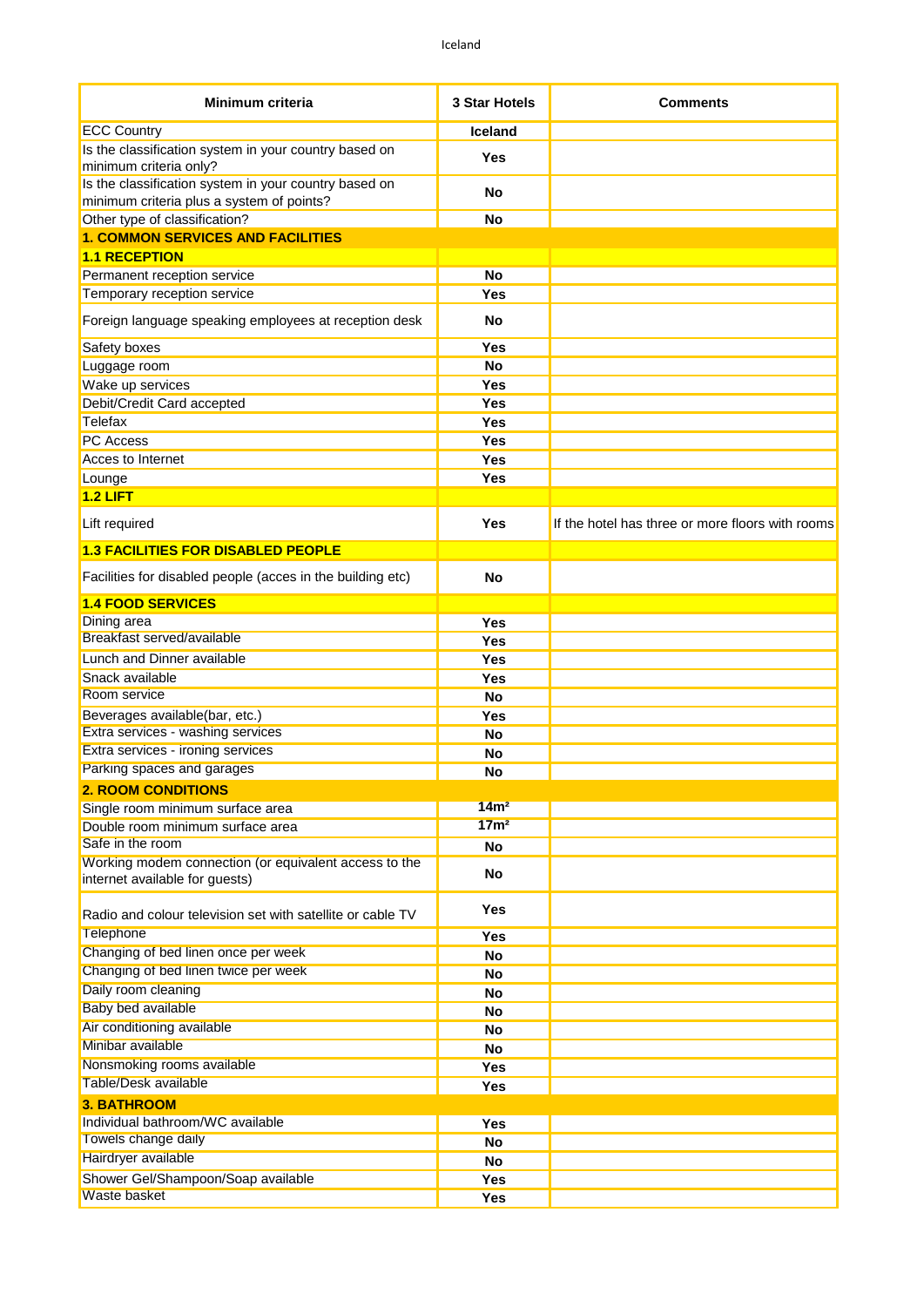| Minimum criteria                                                                                   | 3 Star Hotels    | <b>Comments</b>                                  |
|----------------------------------------------------------------------------------------------------|------------------|--------------------------------------------------|
| <b>ECC Country</b>                                                                                 | <b>Iceland</b>   |                                                  |
| Is the classification system in your country based on<br>minimum criteria only?                    | Yes              |                                                  |
| Is the classification system in your country based on<br>minimum criteria plus a system of points? | No               |                                                  |
| Other type of classification?                                                                      | <b>No</b>        |                                                  |
| <b>1. COMMON SERVICES AND FACILITIES</b>                                                           |                  |                                                  |
| <b>1.1 RECEPTION</b>                                                                               |                  |                                                  |
| Permanent reception service                                                                        | <b>No</b>        |                                                  |
| Temporary reception service                                                                        | Yes              |                                                  |
| Foreign language speaking employees at reception desk                                              | No               |                                                  |
| Safety boxes                                                                                       | Yes              |                                                  |
| Luggage room                                                                                       | <b>No</b>        |                                                  |
| Wake up services                                                                                   | Yes              |                                                  |
| Debit/Credit Card accepted                                                                         | Yes              |                                                  |
| Telefax                                                                                            | Yes              |                                                  |
| <b>PC</b> Access                                                                                   | Yes              |                                                  |
| Acces to Internet                                                                                  | Yes              |                                                  |
| Lounge<br>$1.2$ LIFT                                                                               | Yes              |                                                  |
| Lift required                                                                                      | Yes              | If the hotel has three or more floors with rooms |
| <b>1.3 FACILITIES FOR DISABLED PEOPLE</b>                                                          |                  |                                                  |
| Facilities for disabled people (acces in the building etc)                                         | No               |                                                  |
| <b>1.4 FOOD SERVICES</b>                                                                           |                  |                                                  |
| Dining area                                                                                        | Yes              |                                                  |
| Breakfast served/available                                                                         | Yes              |                                                  |
| Lunch and Dinner available                                                                         | Yes              |                                                  |
| Snack available                                                                                    | Yes              |                                                  |
| <b>Room service</b>                                                                                | <b>No</b>        |                                                  |
| Beverages available(bar, etc.)                                                                     | Yes              |                                                  |
| Extra services - washing services                                                                  | <b>No</b>        |                                                  |
| Extra services - ironing services                                                                  | <b>No</b>        |                                                  |
| Parking spaces and garages                                                                         | <b>No</b>        |                                                  |
| <b>2. ROOM CONDITIONS</b>                                                                          |                  |                                                  |
| Single room minimum surface area                                                                   | 14m <sup>2</sup> |                                                  |
| Double room minimum surface area                                                                   | 17 <sub>m²</sub> |                                                  |
| Safe in the room                                                                                   | No               |                                                  |
| Working modem connection (or equivalent access to the<br>internet available for guests)            | No               |                                                  |
| Radio and colour television set with satellite or cable TV                                         | Yes              |                                                  |
| Telephone                                                                                          | Yes              |                                                  |
| Changing of bed linen once per week                                                                | <b>No</b>        |                                                  |
| Changing of bed linen twice per week                                                               | No               |                                                  |
| Daily room cleaning                                                                                | No               |                                                  |
| <b>Baby bed available</b>                                                                          | No               |                                                  |
| Air conditioning available                                                                         | No               |                                                  |
| Minibar available                                                                                  | No               |                                                  |
| Nonsmoking rooms available                                                                         | Yes              |                                                  |
| Table/Desk available                                                                               | <b>Yes</b>       |                                                  |
| <b>3. BATHROOM</b>                                                                                 |                  |                                                  |
| Individual bathroom/WC available                                                                   | Yes              |                                                  |
| Towels change daily                                                                                | <b>No</b>        |                                                  |
| Hairdryer available                                                                                | <b>No</b>        |                                                  |
| Shower Gel/Shampoon/Soap available                                                                 | Yes              |                                                  |
| <b>Waste basket</b>                                                                                | Yes              |                                                  |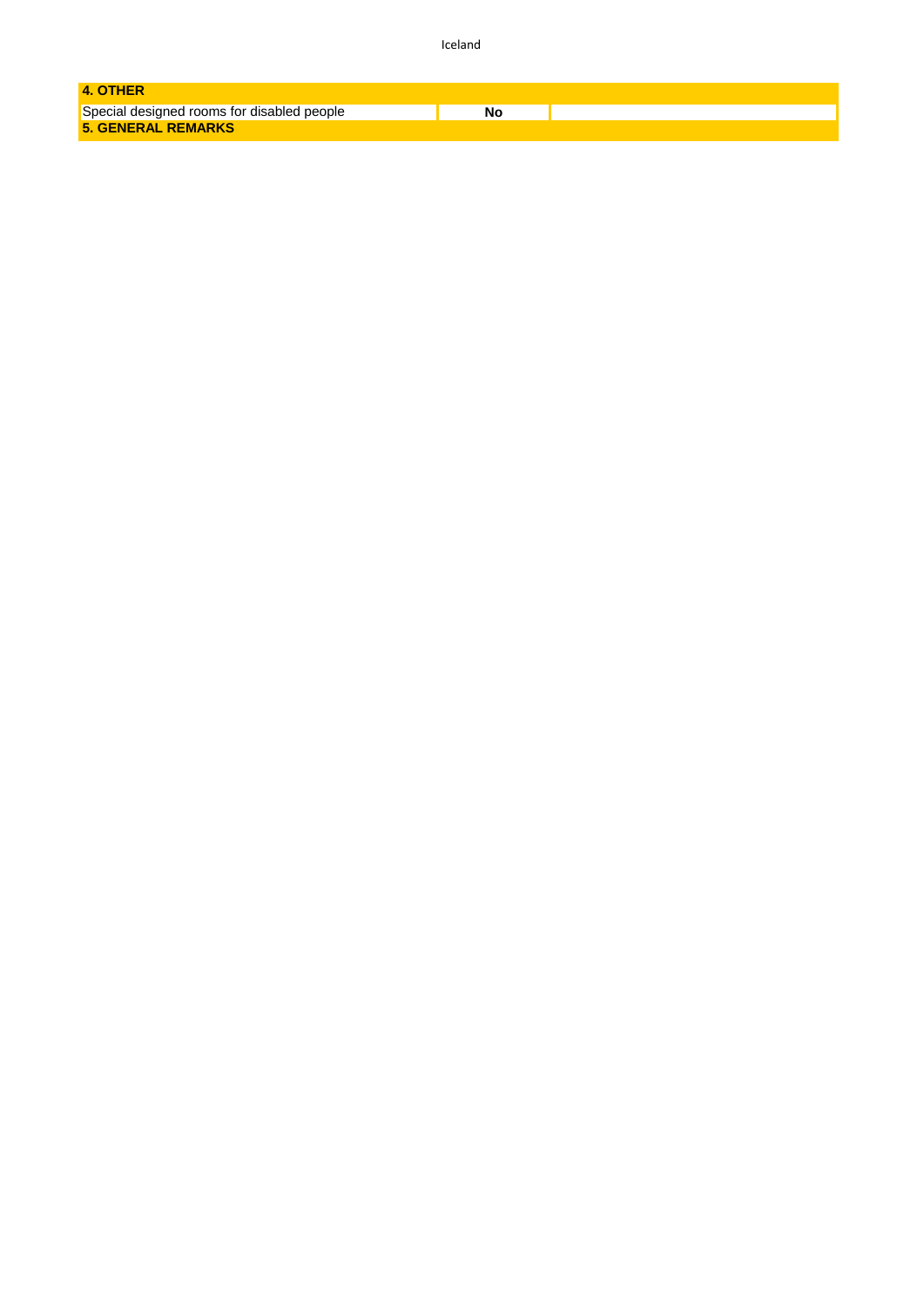Iceland

| 4. OTHER                                   |    |
|--------------------------------------------|----|
| Special designed rooms for disabled people | Nο |
| <b>5. GENERAL REMARKS</b>                  |    |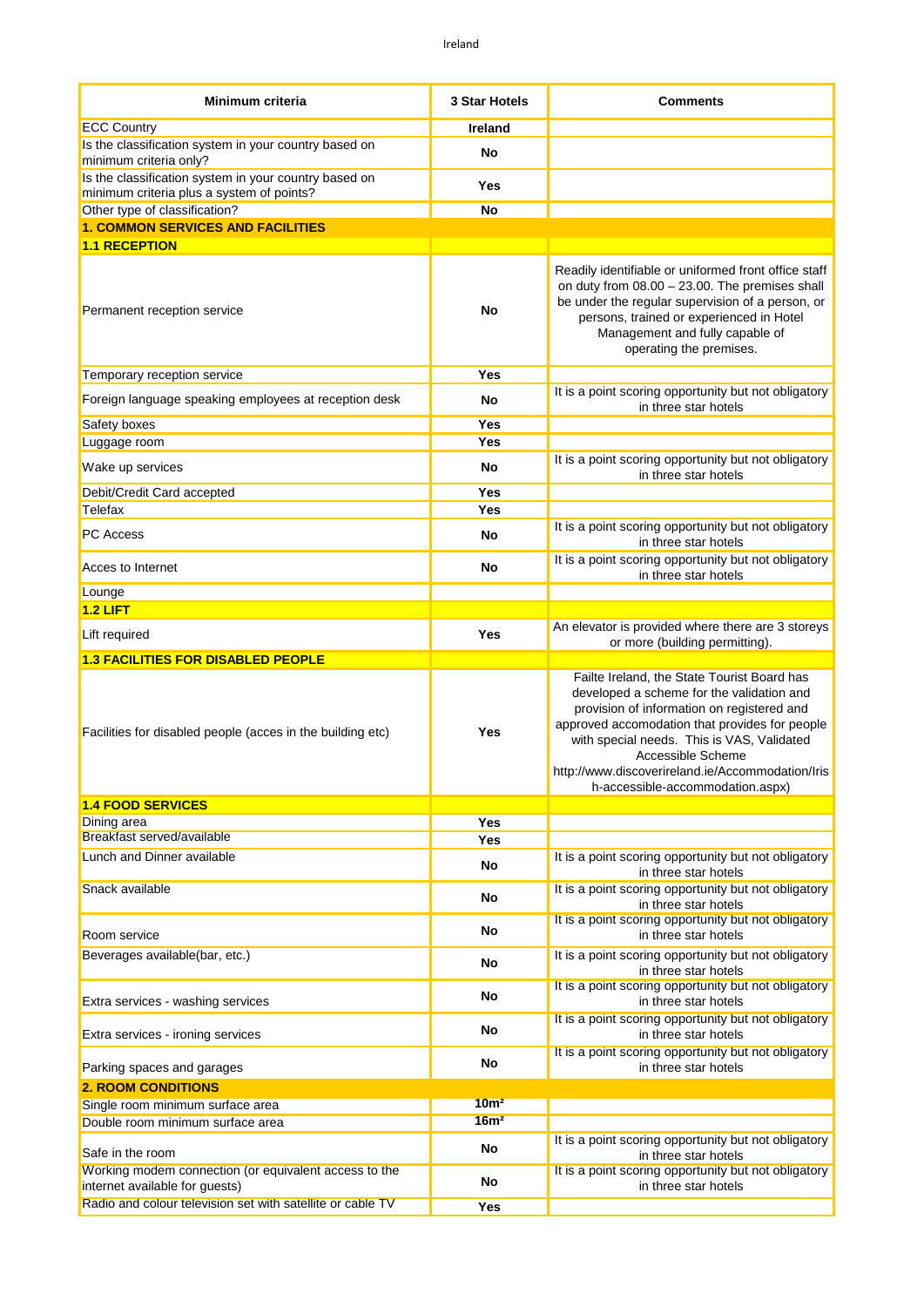| Minimum criteria                                                                                                                                      | 3 Star Hotels    | <b>Comments</b>                                                                                                                                                                                                                                                                                                 |
|-------------------------------------------------------------------------------------------------------------------------------------------------------|------------------|-----------------------------------------------------------------------------------------------------------------------------------------------------------------------------------------------------------------------------------------------------------------------------------------------------------------|
| <b>ECC Country</b>                                                                                                                                    | <b>Ireland</b>   |                                                                                                                                                                                                                                                                                                                 |
| Is the classification system in your country based on<br>minimum criteria only?                                                                       | No               |                                                                                                                                                                                                                                                                                                                 |
| Is the classification system in your country based on                                                                                                 | Yes              |                                                                                                                                                                                                                                                                                                                 |
| minimum criteria plus a system of points?                                                                                                             |                  |                                                                                                                                                                                                                                                                                                                 |
| Other type of classification?<br><b>1. COMMON SERVICES AND FACILITIES</b>                                                                             | No               |                                                                                                                                                                                                                                                                                                                 |
| <b>1.1 RECEPTION</b>                                                                                                                                  |                  |                                                                                                                                                                                                                                                                                                                 |
| Permanent reception service                                                                                                                           | No               | Readily identifiable or uniformed front office staff<br>on duty from $08.00 - 23.00$ . The premises shall<br>be under the regular supervision of a person, or<br>persons, trained or experienced in Hotel<br>Management and fully capable of<br>operating the premises.                                         |
| Temporary reception service                                                                                                                           | Yes              |                                                                                                                                                                                                                                                                                                                 |
| Foreign language speaking employees at reception desk                                                                                                 | No               | It is a point scoring opportunity but not obligatory<br>in three star hotels                                                                                                                                                                                                                                    |
| Safety boxes                                                                                                                                          | Yes              |                                                                                                                                                                                                                                                                                                                 |
| Luggage room                                                                                                                                          | Yes              | It is a point scoring opportunity but not obligatory                                                                                                                                                                                                                                                            |
| Wake up services                                                                                                                                      | No               | in three star hotels                                                                                                                                                                                                                                                                                            |
| Debit/Credit Card accepted                                                                                                                            | Yes              |                                                                                                                                                                                                                                                                                                                 |
| Telefax                                                                                                                                               | Yes              |                                                                                                                                                                                                                                                                                                                 |
| <b>PC Access</b>                                                                                                                                      | No               | It is a point scoring opportunity but not obligatory<br>in three star hotels                                                                                                                                                                                                                                    |
| Acces to Internet                                                                                                                                     | <b>No</b>        | It is a point scoring opportunity but not obligatory<br>in three star hotels                                                                                                                                                                                                                                    |
| Lounge                                                                                                                                                |                  |                                                                                                                                                                                                                                                                                                                 |
| 1.2 LIFT                                                                                                                                              |                  | An elevator is provided where there are 3 storeys                                                                                                                                                                                                                                                               |
| Lift required                                                                                                                                         | Yes              | or more (building permitting).                                                                                                                                                                                                                                                                                  |
| <b>1.3 FACILITIES FOR DISABLED PEOPLE</b>                                                                                                             |                  |                                                                                                                                                                                                                                                                                                                 |
| Facilities for disabled people (acces in the building etc)                                                                                            | Yes              | Failte Ireland, the State Tourist Board has<br>developed a scheme for the validation and<br>provision of information on registered and<br>approved accomodation that provides for people<br>with special needs. This is VAS, Validated<br>Accessible Scheme<br>http://www.discoverireland.ie/Accommodation/Iris |
|                                                                                                                                                       |                  | h-accessible-accommodation.aspx)                                                                                                                                                                                                                                                                                |
| <b>1.4 FOOD SERVICES</b>                                                                                                                              |                  |                                                                                                                                                                                                                                                                                                                 |
| Dining area                                                                                                                                           | Yes              |                                                                                                                                                                                                                                                                                                                 |
| Breakfast served/available                                                                                                                            | Yes              |                                                                                                                                                                                                                                                                                                                 |
| Lunch and Dinner available                                                                                                                            | <b>No</b>        | It is a point scoring opportunity but not obligatory<br>in three star hotels                                                                                                                                                                                                                                    |
| Snack available                                                                                                                                       | No               | It is a point scoring opportunity but not obligatory<br>in three star hotels                                                                                                                                                                                                                                    |
| Room service                                                                                                                                          | No               | It is a point scoring opportunity but not obligatory<br>in three star hotels                                                                                                                                                                                                                                    |
| Beverages available(bar, etc.)                                                                                                                        | No               | It is a point scoring opportunity but not obligatory<br>in three star hotels                                                                                                                                                                                                                                    |
| Extra services - washing services                                                                                                                     | No               | It is a point scoring opportunity but not obligatory<br>in three star hotels                                                                                                                                                                                                                                    |
| Extra services - ironing services                                                                                                                     | No               | It is a point scoring opportunity but not obligatory<br>in three star hotels                                                                                                                                                                                                                                    |
| Parking spaces and garages                                                                                                                            | No               | It is a point scoring opportunity but not obligatory<br>in three star hotels                                                                                                                                                                                                                                    |
| <b>2. ROOM CONDITIONS</b>                                                                                                                             |                  |                                                                                                                                                                                                                                                                                                                 |
| Single room minimum surface area                                                                                                                      | 10 <sup>m²</sup> |                                                                                                                                                                                                                                                                                                                 |
| Double room minimum surface area                                                                                                                      | 16m <sup>2</sup> |                                                                                                                                                                                                                                                                                                                 |
| Safe in the room                                                                                                                                      | No               | It is a point scoring opportunity but not obligatory<br>in three star hotels                                                                                                                                                                                                                                    |
| Working modem connection (or equivalent access to the<br>internet available for guests)<br>Radio and colour television set with satellite or cable TV | <b>No</b>        | It is a point scoring opportunity but not obligatory<br>in three star hotels                                                                                                                                                                                                                                    |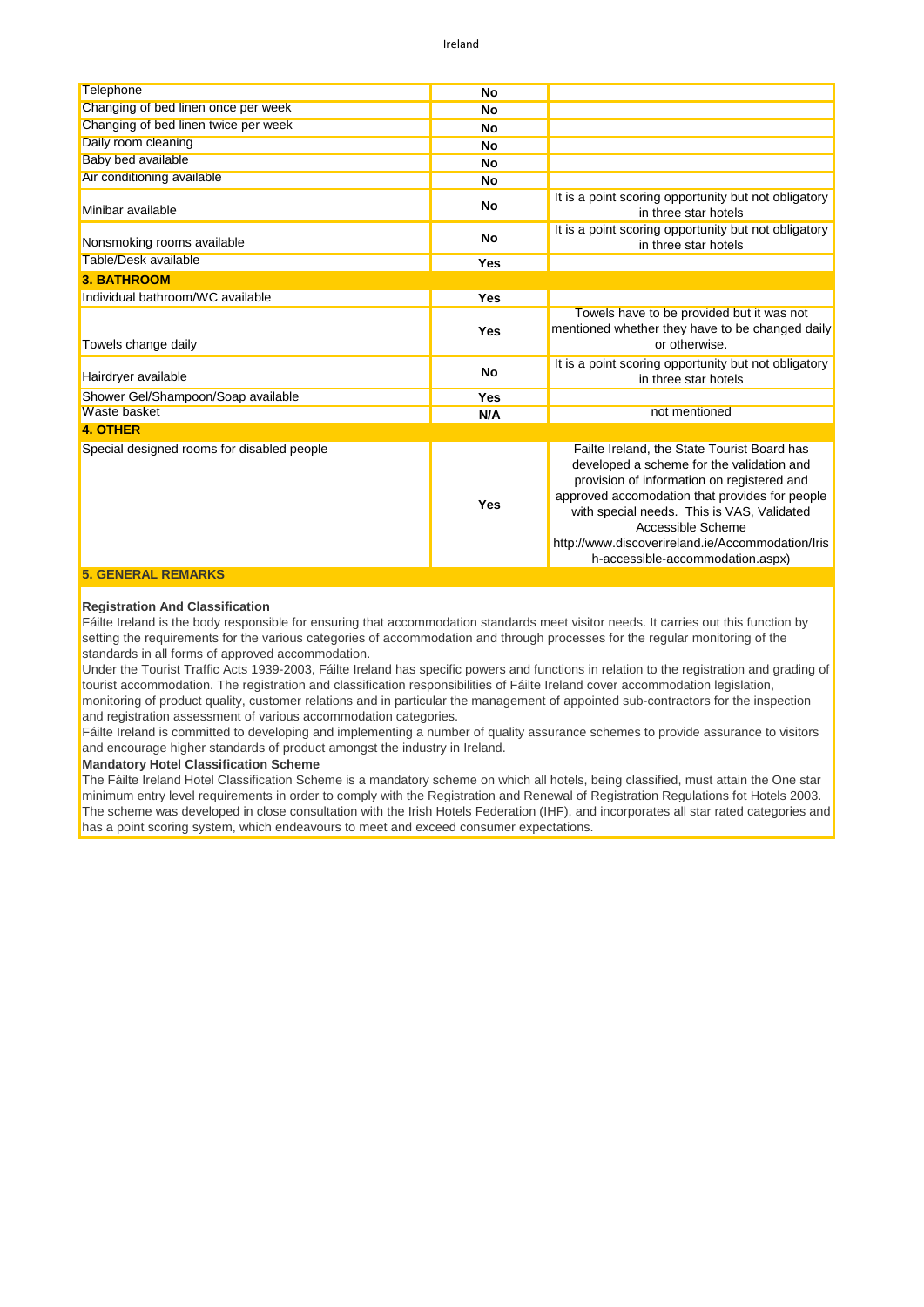| <b>Telephone</b>                           | <b>No</b> |                                                                                                                                                                                                                                                                                                                                                     |
|--------------------------------------------|-----------|-----------------------------------------------------------------------------------------------------------------------------------------------------------------------------------------------------------------------------------------------------------------------------------------------------------------------------------------------------|
| Changing of bed linen once per week        | <b>No</b> |                                                                                                                                                                                                                                                                                                                                                     |
| Changing of bed linen twice per week       | <b>No</b> |                                                                                                                                                                                                                                                                                                                                                     |
| Daily room cleaning                        | <b>No</b> |                                                                                                                                                                                                                                                                                                                                                     |
| Baby bed available                         | <b>No</b> |                                                                                                                                                                                                                                                                                                                                                     |
| Air conditioning available                 | <b>No</b> |                                                                                                                                                                                                                                                                                                                                                     |
| Minibar available                          | <b>No</b> | It is a point scoring opportunity but not obligatory<br>in three star hotels                                                                                                                                                                                                                                                                        |
| Nonsmoking rooms available                 | <b>No</b> | It is a point scoring opportunity but not obligatory<br>in three star hotels                                                                                                                                                                                                                                                                        |
| Table/Desk available                       | Yes       |                                                                                                                                                                                                                                                                                                                                                     |
| <b>3. BATHROOM</b>                         |           |                                                                                                                                                                                                                                                                                                                                                     |
| Individual bathroom/WC available           | Yes       |                                                                                                                                                                                                                                                                                                                                                     |
| Towels change daily                        | Yes       | Towels have to be provided but it was not<br>mentioned whether they have to be changed daily<br>or otherwise.                                                                                                                                                                                                                                       |
| Hairdryer available                        | <b>No</b> | It is a point scoring opportunity but not obligatory<br>in three star hotels                                                                                                                                                                                                                                                                        |
| Shower Gel/Shampoon/Soap available         | Yes       |                                                                                                                                                                                                                                                                                                                                                     |
| Waste basket                               | N/A       | not mentioned                                                                                                                                                                                                                                                                                                                                       |
| <b>4. OTHER</b>                            |           |                                                                                                                                                                                                                                                                                                                                                     |
| Special designed rooms for disabled people | Yes       | Failte Ireland, the State Tourist Board has<br>developed a scheme for the validation and<br>provision of information on registered and<br>approved accomodation that provides for people<br>with special needs. This is VAS, Validated<br>Accessible Scheme<br>http://www.discoverireland.ie/Accommodation/Iris<br>h-accessible-accommodation.aspx) |
| <b>5. GENERAL REMARKS</b>                  |           |                                                                                                                                                                                                                                                                                                                                                     |

#### **Registration And Classification**

Fáilte Ireland is the body responsible for ensuring that accommodation standards meet visitor needs. It carries out this function by setting the requirements for the various categories of accommodation and through processes for the regular monitoring of the standards in all forms of approved accommodation.

Under the Tourist Traffic Acts 1939-2003, Fáilte Ireland has specific powers and functions in relation to the registration and grading of tourist accommodation. The registration and classification responsibilities of Fáilte Ireland cover accommodation legislation, monitoring of product quality, customer relations and in particular the management of appointed sub-contractors for the inspection and registration assessment of various accommodation categories.

Fáilte Ireland is committed to developing and implementing a number of quality assurance schemes to provide assurance to visitors and encourage higher standards of product amongst the industry in Ireland.

**Mandatory Hotel Classification Scheme**

The Fáilte Ireland Hotel Classification Scheme is a mandatory scheme on which all hotels, being classified, must attain the One star minimum entry level requirements in order to comply with the Registration and Renewal of Registration Regulations fot Hotels 2003. The scheme was developed in close consultation with the Irish Hotels Federation (IHF), and incorporates all star rated categories and has a point scoring system, which endeavours to meet and exceed consumer expectations.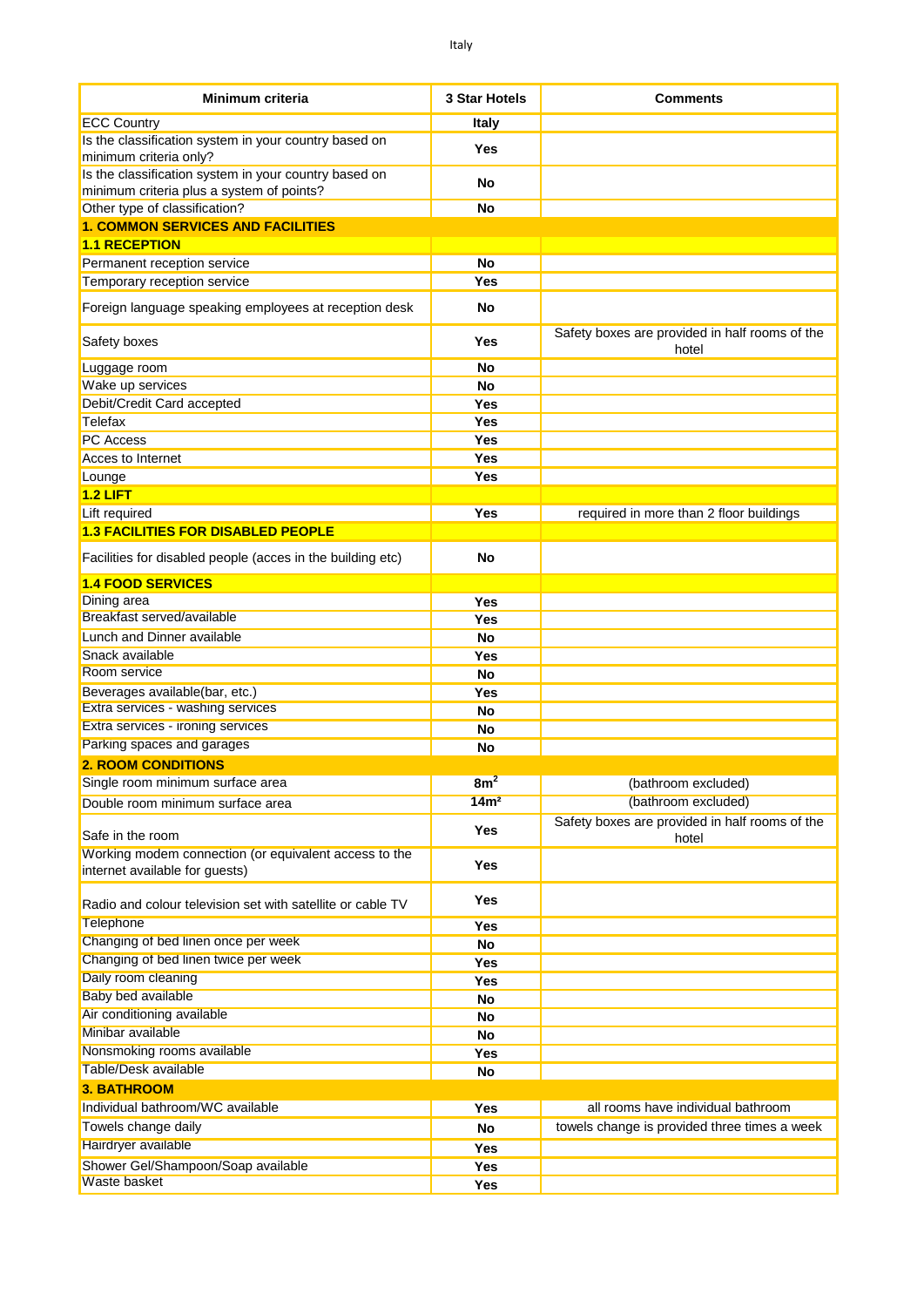| <b>Minimum criteria</b>                                                                 | <b>3 Star Hotels</b> | <b>Comments</b>                                         |
|-----------------------------------------------------------------------------------------|----------------------|---------------------------------------------------------|
| <b>ECC Country</b>                                                                      | Italy                |                                                         |
| Is the classification system in your country based on                                   |                      |                                                         |
| minimum criteria only?                                                                  | Yes                  |                                                         |
| Is the classification system in your country based on                                   | No                   |                                                         |
| minimum criteria plus a system of points?                                               |                      |                                                         |
| Other type of classification?                                                           | No                   |                                                         |
| <b>1. COMMON SERVICES AND FACILITIES</b>                                                |                      |                                                         |
| <b>1.1 RECEPTION</b>                                                                    |                      |                                                         |
| Permanent reception service                                                             | <b>No</b>            |                                                         |
| Temporary reception service                                                             | Yes                  |                                                         |
| Foreign language speaking employees at reception desk                                   | No                   |                                                         |
| Safety boxes                                                                            | Yes                  | Safety boxes are provided in half rooms of the<br>hotel |
| Luggage room                                                                            | <b>No</b>            |                                                         |
| Wake up services                                                                        | No                   |                                                         |
| Debit/Credit Card accepted                                                              | Yes                  |                                                         |
| Telefax                                                                                 | Yes                  |                                                         |
| <b>PC Access</b>                                                                        | Yes                  |                                                         |
| Acces to Internet                                                                       | Yes                  |                                                         |
| Lounge                                                                                  | Yes                  |                                                         |
| $1.2$ LIFT                                                                              |                      |                                                         |
| Lift required                                                                           | <b>Yes</b>           | required in more than 2 floor buildings                 |
| <b>1.3 FACILITIES FOR DISABLED PEOPLE</b>                                               |                      |                                                         |
| Facilities for disabled people (acces in the building etc)                              | No                   |                                                         |
| <b>1.4 FOOD SERVICES</b>                                                                |                      |                                                         |
| Dining area                                                                             | Yes                  |                                                         |
| Breakfast served/available                                                              | Yes                  |                                                         |
| Lunch and Dinner available                                                              | No                   |                                                         |
| Snack available                                                                         | Yes                  |                                                         |
| Room service                                                                            | <b>No</b>            |                                                         |
| Beverages available(bar, etc.)                                                          | Yes                  |                                                         |
| Extra services - washing services                                                       | No                   |                                                         |
| Extra services - ironing services                                                       | <b>No</b>            |                                                         |
| Parking spaces and garages                                                              | No                   |                                                         |
| <b>2. ROOM CONDITIONS</b>                                                               |                      |                                                         |
| Single room minimum surface area                                                        | 8m <sup>2</sup>      | (bathroom excluded)                                     |
| Double room minimum surface area                                                        | 14m <sup>2</sup>     | (bathroom excluded)                                     |
| Safe in the room                                                                        | <b>Yes</b>           | Safety boxes are provided in half rooms of the<br>hotel |
| Working modem connection (or equivalent access to the<br>internet available for guests) | <b>Yes</b>           |                                                         |
| Radio and colour television set with satellite or cable TV                              | Yes                  |                                                         |
| Telephone                                                                               | Yes                  |                                                         |
| Changing of bed linen once per week                                                     | No                   |                                                         |
| Changing of bed linen twice per week                                                    | Yes                  |                                                         |
| Daily room cleaning                                                                     | Yes                  |                                                         |
| Baby bed available                                                                      | <b>No</b>            |                                                         |
| Air conditioning available                                                              | <b>No</b>            |                                                         |
| Minibar available                                                                       | <b>No</b>            |                                                         |
| Nonsmoking rooms available                                                              | <b>Yes</b>           |                                                         |
| Table/Desk available                                                                    | <b>No</b>            |                                                         |
| <b>3. BATHROOM</b>                                                                      |                      |                                                         |
| Individual bathroom/WC available                                                        | Yes                  | all rooms have individual bathroom                      |
| Towels change daily                                                                     | <b>No</b>            | towels change is provided three times a week            |
| Hairdryer available                                                                     | Yes                  |                                                         |
| Shower Gel/Shampoon/Soap available                                                      | Yes                  |                                                         |
| Waste basket                                                                            | Yes                  |                                                         |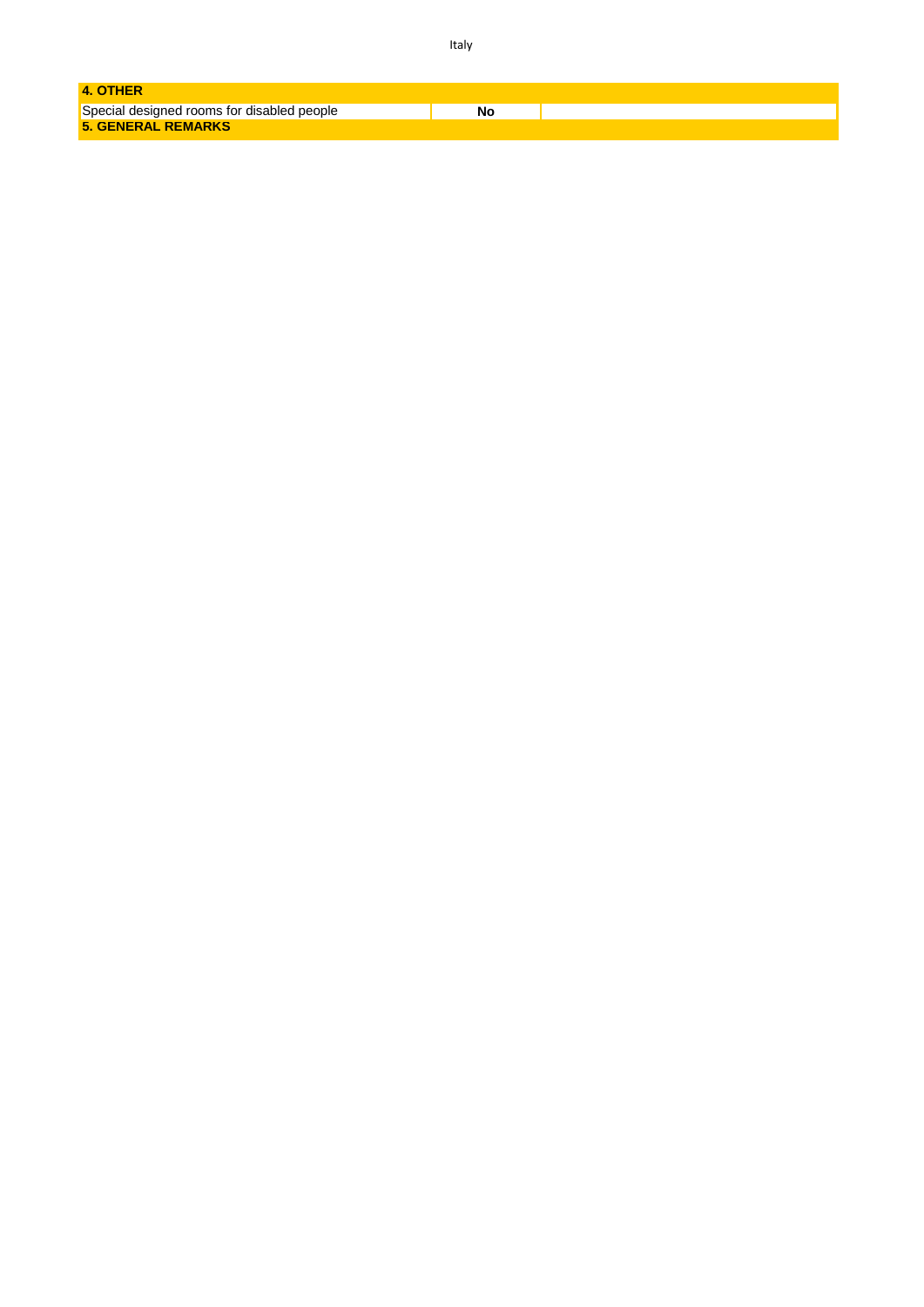| 4. OTHER                                   |    |  |
|--------------------------------------------|----|--|
|                                            |    |  |
| Special designed rooms for disabled people | Nc |  |
| <b>5. GENERAL REMARKS</b>                  |    |  |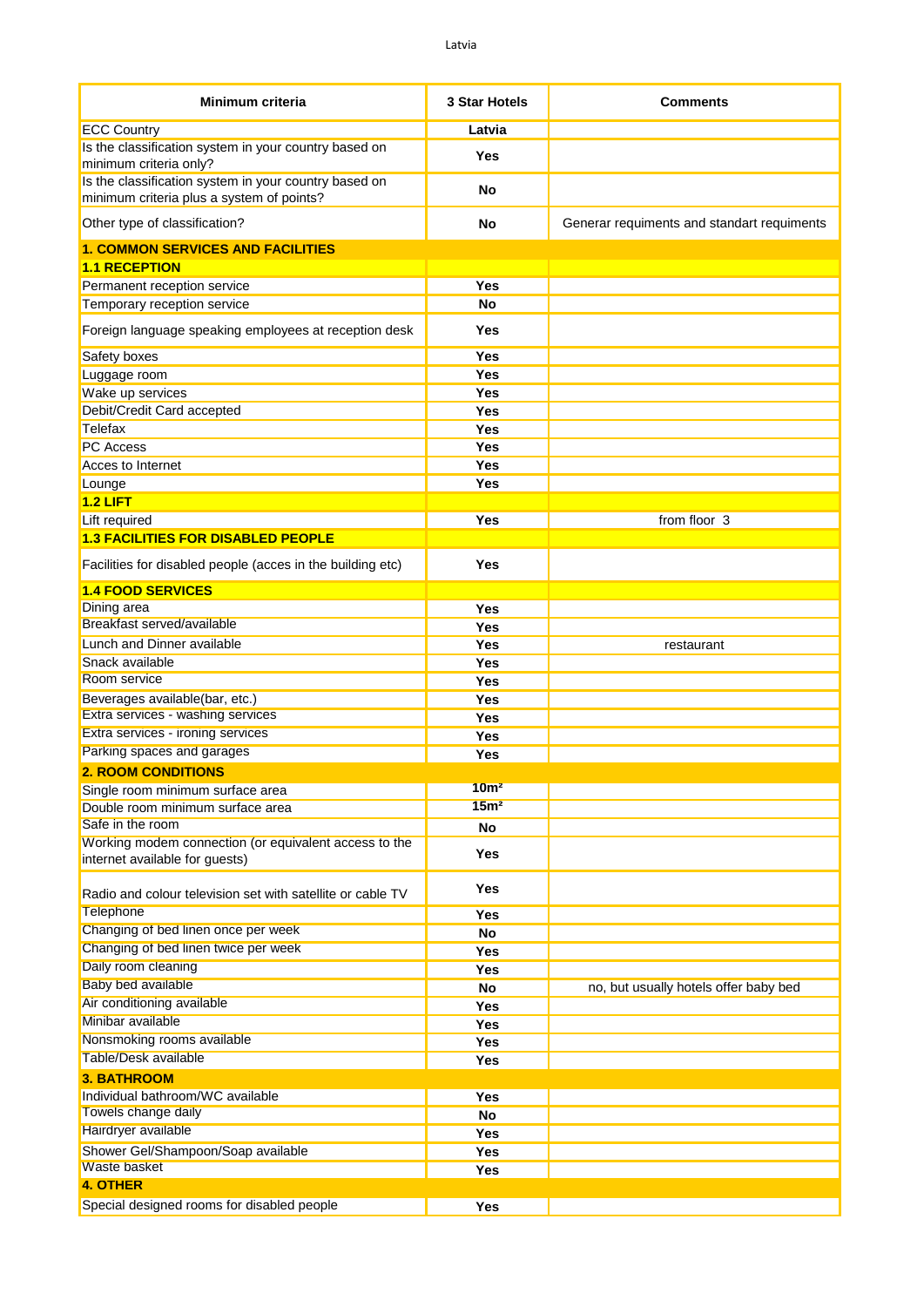| <b>Minimum criteria</b>                                                                            | 3 Star Hotels    | <b>Comments</b>                            |
|----------------------------------------------------------------------------------------------------|------------------|--------------------------------------------|
| <b>ECC Country</b>                                                                                 | Latvia           |                                            |
| Is the classification system in your country based on<br>minimum criteria only?                    | Yes              |                                            |
| Is the classification system in your country based on<br>minimum criteria plus a system of points? | No               |                                            |
| Other type of classification?                                                                      | No               | Generar requiments and standart requiments |
| <b>1. COMMON SERVICES AND FACILITIES</b>                                                           |                  |                                            |
| <b>1.1 RECEPTION</b>                                                                               |                  |                                            |
| Permanent reception service                                                                        | <b>Yes</b>       |                                            |
| Temporary reception service                                                                        | No               |                                            |
| Foreign language speaking employees at reception desk                                              | Yes              |                                            |
| Safety boxes                                                                                       | <b>Yes</b>       |                                            |
| Luggage room                                                                                       | Yes              |                                            |
| Wake up services                                                                                   | Yes              |                                            |
| Debit/Credit Card accepted                                                                         | Yes              |                                            |
| Telefax                                                                                            | Yes              |                                            |
| <b>PC</b> Access                                                                                   | Yes              |                                            |
| Acces to Internet                                                                                  | Yes              |                                            |
| Lounge                                                                                             | Yes              |                                            |
| $1.2$ LIFT                                                                                         |                  |                                            |
| Lift required                                                                                      | Yes              | from floor 3                               |
| <b>1.3 FACILITIES FOR DISABLED PEOPLE</b>                                                          |                  |                                            |
| Facilities for disabled people (acces in the building etc)                                         | Yes              |                                            |
| <b>1.4 FOOD SERVICES</b>                                                                           |                  |                                            |
| Dining area                                                                                        | Yes              |                                            |
| Breakfast served/available                                                                         | <b>Yes</b>       |                                            |
| Lunch and Dinner available                                                                         | <b>Yes</b>       | restaurant                                 |
| Snack available                                                                                    | <b>Yes</b>       |                                            |
| Room service                                                                                       | <b>Yes</b>       |                                            |
| Beverages available(bar, etc.)                                                                     | <b>Yes</b>       |                                            |
| Extra services - washing services                                                                  | <b>Yes</b>       |                                            |
| Extra services - ironing services                                                                  | <b>Yes</b>       |                                            |
| Parking spaces and garages                                                                         | Yes              |                                            |
| <b>2. ROOM CONDITIONS</b>                                                                          |                  |                                            |
| Single room minimum surface area                                                                   | 10 <sub>m²</sub> |                                            |
| Double room minimum surface area                                                                   | 15 <sup>m²</sup> |                                            |
| Safe in the room                                                                                   | <b>No</b>        |                                            |
| Working modem connection (or equivalent access to the                                              |                  |                                            |
| internet available for guests)                                                                     | Yes              |                                            |
| Radio and colour television set with satellite or cable TV                                         | <b>Yes</b>       |                                            |
| Telephone<br>Changing of bed linen once per week                                                   | <b>Yes</b>       |                                            |
| Changing of bed linen twice per week                                                               | <b>No</b>        |                                            |
|                                                                                                    | Yes              |                                            |
| Daily room cleaning                                                                                | Yes              |                                            |
| Baby bed available                                                                                 | <b>No</b>        | no, but usually hotels offer baby bed      |
| Air conditioning available                                                                         | <b>Yes</b>       |                                            |
| Minibar available                                                                                  | <b>Yes</b>       |                                            |
| Nonsmoking rooms available                                                                         | Yes              |                                            |
| Table/Desk available                                                                               | Yes              |                                            |
| <b>3. BATHROOM</b>                                                                                 |                  |                                            |
| Individual bathroom/WC available                                                                   | <b>Yes</b>       |                                            |
| Towels change daily                                                                                | No               |                                            |
| Hairdryer available                                                                                | Yes              |                                            |
| Shower Gel/Shampoon/Soap available                                                                 | <b>Yes</b>       |                                            |
| <b>Waste basket</b>                                                                                | <b>Yes</b>       |                                            |
| <b>4. OTHER</b>                                                                                    |                  |                                            |
| Special designed rooms for disabled people                                                         | Yes              |                                            |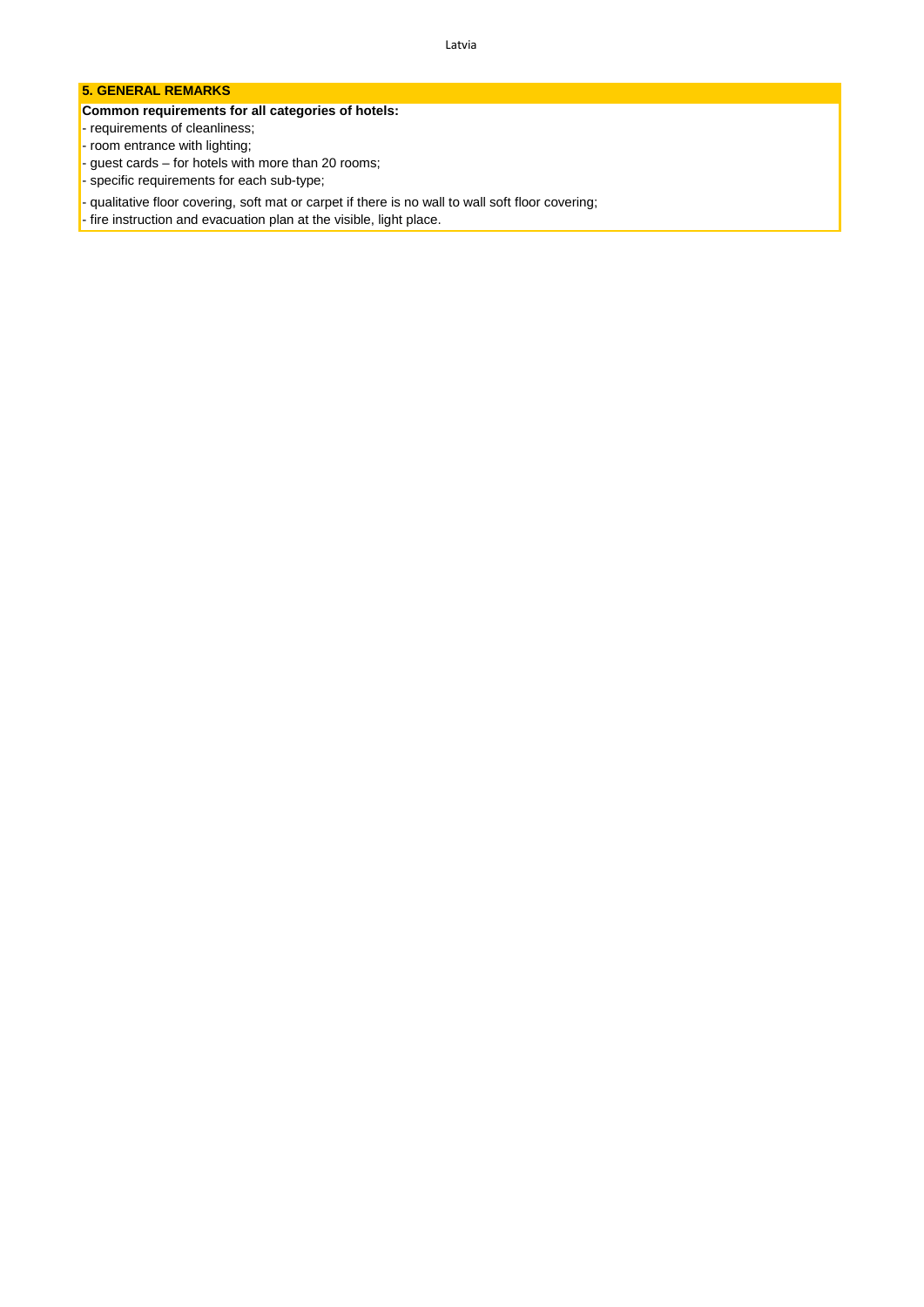#### **5. GENERAL REMARKS**

#### **Common requirements for all categories of hotels:**

- requirements of cleanliness;
- room entrance with lighting;
- guest cards for hotels with more than 20 rooms;
- specific requirements for each sub-type;
- qualitative floor covering, soft mat or carpet if there is no wall to wall soft floor covering;
- fire instruction and evacuation plan at the visible, light place.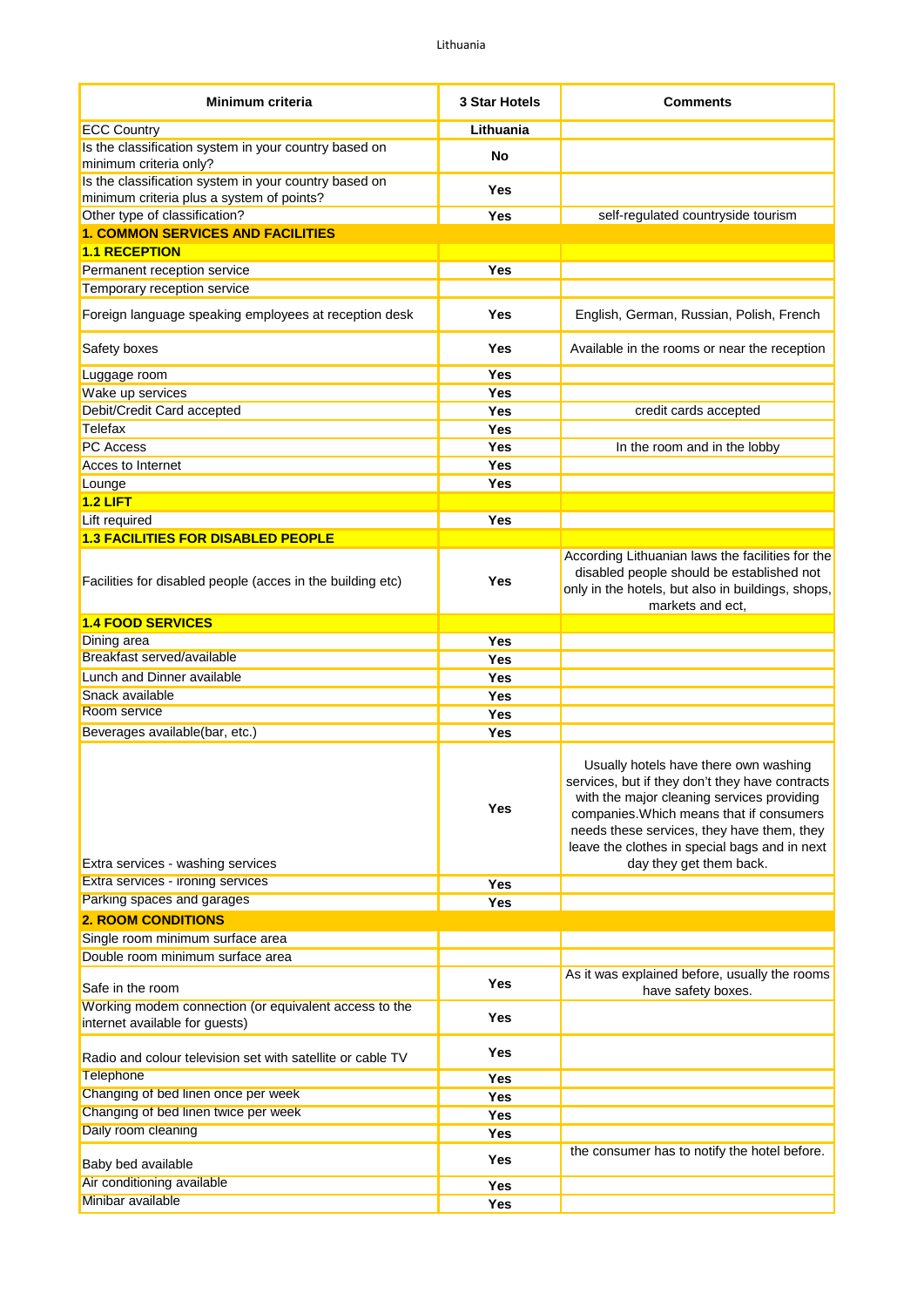| <b>Minimum criteria</b>                                                                            | <b>3 Star Hotels</b> | <b>Comments</b>                                                                                                                                                                                                                                                                                              |
|----------------------------------------------------------------------------------------------------|----------------------|--------------------------------------------------------------------------------------------------------------------------------------------------------------------------------------------------------------------------------------------------------------------------------------------------------------|
| <b>ECC Country</b>                                                                                 | Lithuania            |                                                                                                                                                                                                                                                                                                              |
| Is the classification system in your country based on<br>minimum criteria only?                    | No                   |                                                                                                                                                                                                                                                                                                              |
| Is the classification system in your country based on<br>minimum criteria plus a system of points? | Yes                  |                                                                                                                                                                                                                                                                                                              |
| Other type of classification?                                                                      | Yes                  | self-regulated countryside tourism                                                                                                                                                                                                                                                                           |
| <b>1. COMMON SERVICES AND FACILITIES</b>                                                           |                      |                                                                                                                                                                                                                                                                                                              |
| <b>1.1 RECEPTION</b>                                                                               |                      |                                                                                                                                                                                                                                                                                                              |
| Permanent reception service                                                                        | Yes                  |                                                                                                                                                                                                                                                                                                              |
| Temporary reception service                                                                        |                      |                                                                                                                                                                                                                                                                                                              |
| Foreign language speaking employees at reception desk                                              | Yes                  | English, German, Russian, Polish, French                                                                                                                                                                                                                                                                     |
| Safety boxes                                                                                       | Yes                  | Available in the rooms or near the reception                                                                                                                                                                                                                                                                 |
| Luggage room                                                                                       | Yes                  |                                                                                                                                                                                                                                                                                                              |
| Wake up services                                                                                   | Yes                  |                                                                                                                                                                                                                                                                                                              |
| Debit/Credit Card accepted                                                                         | Yes                  | credit cards accepted                                                                                                                                                                                                                                                                                        |
| Telefax                                                                                            | Yes                  |                                                                                                                                                                                                                                                                                                              |
| <b>PC</b> Access                                                                                   | Yes                  | In the room and in the lobby                                                                                                                                                                                                                                                                                 |
| Acces to Internet                                                                                  | Yes                  |                                                                                                                                                                                                                                                                                                              |
| Lounge                                                                                             | Yes                  |                                                                                                                                                                                                                                                                                                              |
| $1.2$ LIFT                                                                                         |                      |                                                                                                                                                                                                                                                                                                              |
| Lift required                                                                                      | Yes                  |                                                                                                                                                                                                                                                                                                              |
| <b>1.3 FACILITIES FOR DISABLED PEOPLE</b>                                                          |                      |                                                                                                                                                                                                                                                                                                              |
| Facilities for disabled people (acces in the building etc)                                         | Yes                  | According Lithuanian laws the facilities for the<br>disabled people should be established not<br>only in the hotels, but also in buildings, shops,<br>markets and ect,                                                                                                                                       |
| <b>1.4 FOOD SERVICES</b>                                                                           |                      |                                                                                                                                                                                                                                                                                                              |
| Dining area                                                                                        | Yes                  |                                                                                                                                                                                                                                                                                                              |
| Breakfast served/available                                                                         | Yes                  |                                                                                                                                                                                                                                                                                                              |
| Lunch and Dinner available                                                                         | Yes                  |                                                                                                                                                                                                                                                                                                              |
| Snack available                                                                                    | Yes                  |                                                                                                                                                                                                                                                                                                              |
| Room service                                                                                       | <b>Yes</b>           |                                                                                                                                                                                                                                                                                                              |
| Beverages available(bar, etc.)                                                                     | Yes                  |                                                                                                                                                                                                                                                                                                              |
| Extra services - washing services                                                                  | Yes                  | Usually hotels have there own washing<br>services, but if they don't they have contracts<br>with the major cleaning services providing<br>companies. Which means that if consumers<br>needs these services, they have them, they<br>leave the clothes in special bags and in next<br>day they get them back. |
| Extra services - ironing services                                                                  | Yes                  |                                                                                                                                                                                                                                                                                                              |
| Parking spaces and garages                                                                         | Yes                  |                                                                                                                                                                                                                                                                                                              |
| <b>2. ROOM CONDITIONS</b>                                                                          |                      |                                                                                                                                                                                                                                                                                                              |
| Single room minimum surface area                                                                   |                      |                                                                                                                                                                                                                                                                                                              |
| Double room minimum surface area                                                                   |                      |                                                                                                                                                                                                                                                                                                              |
| Safe in the room                                                                                   | <b>Yes</b>           | As it was explained before, usually the rooms<br>have safety boxes.                                                                                                                                                                                                                                          |
| Working modem connection (or equivalent access to the<br>internet available for guests)            | Yes                  |                                                                                                                                                                                                                                                                                                              |
| Radio and colour television set with satellite or cable TV                                         | Yes                  |                                                                                                                                                                                                                                                                                                              |
| Telephone                                                                                          | Yes                  |                                                                                                                                                                                                                                                                                                              |
| Changing of bed linen once per week                                                                | Yes                  |                                                                                                                                                                                                                                                                                                              |
| Changing of bed linen twice per week                                                               | Yes                  |                                                                                                                                                                                                                                                                                                              |
| Daily room cleaning                                                                                | <b>Yes</b>           |                                                                                                                                                                                                                                                                                                              |
| Baby bed available                                                                                 | Yes                  | the consumer has to notify the hotel before.                                                                                                                                                                                                                                                                 |
| Air conditioning available                                                                         | <b>Yes</b>           |                                                                                                                                                                                                                                                                                                              |
| Minibar available                                                                                  | Yes                  |                                                                                                                                                                                                                                                                                                              |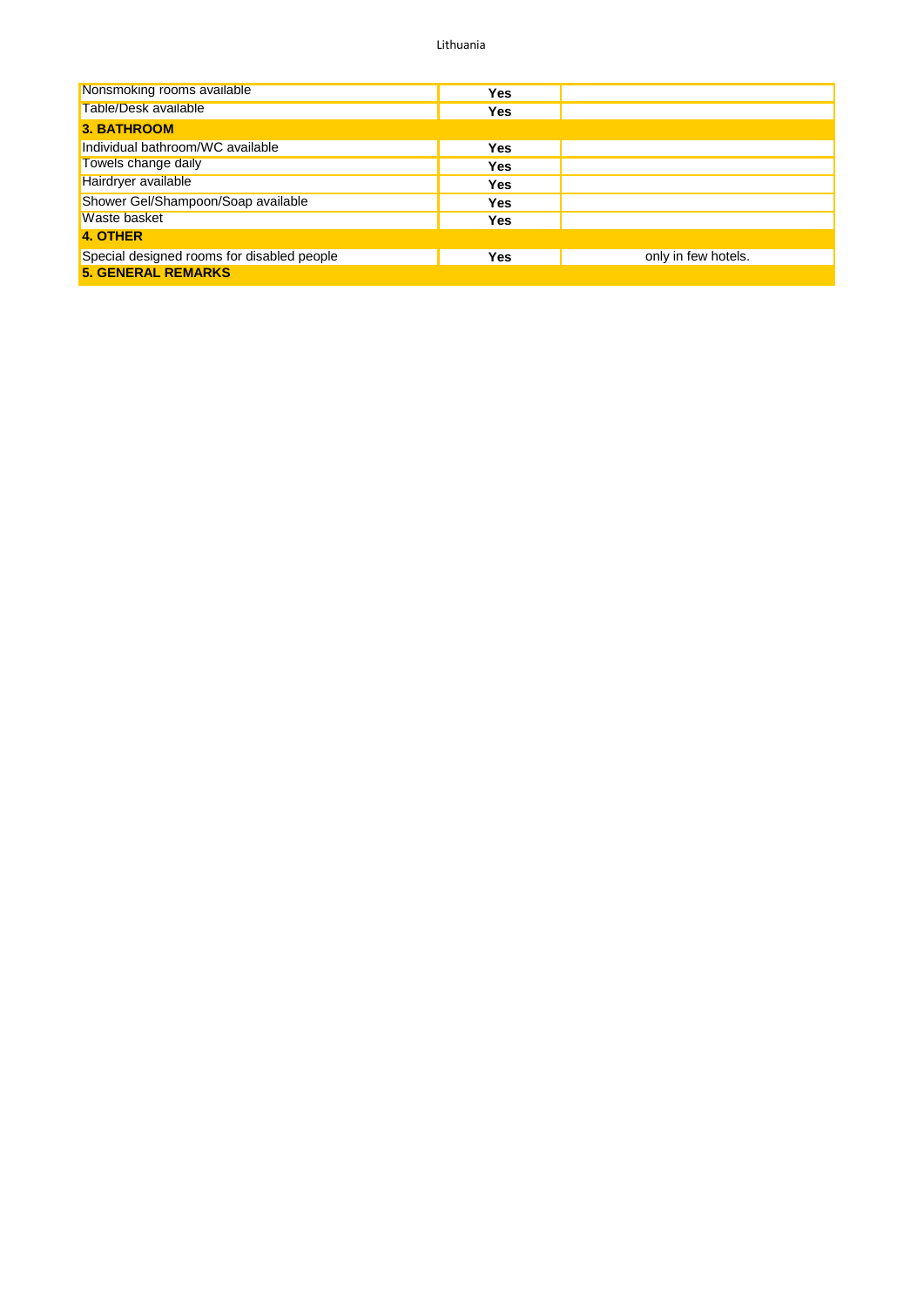Lithuania

| Nonsmoking rooms available                 | <b>Yes</b> |                     |
|--------------------------------------------|------------|---------------------|
| Table/Desk available                       | <b>Yes</b> |                     |
| <b>3. BATHROOM</b>                         |            |                     |
| Individual bathroom/WC available           | <b>Yes</b> |                     |
| Towels change daily                        | <b>Yes</b> |                     |
| Hairdryer available                        | <b>Yes</b> |                     |
| Shower Gel/Shampoon/Soap available         | <b>Yes</b> |                     |
| Waste basket                               | <b>Yes</b> |                     |
| 4. OTHER                                   |            |                     |
| Special designed rooms for disabled people | <b>Yes</b> | only in few hotels. |
| <b>5. GENERAL REMARKS</b>                  |            |                     |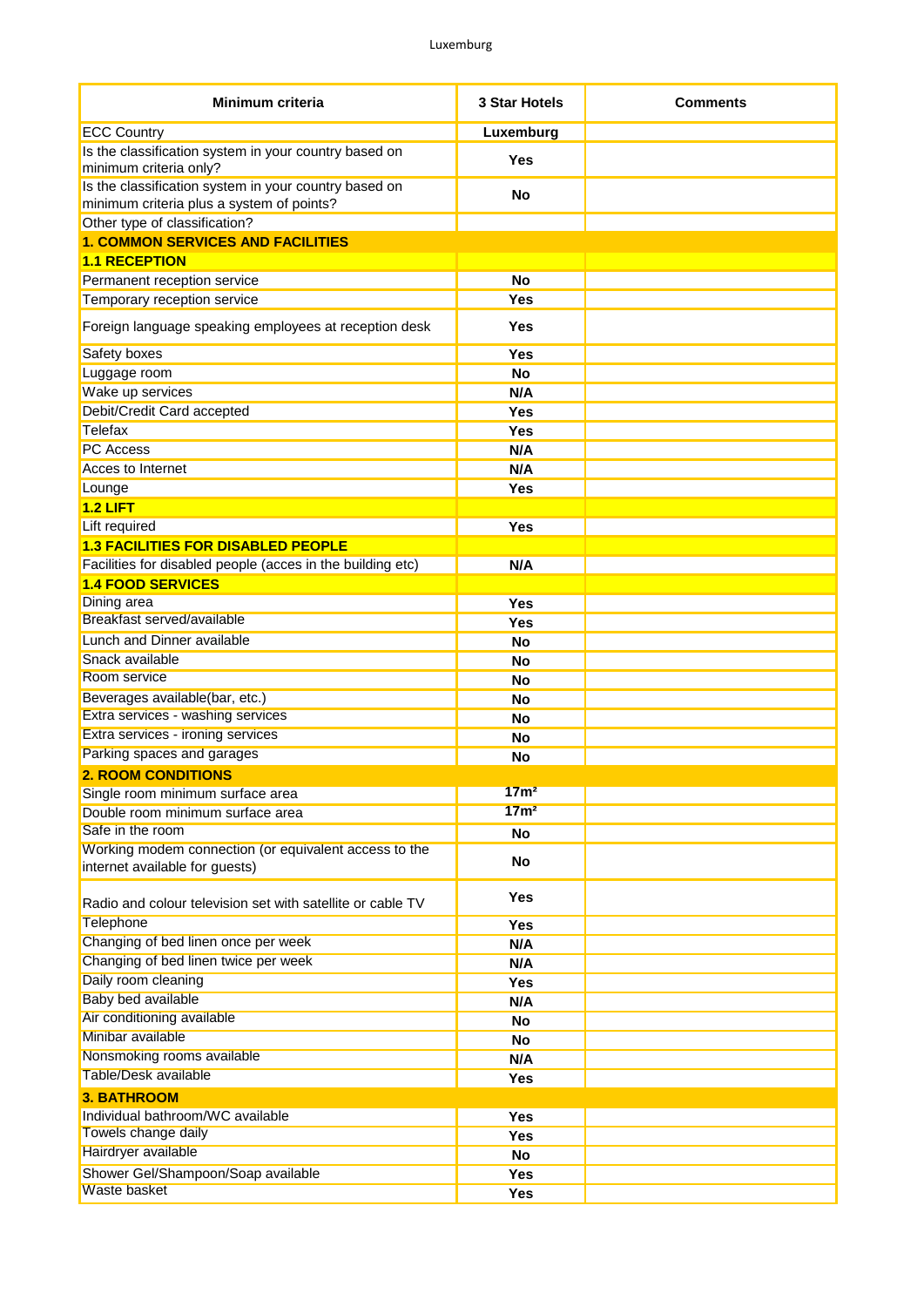| Minimum criteria                                                                                   | 3 Star Hotels    | <b>Comments</b> |
|----------------------------------------------------------------------------------------------------|------------------|-----------------|
| <b>ECC Country</b>                                                                                 | Luxemburg        |                 |
| Is the classification system in your country based on<br>minimum criteria only?                    | <b>Yes</b>       |                 |
| Is the classification system in your country based on<br>minimum criteria plus a system of points? | <b>No</b>        |                 |
| Other type of classification?                                                                      |                  |                 |
| <b>1. COMMON SERVICES AND FACILITIES</b>                                                           |                  |                 |
| <b>1.1 RECEPTION</b>                                                                               |                  |                 |
| Permanent reception service                                                                        | <b>No</b>        |                 |
| Temporary reception service                                                                        | <b>Yes</b>       |                 |
| Foreign language speaking employees at reception desk                                              | <b>Yes</b>       |                 |
| Safety boxes                                                                                       | Yes              |                 |
| Luggage room                                                                                       | <b>No</b>        |                 |
| Wake up services                                                                                   | N/A              |                 |
| Debit/Credit Card accepted                                                                         | Yes              |                 |
| Telefax                                                                                            | Yes              |                 |
| <b>PC</b> Access                                                                                   | N/A              |                 |
| Acces to Internet                                                                                  | N/A              |                 |
| Lounge                                                                                             | <b>Yes</b>       |                 |
| $1.2$ LIFT                                                                                         |                  |                 |
| Lift required                                                                                      | <b>Yes</b>       |                 |
| <b>1.3 FACILITIES FOR DISABLED PEOPLE</b>                                                          |                  |                 |
| Facilities for disabled people (acces in the building etc)                                         | N/A              |                 |
| <b>1.4 FOOD SERVICES</b>                                                                           |                  |                 |
| Dining area                                                                                        | Yes              |                 |
| Breakfast served/available                                                                         | <b>Yes</b>       |                 |
| Lunch and Dinner available                                                                         | <b>No</b>        |                 |
| Snack available                                                                                    | <b>No</b>        |                 |
| Room service                                                                                       | <b>No</b>        |                 |
| Beverages available(bar, etc.)                                                                     | <b>No</b>        |                 |
| Extra services - washing services                                                                  | No               |                 |
| Extra services - ironing services                                                                  | <b>No</b>        |                 |
| Parking spaces and garages                                                                         | <b>No</b>        |                 |
| <b>2. ROOM CONDITIONS</b>                                                                          |                  |                 |
| Single room minimum surface area                                                                   | 17 <sub>m²</sub> |                 |
| Double room minimum surface area                                                                   | 17 <sub>m²</sub> |                 |
| Safe in the room                                                                                   | <b>No</b>        |                 |
| Working modem connection (or equivalent access to the<br>internet available for guests)            | No               |                 |
| Radio and colour television set with satellite or cable TV                                         | <b>Yes</b>       |                 |
| Telephone                                                                                          | Yes              |                 |
| Changing of bed linen once per week                                                                | N/A              |                 |
| Changing of bed linen twice per week                                                               | N/A              |                 |
| Daily room cleaning                                                                                | Yes              |                 |
| <b>Baby bed available</b>                                                                          | N/A              |                 |
| Air conditioning available                                                                         | <b>No</b>        |                 |
| Minibar available                                                                                  | <b>No</b>        |                 |
| Nonsmoking rooms available                                                                         | N/A              |                 |
| <b>Table/Desk available</b>                                                                        | Yes              |                 |
| <b>3. BATHROOM</b>                                                                                 |                  |                 |
| Individual bathroom/WC available                                                                   | Yes              |                 |
| Towels change daily                                                                                | Yes              |                 |
| Hairdryer available                                                                                | <b>No</b>        |                 |
| Shower Gel/Shampoon/Soap available                                                                 | Yes              |                 |
| <b>Waste basket</b>                                                                                | Yes              |                 |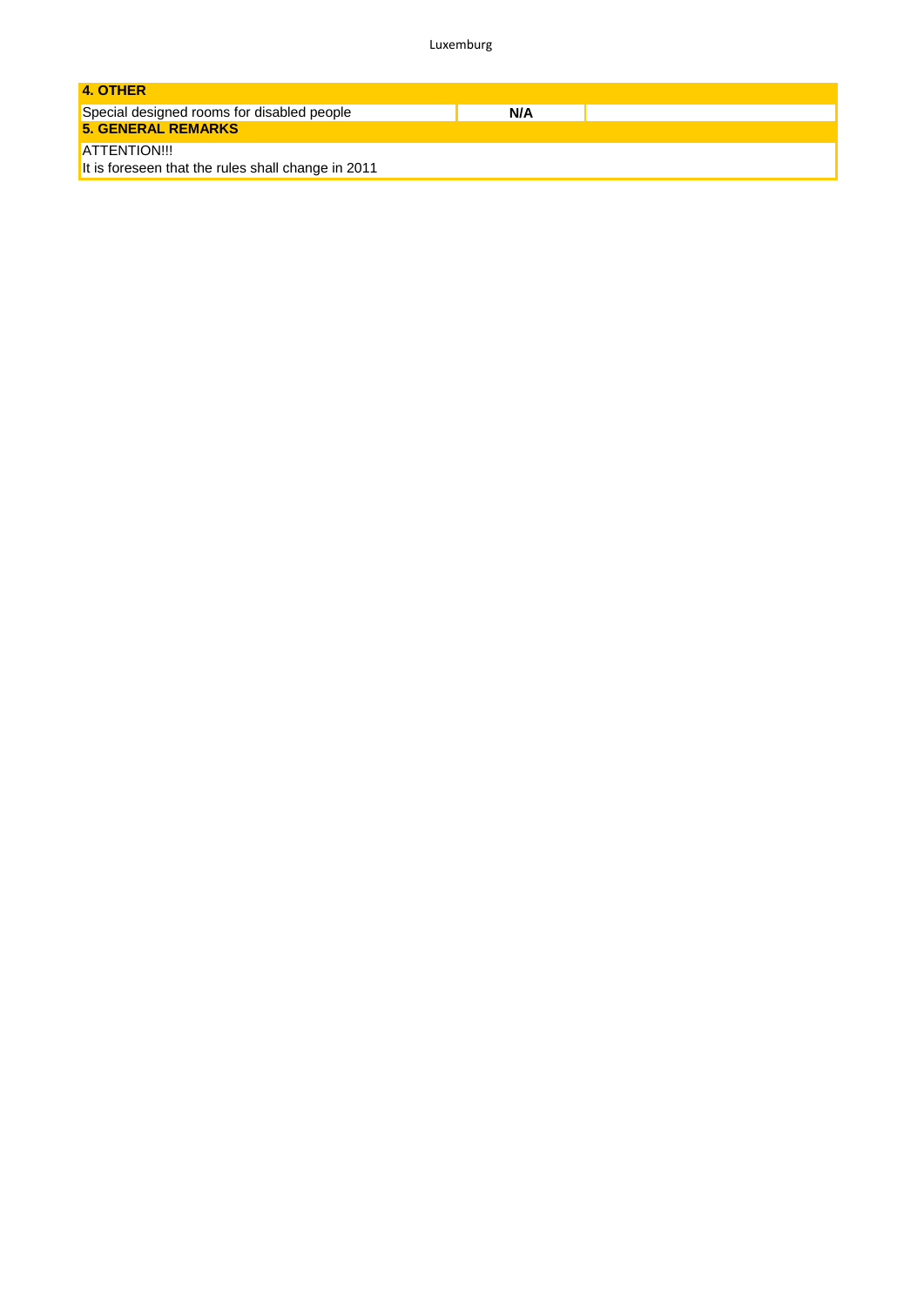Luxemburg

| 4. OTHER                                           |
|----------------------------------------------------|
| Special designed rooms for disabled people<br>N/A  |
| <b>5. GENERAL REMARKS</b>                          |
| ATTENTION!!!                                       |
| It is foreseen that the rules shall change in 2011 |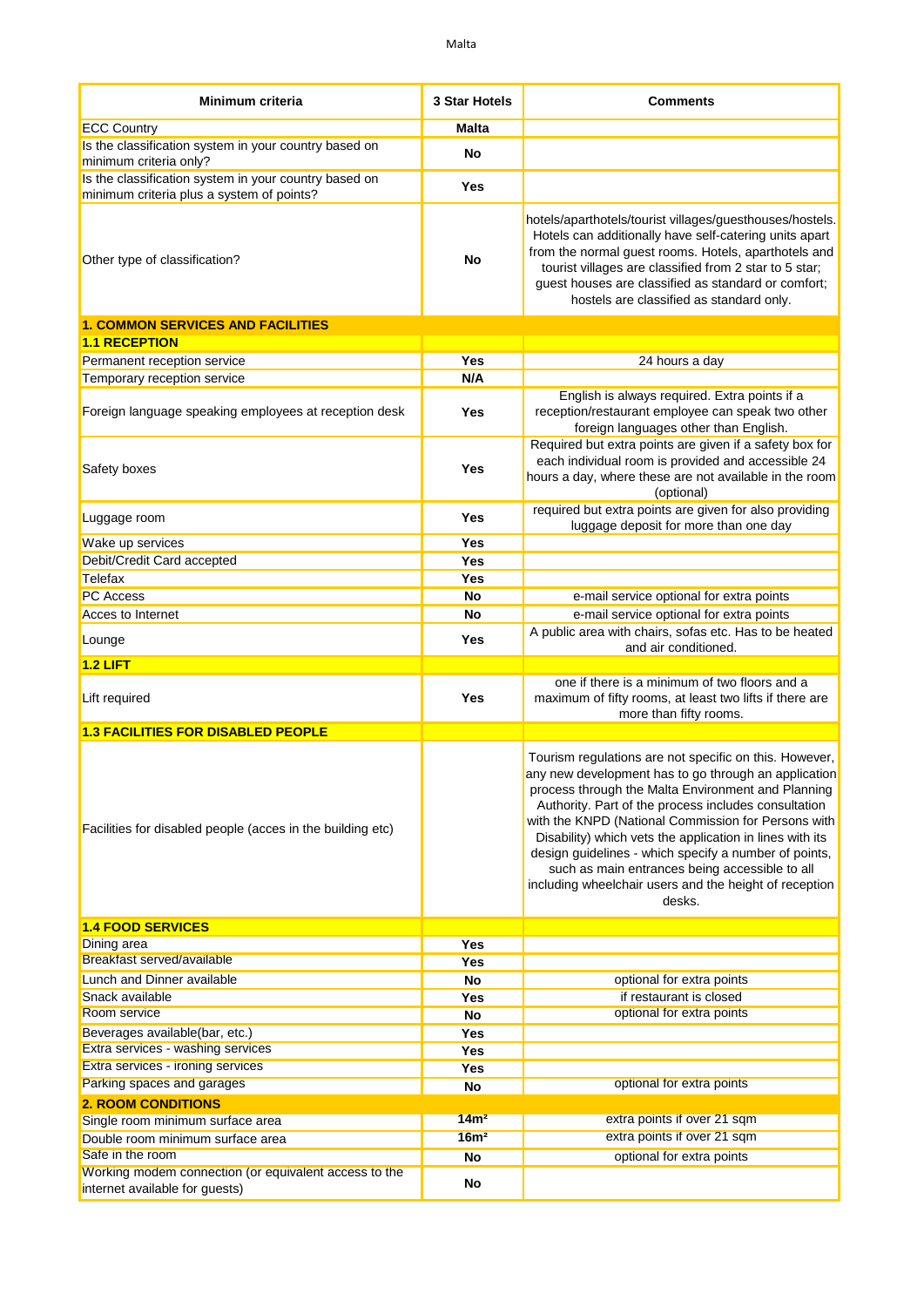| Minimum criteria                                                                                   | 3 Star Hotels    | <b>Comments</b>                                                                                                                                                                                                                                                                                                                                                                                                                                                                                                                |
|----------------------------------------------------------------------------------------------------|------------------|--------------------------------------------------------------------------------------------------------------------------------------------------------------------------------------------------------------------------------------------------------------------------------------------------------------------------------------------------------------------------------------------------------------------------------------------------------------------------------------------------------------------------------|
| <b>ECC Country</b>                                                                                 | <b>Malta</b>     |                                                                                                                                                                                                                                                                                                                                                                                                                                                                                                                                |
| Is the classification system in your country based on<br>minimum criteria only?                    | No               |                                                                                                                                                                                                                                                                                                                                                                                                                                                                                                                                |
| Is the classification system in your country based on<br>minimum criteria plus a system of points? | Yes              |                                                                                                                                                                                                                                                                                                                                                                                                                                                                                                                                |
| Other type of classification?                                                                      | No               | hotels/aparthotels/tourist villages/guesthouses/hostels.<br>Hotels can additionally have self-catering units apart<br>from the normal guest rooms. Hotels, aparthotels and<br>tourist villages are classified from 2 star to 5 star;<br>guest houses are classified as standard or comfort;<br>hostels are classified as standard only.                                                                                                                                                                                        |
| <b>1. COMMON SERVICES AND FACILITIES</b>                                                           |                  |                                                                                                                                                                                                                                                                                                                                                                                                                                                                                                                                |
| <b>1.1 RECEPTION</b>                                                                               |                  |                                                                                                                                                                                                                                                                                                                                                                                                                                                                                                                                |
| Permanent reception service                                                                        | <b>Yes</b>       | 24 hours a day                                                                                                                                                                                                                                                                                                                                                                                                                                                                                                                 |
| Temporary reception service                                                                        | N/A              |                                                                                                                                                                                                                                                                                                                                                                                                                                                                                                                                |
| Foreign language speaking employees at reception desk                                              | Yes              | English is always required. Extra points if a<br>reception/restaurant employee can speak two other<br>foreign languages other than English.                                                                                                                                                                                                                                                                                                                                                                                    |
| Safety boxes                                                                                       | <b>Yes</b>       | Required but extra points are given if a safety box for<br>each individual room is provided and accessible 24<br>hours a day, where these are not available in the room<br>(optional)                                                                                                                                                                                                                                                                                                                                          |
| Luggage room                                                                                       | Yes              | required but extra points are given for also providing<br>luggage deposit for more than one day                                                                                                                                                                                                                                                                                                                                                                                                                                |
| Wake up services                                                                                   | Yes              |                                                                                                                                                                                                                                                                                                                                                                                                                                                                                                                                |
| Debit/Credit Card accepted                                                                         | Yes              |                                                                                                                                                                                                                                                                                                                                                                                                                                                                                                                                |
| Telefax                                                                                            | Yes              |                                                                                                                                                                                                                                                                                                                                                                                                                                                                                                                                |
| PC Access                                                                                          | No               | e-mail service optional for extra points                                                                                                                                                                                                                                                                                                                                                                                                                                                                                       |
| Acces to Internet                                                                                  | No               | e-mail service optional for extra points                                                                                                                                                                                                                                                                                                                                                                                                                                                                                       |
| Lounge                                                                                             | Yes              | A public area with chairs, sofas etc. Has to be heated<br>and air conditioned.                                                                                                                                                                                                                                                                                                                                                                                                                                                 |
| 1.2 LIFT                                                                                           |                  |                                                                                                                                                                                                                                                                                                                                                                                                                                                                                                                                |
| Lift required                                                                                      | Yes              | one if there is a minimum of two floors and a<br>maximum of fifty rooms, at least two lifts if there are<br>more than fifty rooms.                                                                                                                                                                                                                                                                                                                                                                                             |
| <b>1.3 FACILITIES FOR DISABLED PEOPLE</b>                                                          |                  |                                                                                                                                                                                                                                                                                                                                                                                                                                                                                                                                |
| Facilities for disabled people (acces in the building etc)                                         |                  | Tourism regulations are not specific on this. However,<br>any new development has to go through an application<br>process through the Malta Environment and Planning<br>Authority. Part of the process includes consultation<br>with the KNPD (National Commission for Persons with<br>Disability) which vets the application in lines with its<br>design guidelines - which specify a number of points,<br>such as main entrances being accessible to all<br>including wheelchair users and the height of reception<br>desks. |
| <b>1.4 FOOD SERVICES</b>                                                                           |                  |                                                                                                                                                                                                                                                                                                                                                                                                                                                                                                                                |
| Dining area<br>Breakfast served/available                                                          | Yes<br>Yes       |                                                                                                                                                                                                                                                                                                                                                                                                                                                                                                                                |
| Lunch and Dinner available                                                                         | No               | optional for extra points                                                                                                                                                                                                                                                                                                                                                                                                                                                                                                      |
| Snack available                                                                                    | <b>Yes</b>       | if restaurant is closed                                                                                                                                                                                                                                                                                                                                                                                                                                                                                                        |
| Room service                                                                                       | No               | optional for extra points                                                                                                                                                                                                                                                                                                                                                                                                                                                                                                      |
| Beverages available(bar, etc.)                                                                     | Yes              |                                                                                                                                                                                                                                                                                                                                                                                                                                                                                                                                |
| Extra services - washing services                                                                  | Yes              |                                                                                                                                                                                                                                                                                                                                                                                                                                                                                                                                |
| Extra services - ironing services                                                                  | Yes              |                                                                                                                                                                                                                                                                                                                                                                                                                                                                                                                                |
| Parking spaces and garages                                                                         | No               | optional for extra points                                                                                                                                                                                                                                                                                                                                                                                                                                                                                                      |
| <b>2. ROOM CONDITIONS</b>                                                                          |                  |                                                                                                                                                                                                                                                                                                                                                                                                                                                                                                                                |
| Single room minimum surface area                                                                   | 14m <sup>2</sup> | extra points if over 21 sqm                                                                                                                                                                                                                                                                                                                                                                                                                                                                                                    |
| Double room minimum surface area                                                                   | 16m <sup>2</sup> | extra points if over 21 sqm                                                                                                                                                                                                                                                                                                                                                                                                                                                                                                    |
| Safe in the room<br>Working modem connection (or equivalent access to the                          | No               | optional for extra points                                                                                                                                                                                                                                                                                                                                                                                                                                                                                                      |
| internet available for guests)                                                                     | No               |                                                                                                                                                                                                                                                                                                                                                                                                                                                                                                                                |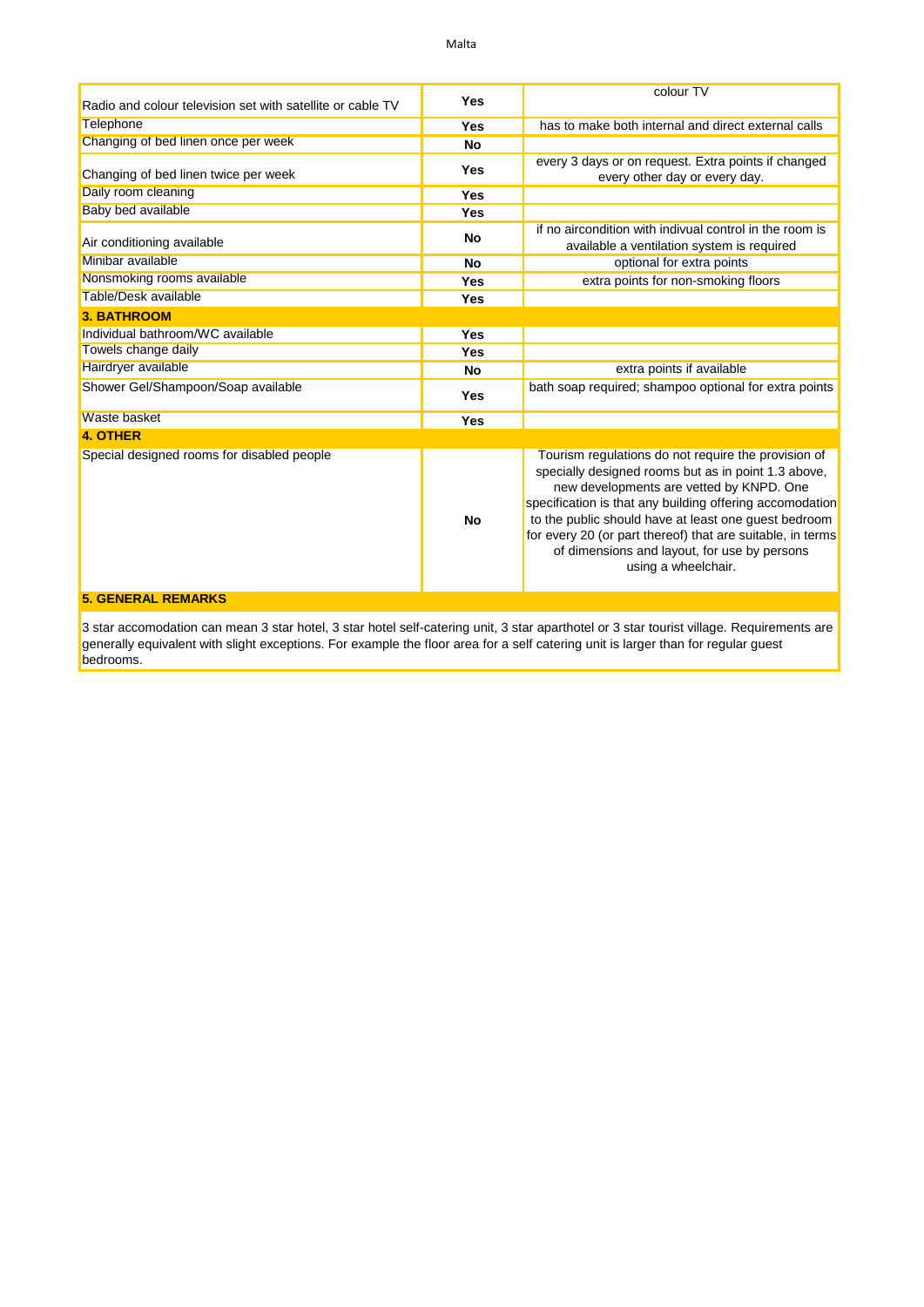| Radio and colour television set with satellite or cable TV | Yes        | colour TV                                                                                                                                                                                                                                                                                                                                                                                                       |
|------------------------------------------------------------|------------|-----------------------------------------------------------------------------------------------------------------------------------------------------------------------------------------------------------------------------------------------------------------------------------------------------------------------------------------------------------------------------------------------------------------|
| Telephone                                                  | Yes        | has to make both internal and direct external calls                                                                                                                                                                                                                                                                                                                                                             |
| Changing of bed linen once per week                        | No         |                                                                                                                                                                                                                                                                                                                                                                                                                 |
| Changing of bed linen twice per week                       | <b>Yes</b> | every 3 days or on request. Extra points if changed<br>every other day or every day.                                                                                                                                                                                                                                                                                                                            |
| Daily room cleaning                                        | Yes        |                                                                                                                                                                                                                                                                                                                                                                                                                 |
| Baby bed available                                         | Yes        |                                                                                                                                                                                                                                                                                                                                                                                                                 |
| Air conditioning available                                 | <b>No</b>  | if no aircondition with indivual control in the room is<br>available a ventilation system is required                                                                                                                                                                                                                                                                                                           |
| Minibar available                                          | <b>No</b>  | optional for extra points                                                                                                                                                                                                                                                                                                                                                                                       |
| Nonsmoking rooms available                                 | Yes        | extra points for non-smoking floors                                                                                                                                                                                                                                                                                                                                                                             |
| Table/Desk available                                       | Yes        |                                                                                                                                                                                                                                                                                                                                                                                                                 |
| <b>3. BATHROOM</b>                                         |            |                                                                                                                                                                                                                                                                                                                                                                                                                 |
| Individual bathroom/WC available                           | Yes        |                                                                                                                                                                                                                                                                                                                                                                                                                 |
| Towels change daily                                        | Yes        |                                                                                                                                                                                                                                                                                                                                                                                                                 |
| Hairdryer available                                        | <b>No</b>  | extra points if available                                                                                                                                                                                                                                                                                                                                                                                       |
| Shower Gel/Shampoon/Soap available                         | <b>Yes</b> | bath soap required; shampoo optional for extra points                                                                                                                                                                                                                                                                                                                                                           |
| <b>Waste basket</b>                                        | Yes        |                                                                                                                                                                                                                                                                                                                                                                                                                 |
| <b>4. OTHER</b>                                            |            |                                                                                                                                                                                                                                                                                                                                                                                                                 |
| Special designed rooms for disabled people                 | <b>No</b>  | Tourism regulations do not require the provision of<br>specially designed rooms but as in point 1.3 above,<br>new developments are vetted by KNPD. One<br>specification is that any building offering accomodation<br>to the public should have at least one guest bedroom<br>for every 20 (or part thereof) that are suitable, in terms<br>of dimensions and layout, for use by persons<br>using a wheelchair. |
| <b>5. GENERAL REMARKS</b>                                  |            |                                                                                                                                                                                                                                                                                                                                                                                                                 |

3 star accomodation can mean 3 star hotel, 3 star hotel self-catering unit, 3 star aparthotel or 3 star tourist village. Requirements are generally equivalent with slight exceptions. For example the floor area for a self catering unit is larger than for regular guest bedrooms.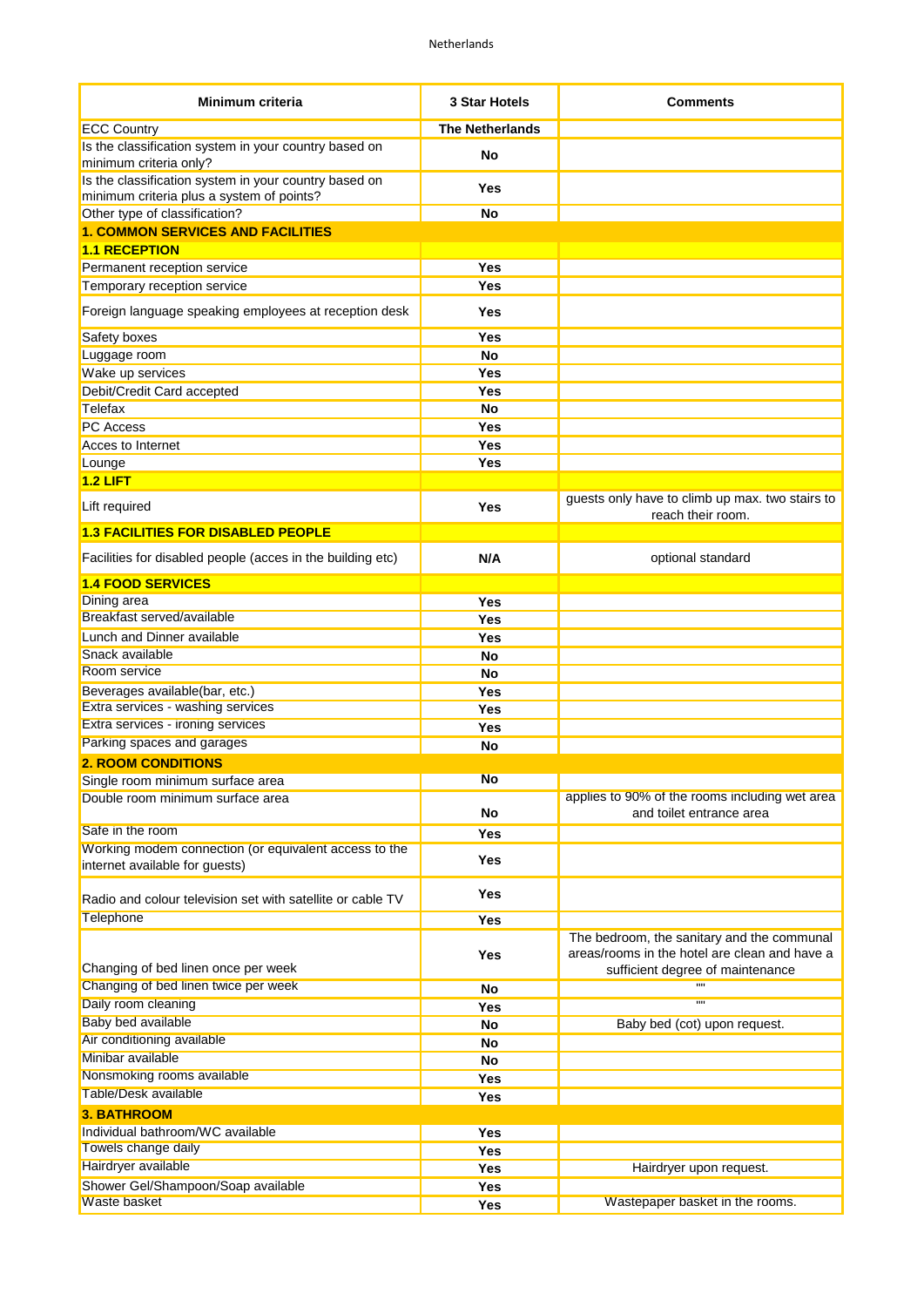| Minimum criteria                                                                                   | 3 Star Hotels          | <b>Comments</b>                                                                                                                 |
|----------------------------------------------------------------------------------------------------|------------------------|---------------------------------------------------------------------------------------------------------------------------------|
| <b>ECC Country</b>                                                                                 | <b>The Netherlands</b> |                                                                                                                                 |
| Is the classification system in your country based on<br>minimum criteria only?                    | No                     |                                                                                                                                 |
| Is the classification system in your country based on<br>minimum criteria plus a system of points? | Yes                    |                                                                                                                                 |
| Other type of classification?                                                                      | No                     |                                                                                                                                 |
| <b>1. COMMON SERVICES AND FACILITIES</b>                                                           |                        |                                                                                                                                 |
| <b>1.1 RECEPTION</b>                                                                               |                        |                                                                                                                                 |
| Permanent reception service                                                                        | Yes                    |                                                                                                                                 |
| Temporary reception service                                                                        | Yes                    |                                                                                                                                 |
| Foreign language speaking employees at reception desk                                              | Yes                    |                                                                                                                                 |
| Safety boxes                                                                                       | Yes                    |                                                                                                                                 |
| Luggage room                                                                                       | No                     |                                                                                                                                 |
| Wake up services                                                                                   | <b>Yes</b>             |                                                                                                                                 |
| Debit/Credit Card accepted                                                                         | Yes                    |                                                                                                                                 |
| Telefax                                                                                            | <b>No</b>              |                                                                                                                                 |
| <b>PC Access</b>                                                                                   | Yes                    |                                                                                                                                 |
| Acces to Internet                                                                                  | <b>Yes</b>             |                                                                                                                                 |
| Lounge                                                                                             | Yes                    |                                                                                                                                 |
| $1.2$ LIFT                                                                                         |                        |                                                                                                                                 |
| Lift required                                                                                      | Yes                    | guests only have to climb up max. two stairs to<br>reach their room.                                                            |
| <b>1.3 FACILITIES FOR DISABLED PEOPLE</b>                                                          |                        |                                                                                                                                 |
| Facilities for disabled people (acces in the building etc)                                         | N/A                    | optional standard                                                                                                               |
| <b>1.4 FOOD SERVICES</b>                                                                           |                        |                                                                                                                                 |
| Dining area                                                                                        | Yes                    |                                                                                                                                 |
| Breakfast served/available                                                                         | Yes                    |                                                                                                                                 |
| Lunch and Dinner available                                                                         | Yes                    |                                                                                                                                 |
| Snack available                                                                                    | No                     |                                                                                                                                 |
| Room service                                                                                       | No                     |                                                                                                                                 |
| Beverages available(bar, etc.)                                                                     | Yes                    |                                                                                                                                 |
| Extra services - washing services                                                                  | Yes                    |                                                                                                                                 |
| Extra services - ironing services                                                                  | Yes                    |                                                                                                                                 |
| Parking spaces and garages                                                                         | No                     |                                                                                                                                 |
| <b>2. ROOM CONDITIONS</b>                                                                          |                        |                                                                                                                                 |
| Single room minimum surface area                                                                   | No                     |                                                                                                                                 |
| Double room minimum surface area                                                                   | No                     | applies to 90% of the rooms including wet area<br>and toilet entrance area                                                      |
| Safe in the room                                                                                   | <b>Yes</b>             |                                                                                                                                 |
| Working modem connection (or equivalent access to the<br>internet available for guests)            | Yes                    |                                                                                                                                 |
| Radio and colour television set with satellite or cable TV                                         | <b>Yes</b>             |                                                                                                                                 |
| <b>Telephone</b>                                                                                   | <b>Yes</b>             |                                                                                                                                 |
| Changing of bed linen once per week                                                                | <b>Yes</b>             | The bedroom, the sanitary and the communal<br>areas/rooms in the hotel are clean and have a<br>sufficient degree of maintenance |
| Changing of bed linen twice per week                                                               | No                     | 11 H                                                                                                                            |
| Daily room cleaning                                                                                | Yes                    | 11 H                                                                                                                            |
| <b>Baby bed available</b>                                                                          | No                     | Baby bed (cot) upon request.                                                                                                    |
| Air conditioning available                                                                         | No                     |                                                                                                                                 |
| Minibar available                                                                                  | No                     |                                                                                                                                 |
| Nonsmoking rooms available                                                                         | Yes                    |                                                                                                                                 |
| Table/Desk available                                                                               | Yes                    |                                                                                                                                 |
| <b>3. BATHROOM</b>                                                                                 |                        |                                                                                                                                 |
| Individual bathroom/WC available                                                                   | Yes                    |                                                                                                                                 |
| Towels change daily                                                                                |                        |                                                                                                                                 |
| Hairdryer available                                                                                | <b>Yes</b>             |                                                                                                                                 |
| Shower Gel/Shampoon/Soap available                                                                 | <b>Yes</b>             | Hairdryer upon request.                                                                                                         |
| Waste basket                                                                                       | <b>Yes</b>             | Wastepaper basket in the rooms.                                                                                                 |
|                                                                                                    | <b>Yes</b>             |                                                                                                                                 |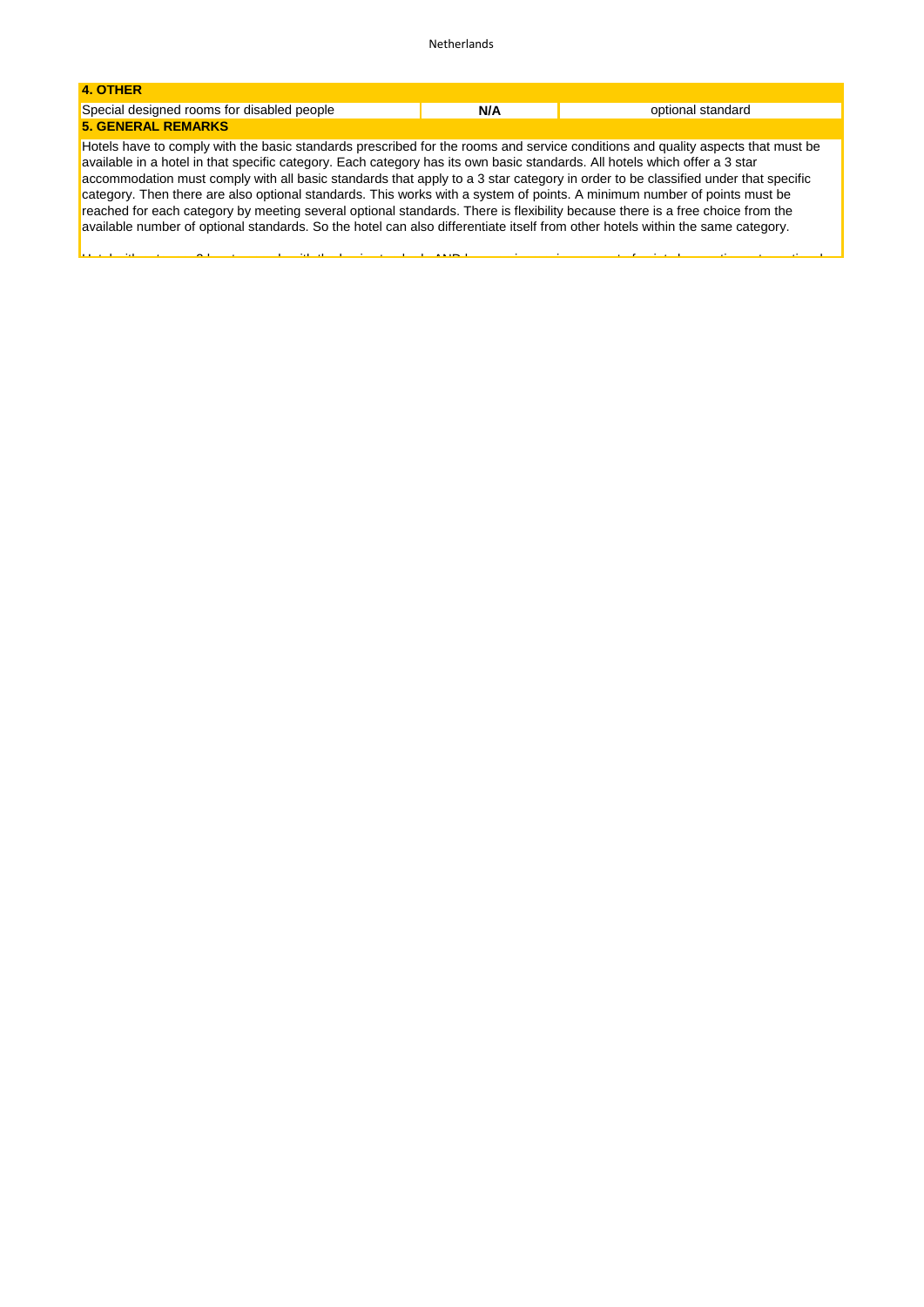| 4. OTHER                                                                                                                                                                                                                                                                                                                                                                                                                                                                                                                                                                                                                                                                                                                                                                                         |     |                   |
|--------------------------------------------------------------------------------------------------------------------------------------------------------------------------------------------------------------------------------------------------------------------------------------------------------------------------------------------------------------------------------------------------------------------------------------------------------------------------------------------------------------------------------------------------------------------------------------------------------------------------------------------------------------------------------------------------------------------------------------------------------------------------------------------------|-----|-------------------|
| Special designed rooms for disabled people                                                                                                                                                                                                                                                                                                                                                                                                                                                                                                                                                                                                                                                                                                                                                       | N/A | optional standard |
| <b>5. GENERAL REMARKS</b>                                                                                                                                                                                                                                                                                                                                                                                                                                                                                                                                                                                                                                                                                                                                                                        |     |                   |
| Hotels have to comply with the basic standards prescribed for the rooms and service conditions and quality aspects that must be<br>available in a hotel in that specific category. Each category has its own basic standards. All hotels which offer a 3 star<br>accommodation must comply with all basic standards that apply to a 3 star category in order to be classified under that specific<br>category. Then there are also optional standards. This works with a system of points. A minimum number of points must be<br>reached for each category by meeting several optional standards. There is flexibility because there is a free choice from the<br>available number of optional standards. So the hotel can also differentiate itself from other hotels within the same category. |     |                   |

Hotel with category 3 has to comply with the basic standards AND have an increasing amount of points by meeting extra optional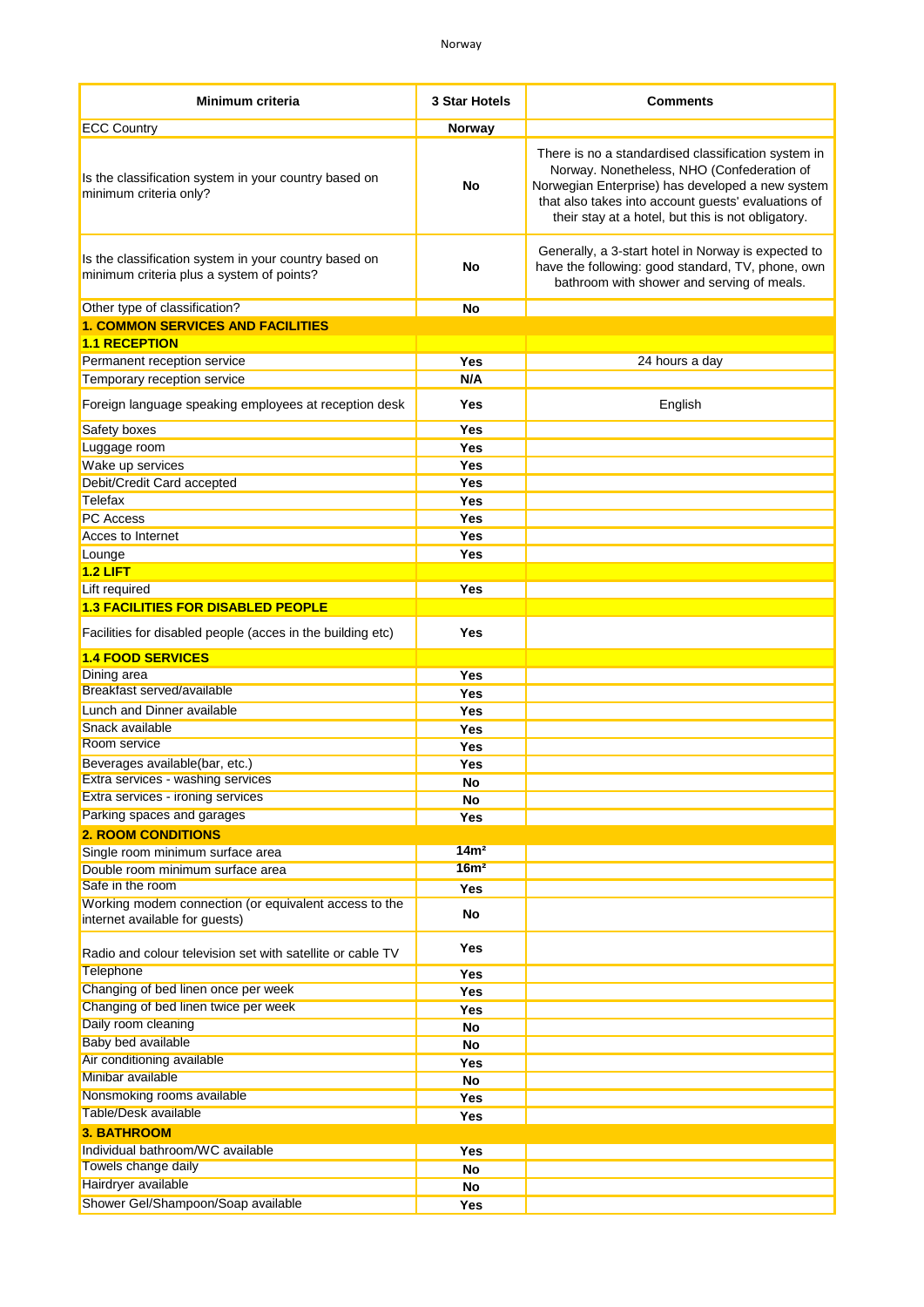| Minimum criteria                                                                                   | 3 Star Hotels            | <b>Comments</b>                                                                                                                                                                                                                                                    |
|----------------------------------------------------------------------------------------------------|--------------------------|--------------------------------------------------------------------------------------------------------------------------------------------------------------------------------------------------------------------------------------------------------------------|
| <b>ECC Country</b>                                                                                 | Norway                   |                                                                                                                                                                                                                                                                    |
| Is the classification system in your country based on<br>minimum criteria only?                    | No                       | There is no a standardised classification system in<br>Norway. Nonetheless, NHO (Confederation of<br>Norwegian Enterprise) has developed a new system<br>that also takes into account guests' evaluations of<br>their stay at a hotel, but this is not obligatory. |
| Is the classification system in your country based on<br>minimum criteria plus a system of points? | No                       | Generally, a 3-start hotel in Norway is expected to<br>have the following: good standard, TV, phone, own<br>bathroom with shower and serving of meals.                                                                                                             |
| Other type of classification?                                                                      | No                       |                                                                                                                                                                                                                                                                    |
| <b>1. COMMON SERVICES AND FACILITIES</b>                                                           |                          |                                                                                                                                                                                                                                                                    |
| <b>1.1 RECEPTION</b>                                                                               |                          |                                                                                                                                                                                                                                                                    |
| Permanent reception service                                                                        | <b>Yes</b>               | 24 hours a day                                                                                                                                                                                                                                                     |
| Temporary reception service                                                                        | N/A                      |                                                                                                                                                                                                                                                                    |
| Foreign language speaking employees at reception desk                                              | Yes                      | English                                                                                                                                                                                                                                                            |
| Safety boxes                                                                                       | <b>Yes</b>               |                                                                                                                                                                                                                                                                    |
| Luggage room                                                                                       | <b>Yes</b>               |                                                                                                                                                                                                                                                                    |
| Wake up services<br>Debit/Credit Card accepted                                                     | <b>Yes</b><br><b>Yes</b> |                                                                                                                                                                                                                                                                    |
| Telefax                                                                                            | Yes                      |                                                                                                                                                                                                                                                                    |
| <b>PC Access</b>                                                                                   | <b>Yes</b>               |                                                                                                                                                                                                                                                                    |
| Acces to Internet                                                                                  | <b>Yes</b>               |                                                                                                                                                                                                                                                                    |
| Lounge                                                                                             | Yes                      |                                                                                                                                                                                                                                                                    |
| $1.2$ LIFT                                                                                         |                          |                                                                                                                                                                                                                                                                    |
| Lift required                                                                                      | <b>Yes</b>               |                                                                                                                                                                                                                                                                    |
| <b>1.3 FACILITIES FOR DISABLED PEOPLE</b>                                                          |                          |                                                                                                                                                                                                                                                                    |
| Facilities for disabled people (acces in the building etc)                                         | Yes                      |                                                                                                                                                                                                                                                                    |
|                                                                                                    |                          |                                                                                                                                                                                                                                                                    |
| <b>1.4 FOOD SERVICES</b><br>Dining area                                                            | Yes                      |                                                                                                                                                                                                                                                                    |
| Breakfast served/available                                                                         | <b>Yes</b>               |                                                                                                                                                                                                                                                                    |
| Lunch and Dinner available                                                                         | <b>Yes</b>               |                                                                                                                                                                                                                                                                    |
| Snack available                                                                                    | <b>Yes</b>               |                                                                                                                                                                                                                                                                    |
| Room service                                                                                       | Yes                      |                                                                                                                                                                                                                                                                    |
| Beverages available(bar, etc.)                                                                     | Yes                      |                                                                                                                                                                                                                                                                    |
| Extra services - washing services                                                                  | No                       |                                                                                                                                                                                                                                                                    |
| Extra services - ironing services                                                                  | No                       |                                                                                                                                                                                                                                                                    |
| Parking spaces and garages                                                                         | Yes                      |                                                                                                                                                                                                                                                                    |
| <b>2. ROOM CONDITIONS</b>                                                                          | 14m <sup>2</sup>         |                                                                                                                                                                                                                                                                    |
| Single room minimum surface area                                                                   | 16m <sup>2</sup>         |                                                                                                                                                                                                                                                                    |
| Double room minimum surface area<br>Safe in the room                                               | Yes                      |                                                                                                                                                                                                                                                                    |
| Working modem connection (or equivalent access to the                                              |                          |                                                                                                                                                                                                                                                                    |
| internet available for guests)                                                                     | No                       |                                                                                                                                                                                                                                                                    |
| Radio and colour television set with satellite or cable TV                                         | Yes                      |                                                                                                                                                                                                                                                                    |
| Telephone                                                                                          | <b>Yes</b>               |                                                                                                                                                                                                                                                                    |
| Changing of bed linen once per week<br>Changing of bed linen twice per week                        | Yes                      |                                                                                                                                                                                                                                                                    |
| Daily room cleaning                                                                                | Yes                      |                                                                                                                                                                                                                                                                    |
| Baby bed available                                                                                 | No<br>No                 |                                                                                                                                                                                                                                                                    |
| Air conditioning available                                                                         | Yes                      |                                                                                                                                                                                                                                                                    |
| Minibar available                                                                                  | No                       |                                                                                                                                                                                                                                                                    |
| Nonsmoking rooms available                                                                         | Yes                      |                                                                                                                                                                                                                                                                    |
| Table/Desk available                                                                               | Yes                      |                                                                                                                                                                                                                                                                    |
| <b>3. BATHROOM</b>                                                                                 |                          |                                                                                                                                                                                                                                                                    |
| Individual bathroom/WC available                                                                   | Yes                      |                                                                                                                                                                                                                                                                    |
| Towels change daily                                                                                | No                       |                                                                                                                                                                                                                                                                    |
| Hairdryer available                                                                                | No                       |                                                                                                                                                                                                                                                                    |
| Shower Gel/Shampoon/Soap available                                                                 | Yes                      |                                                                                                                                                                                                                                                                    |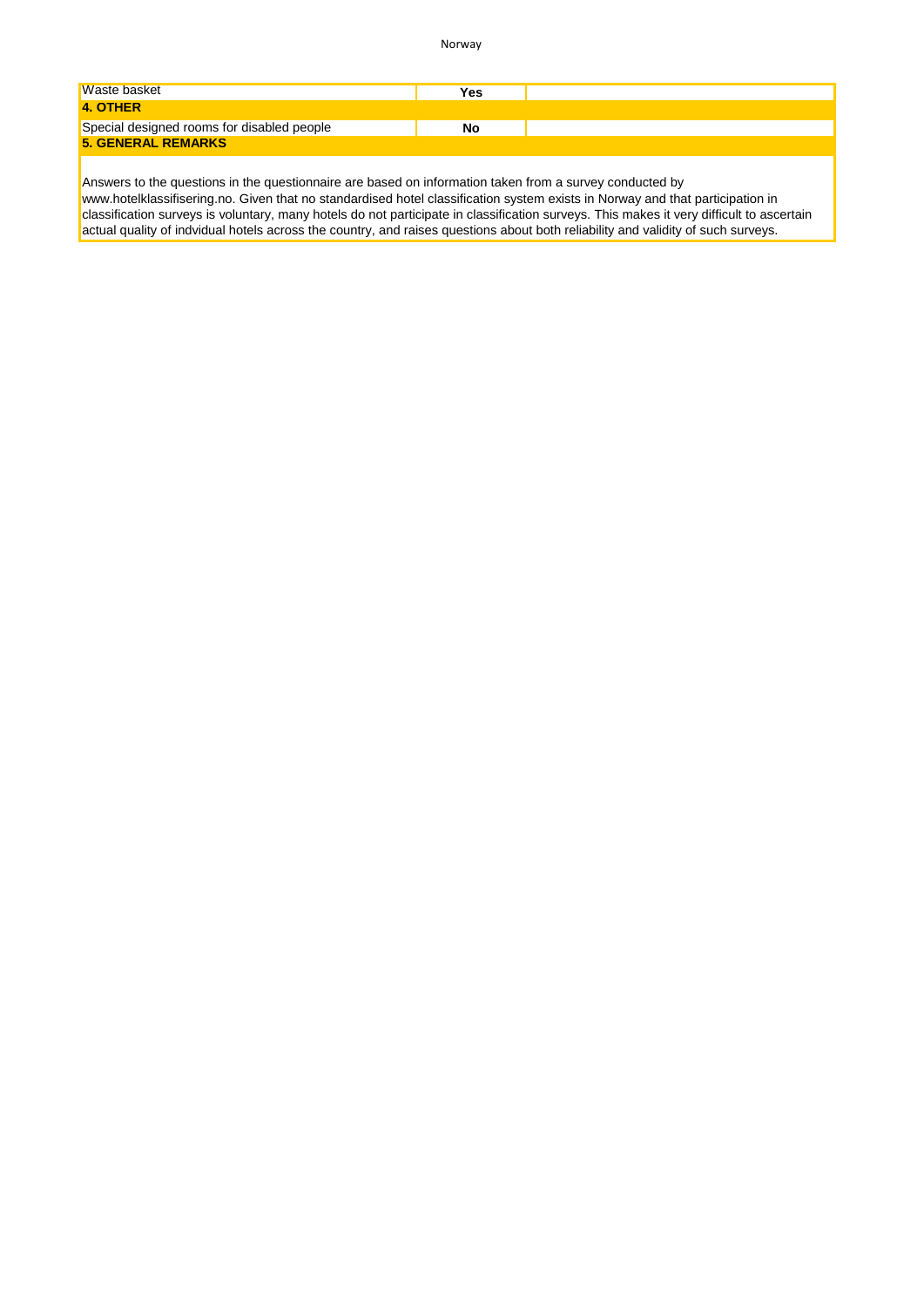Norway

| Waste basket                               | Yes |  |
|--------------------------------------------|-----|--|
| 4. OTHER                                   |     |  |
| Special designed rooms for disabled people | No  |  |
| <b>5. GENERAL REMARKS</b>                  |     |  |

Answers to the questions in the questionnaire are based on information taken from a survey conducted by [www.hotelklassifisering.no.](www.hotelklassifisering.no) Given that no standardised hotel classification system exists in Norway and that participation in classification surveys is voluntary, many hotels do not participate in classification surveys. This makes it very difficult to ascertain actual quality of indvidual hotels across the country, and raises questions about both reliability and validity of such surveys.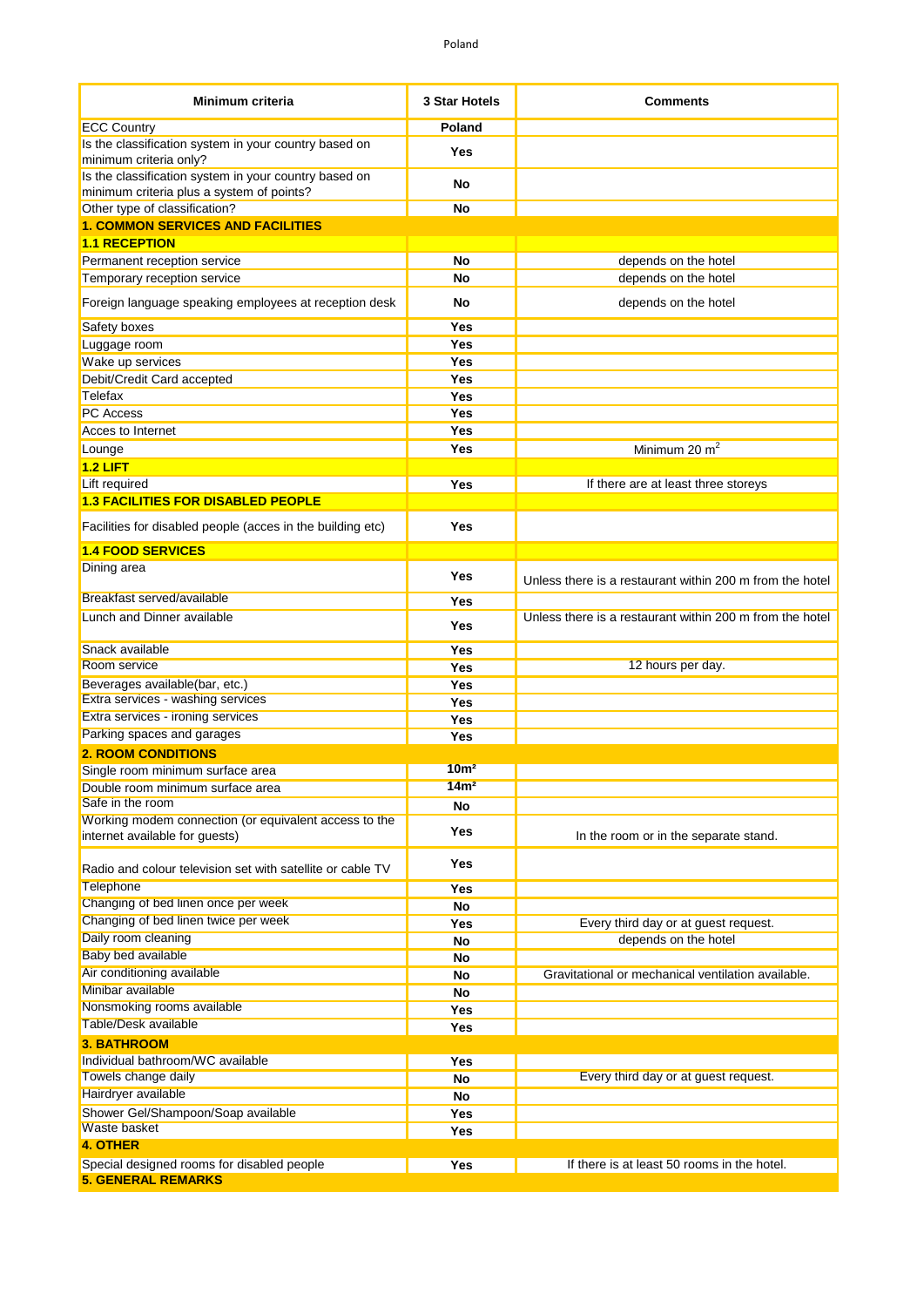| <b>Minimum criteria</b>                                                         | <b>3 Star Hotels</b> | <b>Comments</b>                                          |
|---------------------------------------------------------------------------------|----------------------|----------------------------------------------------------|
| <b>ECC Country</b>                                                              | Poland               |                                                          |
| Is the classification system in your country based on<br>minimum criteria only? | Yes                  |                                                          |
| Is the classification system in your country based on                           | No                   |                                                          |
| minimum criteria plus a system of points?<br>Other type of classification?      | No                   |                                                          |
| <b>1. COMMON SERVICES AND FACILITIES</b>                                        |                      |                                                          |
| <b>1.1 RECEPTION</b>                                                            |                      |                                                          |
| Permanent reception service                                                     | No                   | depends on the hotel                                     |
| Temporary reception service                                                     | <b>No</b>            | depends on the hotel                                     |
| Foreign language speaking employees at reception desk                           | No                   | depends on the hotel                                     |
| Safety boxes                                                                    | <b>Yes</b>           |                                                          |
| Luggage room                                                                    | <b>Yes</b>           |                                                          |
| Wake up services                                                                | Yes                  |                                                          |
| Debit/Credit Card accepted                                                      | <b>Yes</b>           |                                                          |
| Telefax                                                                         | <b>Yes</b>           |                                                          |
| <b>PC</b> Access                                                                | Yes                  |                                                          |
| Acces to Internet                                                               | Yes                  |                                                          |
| Lounge                                                                          | Yes                  | Minimum 20 m <sup>2</sup>                                |
| $1.2$ LIFT                                                                      |                      |                                                          |
| Lift required                                                                   | Yes                  | If there are at least three storeys                      |
| <b>1.3 FACILITIES FOR DISABLED PEOPLE</b>                                       |                      |                                                          |
| Facilities for disabled people (acces in the building etc)                      | Yes                  |                                                          |
| <b>1.4 FOOD SERVICES</b>                                                        |                      |                                                          |
| Dining area                                                                     | Yes                  | Unless there is a restaurant within 200 m from the hotel |
| Breakfast served/available                                                      | Yes                  |                                                          |
| Lunch and Dinner available                                                      | Yes                  | Unless there is a restaurant within 200 m from the hotel |
| Snack available                                                                 | Yes                  |                                                          |
| Room service                                                                    | <b>Yes</b>           | 12 hours per day.                                        |
| Beverages available(bar, etc.)                                                  | <b>Yes</b>           |                                                          |
| Extra services - washing services<br>Extra services - ironing services          | Yes                  |                                                          |
| Parking spaces and garages                                                      | Yes                  |                                                          |
| <b>2. ROOM CONDITIONS</b>                                                       | <b>Yes</b>           |                                                          |
| Single room minimum surface area                                                | 10 <sup>m²</sup>     |                                                          |
| Double room minimum surface area                                                | 14m <sup>2</sup>     |                                                          |
| Safe in the room                                                                | No                   |                                                          |
| Working modem connection (or equivalent access to the                           |                      |                                                          |
| internet available for guests)                                                  | Yes                  | In the room or in the separate stand.                    |
| Radio and colour television set with satellite or cable TV<br>Telephone         | Yes                  |                                                          |
| Changing of bed linen once per week                                             | Yes<br><b>No</b>     |                                                          |
| Changing of bed linen twice per week                                            | Yes                  | Every third day or at guest request.                     |
| Daily room cleaning                                                             | <b>No</b>            | depends on the hotel                                     |
| Baby bed available                                                              | No                   |                                                          |
| Air conditioning available                                                      | No                   | Gravitational or mechanical ventilation available.       |
| Minibar available                                                               | <b>No</b>            |                                                          |
| Nonsmoking rooms available                                                      | Yes                  |                                                          |
| Table/Desk available                                                            | Yes                  |                                                          |
| <b>3. BATHROOM</b>                                                              |                      |                                                          |
| Individual bathroom/WC available                                                | Yes                  |                                                          |
| Towels change daily                                                             | No                   | Every third day or at guest request.                     |
| Hairdryer available                                                             | No                   |                                                          |
| Shower Gel/Shampoon/Soap available                                              | Yes                  |                                                          |
| Waste basket                                                                    | Yes                  |                                                          |
| <b>4. OTHER</b>                                                                 |                      |                                                          |
| Special designed rooms for disabled people                                      | Yes                  | If there is at least 50 rooms in the hotel.              |
| <b>5. GENERAL REMARKS</b>                                                       |                      |                                                          |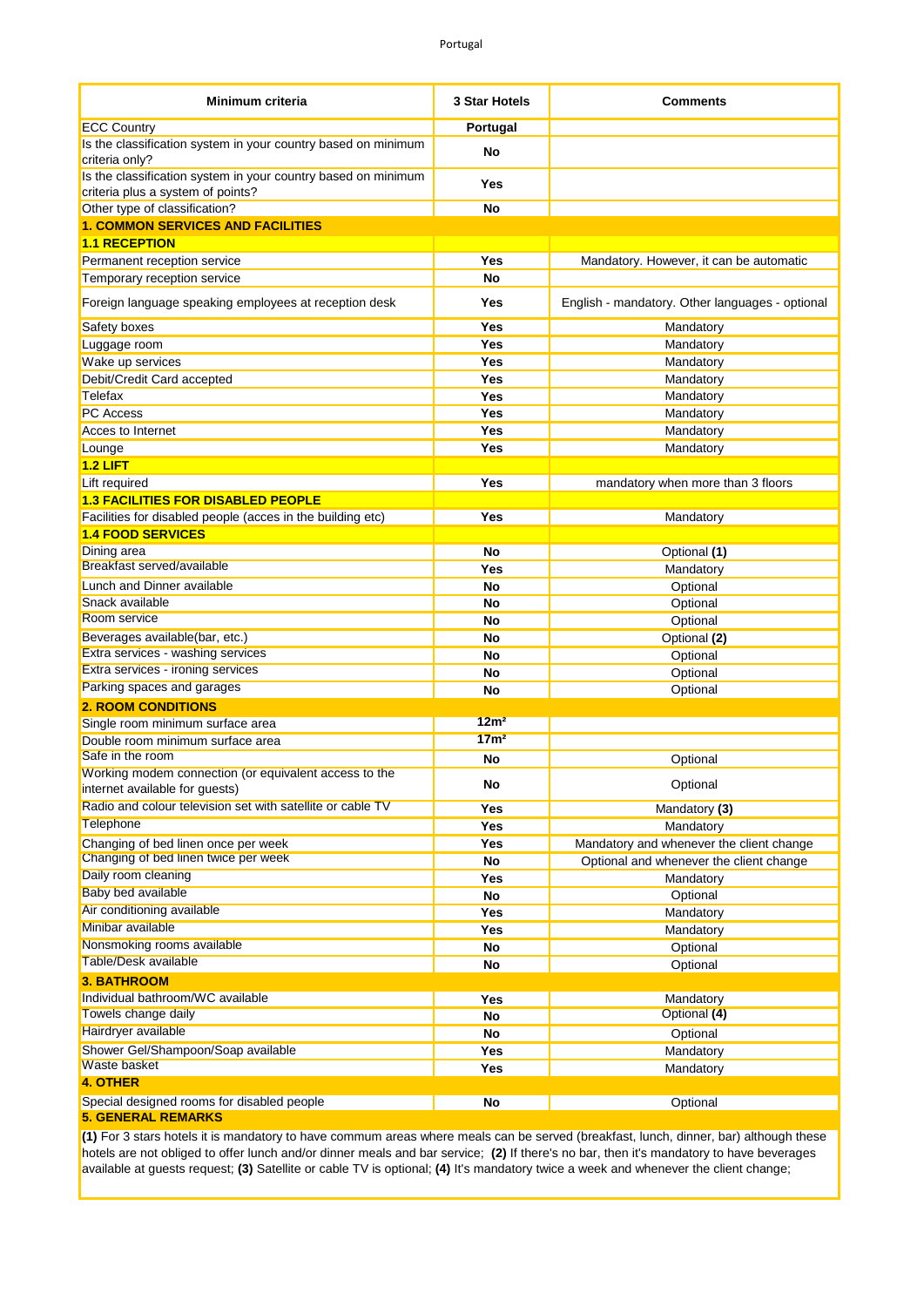| Minimum criteria                                                                                   | 3 Star Hotels    | <b>Comments</b>                                 |
|----------------------------------------------------------------------------------------------------|------------------|-------------------------------------------------|
| <b>ECC Country</b>                                                                                 | Portugal         |                                                 |
| Is the classification system in your country based on minimum<br>criteria only?                    | No               |                                                 |
| Is the classification system in your country based on minimum<br>criteria plus a system of points? | Yes              |                                                 |
| Other type of classification?                                                                      | <b>No</b>        |                                                 |
| <b>1. COMMON SERVICES AND FACILITIES</b>                                                           |                  |                                                 |
| <b>1.1 RECEPTION</b>                                                                               |                  |                                                 |
| Permanent reception service                                                                        | Yes              | Mandatory. However, it can be automatic         |
| Temporary reception service                                                                        | <b>No</b>        |                                                 |
| Foreign language speaking employees at reception desk                                              | Yes              | English - mandatory. Other languages - optional |
| Safety boxes                                                                                       | Yes              | Mandatory                                       |
| Luggage room                                                                                       | Yes              | Mandatory                                       |
| Wake up services                                                                                   | Yes              | Mandatory                                       |
| Debit/Credit Card accepted                                                                         | Yes              | Mandatory                                       |
| Telefax                                                                                            | Yes              | Mandatory                                       |
| <b>PC Access</b>                                                                                   | Yes              | Mandatory                                       |
| Acces to Internet                                                                                  | Yes              | Mandatory                                       |
| Lounge                                                                                             | Yes              | Mandatory                                       |
| $1.2$ LIFT                                                                                         |                  |                                                 |
| Lift required                                                                                      | Yes              | mandatory when more than 3 floors               |
| <b>1.3 FACILITIES FOR DISABLED PEOPLE</b>                                                          |                  |                                                 |
| Facilities for disabled people (acces in the building etc)                                         | Yes              | Mandatory                                       |
| <b>1.4 FOOD SERVICES</b>                                                                           |                  |                                                 |
| Dining area                                                                                        | No               | Optional (1)                                    |
| Breakfast served/available                                                                         | Yes              | Mandatory                                       |
| Lunch and Dinner available                                                                         | <b>No</b>        | Optional                                        |
| Snack available                                                                                    | No               | Optional                                        |
| Room service                                                                                       | No               | Optional                                        |
| Beverages available(bar, etc.)                                                                     | No               | Optional (2)                                    |
| Extra services - washing services                                                                  | No               | Optional                                        |
| Extra services - ironing services                                                                  | No               | Optional                                        |
| Parking spaces and garages                                                                         | No               | Optional                                        |
| <b>2. ROOM CONDITIONS</b>                                                                          |                  |                                                 |
| Single room minimum surface area                                                                   | 12m <sup>2</sup> |                                                 |
| Double room minimum surface area                                                                   | 17 <sub>m²</sub> |                                                 |
| Safe in the room                                                                                   | No               | Optional                                        |
| Working modem connection (or equivalent access to the                                              | No               | Optional                                        |
| internet available for guests)<br>Radio and colour television set with satellite or cable TV       | Yes              | Mandatory (3)                                   |
| <b>Telephone</b>                                                                                   | Yes              | Mandatory                                       |
| Changing of bed linen once per week                                                                | Yes              | Mandatory and whenever the client change        |
| Changing of bed linen twice per week                                                               | No               | Optional and whenever the client change         |
| Daily room cleaning                                                                                | Yes              | Mandatory                                       |
| <b>Baby bed available</b>                                                                          | No               |                                                 |
| Air conditioning available                                                                         | Yes              | Optional<br>Mandatory                           |
| Minibar available                                                                                  | Yes              |                                                 |
| Nonsmoking rooms available                                                                         |                  | Mandatory                                       |
| Table/Desk available                                                                               | No               | Optional<br>Optional                            |
| <b>3. BATHROOM</b>                                                                                 | No               |                                                 |
| Individual bathroom/WC available                                                                   | Yes              | Mandatory                                       |
| Towels change daily                                                                                |                  | Optional (4)                                    |
| Hairdryer available                                                                                | No               |                                                 |
| Shower Gel/Shampoon/Soap available                                                                 | <b>No</b>        | Optional                                        |
| Waste basket                                                                                       | Yes              | Mandatory                                       |
| <b>4. OTHER</b>                                                                                    | Yes              | Mandatory                                       |
|                                                                                                    |                  |                                                 |
| Special designed rooms for disabled people                                                         | No               | Optional                                        |

**5. GENERAL REMARKS**

**(1)** For 3 stars hotels it is mandatory to have commum areas where meals can be served (breakfast, lunch, dinner, bar) although these hotels are not obliged to offer lunch and/or dinner meals and bar service; **(2)** If there's no bar, then it's mandatory to have beverages available at guests request; **(3)** Satellite or cable TV is optional; **(4)** It's mandatory twice a week and whenever the client change;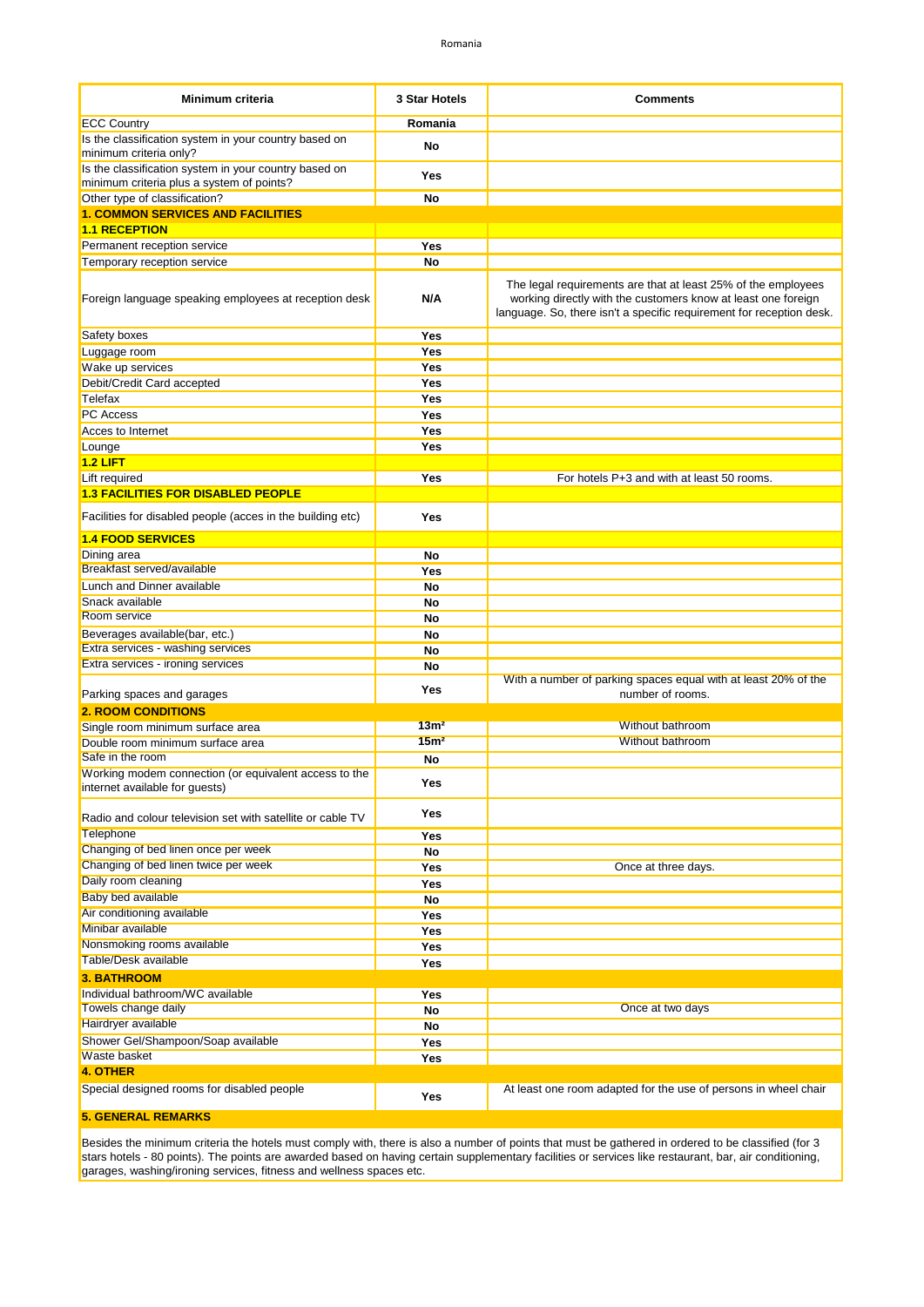| Minimum criteria                                           | 3 Star Hotels    | <b>Comments</b>                                                                                                                                                                                        |
|------------------------------------------------------------|------------------|--------------------------------------------------------------------------------------------------------------------------------------------------------------------------------------------------------|
| <b>ECC Country</b>                                         | Romania          |                                                                                                                                                                                                        |
| Is the classification system in your country based on      |                  |                                                                                                                                                                                                        |
| minimum criteria only?                                     | No               |                                                                                                                                                                                                        |
| Is the classification system in your country based on      | Yes              |                                                                                                                                                                                                        |
| minimum criteria plus a system of points?                  |                  |                                                                                                                                                                                                        |
| Other type of classification?                              | No               |                                                                                                                                                                                                        |
| <b>1. COMMON SERVICES AND FACILITIES</b>                   |                  |                                                                                                                                                                                                        |
| <b>1.1 RECEPTION</b>                                       |                  |                                                                                                                                                                                                        |
| Permanent reception service                                | Yes<br>No        |                                                                                                                                                                                                        |
| Temporary reception service                                |                  |                                                                                                                                                                                                        |
| Foreign language speaking employees at reception desk      | N/A              | The legal requirements are that at least 25% of the employees<br>working directly with the customers know at least one foreign<br>language. So, there isn't a specific requirement for reception desk. |
| Safety boxes                                               | Yes              |                                                                                                                                                                                                        |
| Luggage room                                               | Yes              |                                                                                                                                                                                                        |
| Wake up services                                           | Yes              |                                                                                                                                                                                                        |
| Debit/Credit Card accepted                                 | Yes              |                                                                                                                                                                                                        |
| Telefax                                                    | Yes              |                                                                                                                                                                                                        |
| <b>PC</b> Access                                           | Yes              |                                                                                                                                                                                                        |
| Acces to Internet                                          | Yes              |                                                                                                                                                                                                        |
| Lounge                                                     | Yes              |                                                                                                                                                                                                        |
| $1.2$ LIFT                                                 |                  |                                                                                                                                                                                                        |
| Lift required                                              | Yes              | For hotels P+3 and with at least 50 rooms.                                                                                                                                                             |
| <b>1.3 FACILITIES FOR DISABLED PEOPLE</b>                  |                  |                                                                                                                                                                                                        |
| Facilities for disabled people (acces in the building etc) | Yes              |                                                                                                                                                                                                        |
| <b>1.4 FOOD SERVICES</b>                                   |                  |                                                                                                                                                                                                        |
| Dining area<br>Breakfast served/available                  | No               |                                                                                                                                                                                                        |
|                                                            | Yes              |                                                                                                                                                                                                        |
| Lunch and Dinner available                                 | No               |                                                                                                                                                                                                        |
| Snack available<br>Room service                            | No               |                                                                                                                                                                                                        |
| Beverages available(bar, etc.)                             | No               |                                                                                                                                                                                                        |
| Extra services - washing services                          | No<br>No         |                                                                                                                                                                                                        |
| Extra services - ironing services                          | No               |                                                                                                                                                                                                        |
|                                                            |                  | With a number of parking spaces equal with at least 20% of the                                                                                                                                         |
| Parking spaces and garages                                 | Yes              | number of rooms.                                                                                                                                                                                       |
| <b>2. ROOM CONDITIONS</b>                                  |                  |                                                                                                                                                                                                        |
| Single room minimum surface area                           | 13 <sup>m²</sup> | Without bathroom                                                                                                                                                                                       |
| Double room minimum surface area                           | 15 <sup>m²</sup> | <b>Without bathroom</b>                                                                                                                                                                                |
| Safe in the room                                           | No               |                                                                                                                                                                                                        |
| Working modem connection (or equivalent access to the      | Yes              |                                                                                                                                                                                                        |
| internet available for guests)                             |                  |                                                                                                                                                                                                        |
| Radio and colour television set with satellite or cable TV | Yes              |                                                                                                                                                                                                        |
| <b>Telephone</b>                                           | Yes              |                                                                                                                                                                                                        |
| Changing of bed linen once per week                        | No               |                                                                                                                                                                                                        |
| Changing of bed linen twice per week                       | Yes              | Once at three days.                                                                                                                                                                                    |
| Daily room cleaning                                        | Yes              |                                                                                                                                                                                                        |
| Baby bed available                                         | No               |                                                                                                                                                                                                        |
| Air conditioning available                                 | Yes              |                                                                                                                                                                                                        |
| Minibar available                                          | Yes              |                                                                                                                                                                                                        |
| Nonsmoking rooms available                                 | Yes              |                                                                                                                                                                                                        |
| <b>Table/Desk available</b>                                | Yes              |                                                                                                                                                                                                        |
| <b>3. BATHROOM</b>                                         |                  |                                                                                                                                                                                                        |
| Individual bathroom/WC available<br>Towels change daily    | Yes              | Once at two days                                                                                                                                                                                       |
| Hairdryer available                                        | No               |                                                                                                                                                                                                        |
|                                                            | No               |                                                                                                                                                                                                        |
| Shower Gel/Shampoon/Soap available<br>Waste basket         | Yes              |                                                                                                                                                                                                        |
| 4. OTHER                                                   | Yes              |                                                                                                                                                                                                        |
| Special designed rooms for disabled people                 |                  | At least one room adapted for the use of persons in wheel chair                                                                                                                                        |
|                                                            | Yes              |                                                                                                                                                                                                        |
| <b>5. GENERAL REMARKS</b>                                  |                  |                                                                                                                                                                                                        |

Besides the minimum criteria the hotels must comply with, there is also a number of points that must be gathered in ordered to be classified (for 3 stars hotels - 80 points). The points are awarded based on having certain supplementary facilities or services like restaurant, bar, air conditioning, garages, washing/ironing services, fitness and wellness spaces etc.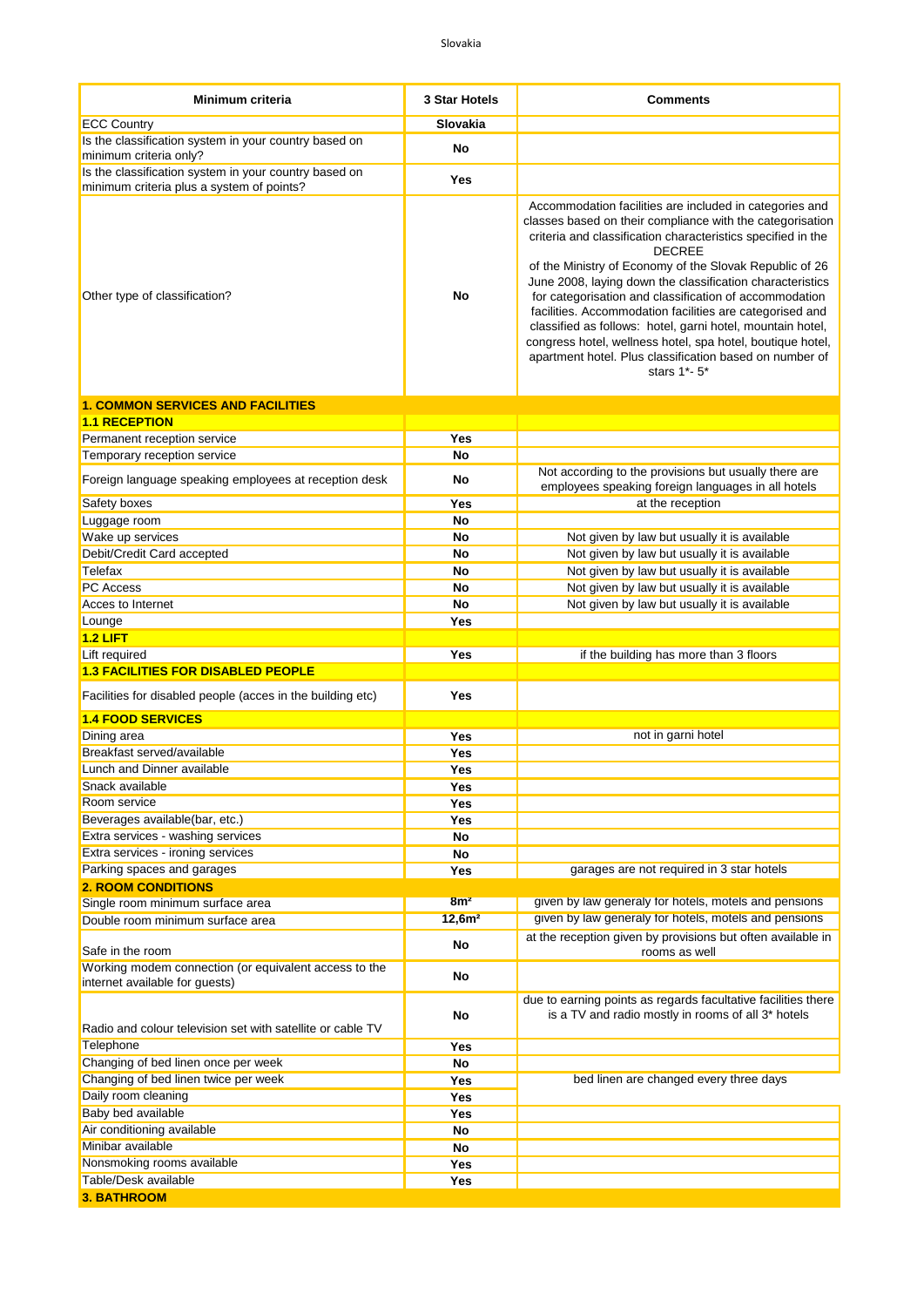| Minimum criteria                                                                                   | 3 Star Hotels      | <b>Comments</b>                                                                                                                                                                                                                                                                                                                                                                                                                                                                                                                                                                                                                                            |
|----------------------------------------------------------------------------------------------------|--------------------|------------------------------------------------------------------------------------------------------------------------------------------------------------------------------------------------------------------------------------------------------------------------------------------------------------------------------------------------------------------------------------------------------------------------------------------------------------------------------------------------------------------------------------------------------------------------------------------------------------------------------------------------------------|
| <b>ECC Country</b>                                                                                 | Slovakia           |                                                                                                                                                                                                                                                                                                                                                                                                                                                                                                                                                                                                                                                            |
| Is the classification system in your country based on<br>minimum criteria only?                    | No                 |                                                                                                                                                                                                                                                                                                                                                                                                                                                                                                                                                                                                                                                            |
| Is the classification system in your country based on<br>minimum criteria plus a system of points? | Yes                |                                                                                                                                                                                                                                                                                                                                                                                                                                                                                                                                                                                                                                                            |
| Other type of classification?                                                                      | No                 | Accommodation facilities are included in categories and<br>classes based on their compliance with the categorisation<br>criteria and classification characteristics specified in the<br><b>DECREE</b><br>of the Ministry of Economy of the Slovak Republic of 26<br>June 2008, laying down the classification characteristics<br>for categorisation and classification of accommodation<br>facilities. Accommodation facilities are categorised and<br>classified as follows: hotel, garni hotel, mountain hotel,<br>congress hotel, wellness hotel, spa hotel, boutique hotel,<br>apartment hotel. Plus classification based on number of<br>stars 1*- 5* |
| <b>1. COMMON SERVICES AND FACILITIES</b>                                                           |                    |                                                                                                                                                                                                                                                                                                                                                                                                                                                                                                                                                                                                                                                            |
| <b>1.1 RECEPTION</b>                                                                               |                    |                                                                                                                                                                                                                                                                                                                                                                                                                                                                                                                                                                                                                                                            |
| Permanent reception service                                                                        | Yes                |                                                                                                                                                                                                                                                                                                                                                                                                                                                                                                                                                                                                                                                            |
| Temporary reception service                                                                        | No                 |                                                                                                                                                                                                                                                                                                                                                                                                                                                                                                                                                                                                                                                            |
| Foreign language speaking employees at reception desk                                              | No                 | Not according to the provisions but usually there are<br>employees speaking foreign languages in all hotels                                                                                                                                                                                                                                                                                                                                                                                                                                                                                                                                                |
| Safety boxes                                                                                       | Yes                | at the reception                                                                                                                                                                                                                                                                                                                                                                                                                                                                                                                                                                                                                                           |
| Luggage room                                                                                       | No                 |                                                                                                                                                                                                                                                                                                                                                                                                                                                                                                                                                                                                                                                            |
| Wake up services                                                                                   | No                 | Not given by law but usually it is available                                                                                                                                                                                                                                                                                                                                                                                                                                                                                                                                                                                                               |
| Debit/Credit Card accepted                                                                         | No                 | Not given by law but usually it is available                                                                                                                                                                                                                                                                                                                                                                                                                                                                                                                                                                                                               |
| Telefax                                                                                            | No                 | Not given by law but usually it is available                                                                                                                                                                                                                                                                                                                                                                                                                                                                                                                                                                                                               |
| PC Access                                                                                          | No                 | Not given by law but usually it is available                                                                                                                                                                                                                                                                                                                                                                                                                                                                                                                                                                                                               |
| Acces to Internet                                                                                  | No                 | Not given by law but usually it is available                                                                                                                                                                                                                                                                                                                                                                                                                                                                                                                                                                                                               |
| Lounge                                                                                             | Yes                |                                                                                                                                                                                                                                                                                                                                                                                                                                                                                                                                                                                                                                                            |
| $1.2$ LIFT                                                                                         |                    |                                                                                                                                                                                                                                                                                                                                                                                                                                                                                                                                                                                                                                                            |
| Lift required                                                                                      | Yes                | if the building has more than 3 floors                                                                                                                                                                                                                                                                                                                                                                                                                                                                                                                                                                                                                     |
| <b>1.3 FACILITIES FOR DISABLED PEOPLE</b>                                                          |                    |                                                                                                                                                                                                                                                                                                                                                                                                                                                                                                                                                                                                                                                            |
| Facilities for disabled people (acces in the building etc)                                         | <b>Yes</b>         |                                                                                                                                                                                                                                                                                                                                                                                                                                                                                                                                                                                                                                                            |
| <b>1.4 FOOD SERVICES</b>                                                                           |                    |                                                                                                                                                                                                                                                                                                                                                                                                                                                                                                                                                                                                                                                            |
| Dining area                                                                                        | Yes                | not in garni hotel                                                                                                                                                                                                                                                                                                                                                                                                                                                                                                                                                                                                                                         |
| Breakfast served/available                                                                         | Yes                |                                                                                                                                                                                                                                                                                                                                                                                                                                                                                                                                                                                                                                                            |
| Lunch and Dinner available                                                                         | Yes                |                                                                                                                                                                                                                                                                                                                                                                                                                                                                                                                                                                                                                                                            |
| Snack available                                                                                    | Yes                |                                                                                                                                                                                                                                                                                                                                                                                                                                                                                                                                                                                                                                                            |
| Room service                                                                                       | Yes                |                                                                                                                                                                                                                                                                                                                                                                                                                                                                                                                                                                                                                                                            |
| Beverages available(bar, etc.)                                                                     | Yes                |                                                                                                                                                                                                                                                                                                                                                                                                                                                                                                                                                                                                                                                            |
| Extra services - washing services                                                                  | No                 |                                                                                                                                                                                                                                                                                                                                                                                                                                                                                                                                                                                                                                                            |
| Extra services - ironing services                                                                  | No                 |                                                                                                                                                                                                                                                                                                                                                                                                                                                                                                                                                                                                                                                            |
| Parking spaces and garages                                                                         | Yes                | garages are not required in 3 star hotels                                                                                                                                                                                                                                                                                                                                                                                                                                                                                                                                                                                                                  |
| <b>2. ROOM CONDITIONS</b>                                                                          |                    |                                                                                                                                                                                                                                                                                                                                                                                                                                                                                                                                                                                                                                                            |
| Single room minimum surface area                                                                   | 8m <sup>2</sup>    | given by law generaly for hotels, motels and pensions                                                                                                                                                                                                                                                                                                                                                                                                                                                                                                                                                                                                      |
| Double room minimum surface area                                                                   | 12,6m <sup>2</sup> | given by law generaly for hotels, motels and pensions                                                                                                                                                                                                                                                                                                                                                                                                                                                                                                                                                                                                      |
| Safe in the room                                                                                   | No                 | at the reception given by provisions but often available in<br>rooms as well                                                                                                                                                                                                                                                                                                                                                                                                                                                                                                                                                                               |
| Working modem connection (or equivalent access to the<br>internet available for guests)            | No                 |                                                                                                                                                                                                                                                                                                                                                                                                                                                                                                                                                                                                                                                            |
|                                                                                                    | No                 | due to earning points as regards facultative facilities there<br>is a TV and radio mostly in rooms of all 3* hotels                                                                                                                                                                                                                                                                                                                                                                                                                                                                                                                                        |
| Radio and colour television set with satellite or cable TV                                         |                    |                                                                                                                                                                                                                                                                                                                                                                                                                                                                                                                                                                                                                                                            |
| Telephone                                                                                          | Yes                |                                                                                                                                                                                                                                                                                                                                                                                                                                                                                                                                                                                                                                                            |
| Changing of bed linen once per week                                                                | No                 |                                                                                                                                                                                                                                                                                                                                                                                                                                                                                                                                                                                                                                                            |
| Changing of bed linen twice per week                                                               | Yes                | bed linen are changed every three days                                                                                                                                                                                                                                                                                                                                                                                                                                                                                                                                                                                                                     |
| Daily room cleaning                                                                                | Yes                |                                                                                                                                                                                                                                                                                                                                                                                                                                                                                                                                                                                                                                                            |
| Baby bed available                                                                                 | Yes                |                                                                                                                                                                                                                                                                                                                                                                                                                                                                                                                                                                                                                                                            |
| Air conditioning available                                                                         | No                 |                                                                                                                                                                                                                                                                                                                                                                                                                                                                                                                                                                                                                                                            |
| Minibar available                                                                                  | No                 |                                                                                                                                                                                                                                                                                                                                                                                                                                                                                                                                                                                                                                                            |
| Nonsmoking rooms available                                                                         |                    |                                                                                                                                                                                                                                                                                                                                                                                                                                                                                                                                                                                                                                                            |
|                                                                                                    | Yes                |                                                                                                                                                                                                                                                                                                                                                                                                                                                                                                                                                                                                                                                            |
| Table/Desk available<br><b>3. BATHROOM</b>                                                         | Yes                |                                                                                                                                                                                                                                                                                                                                                                                                                                                                                                                                                                                                                                                            |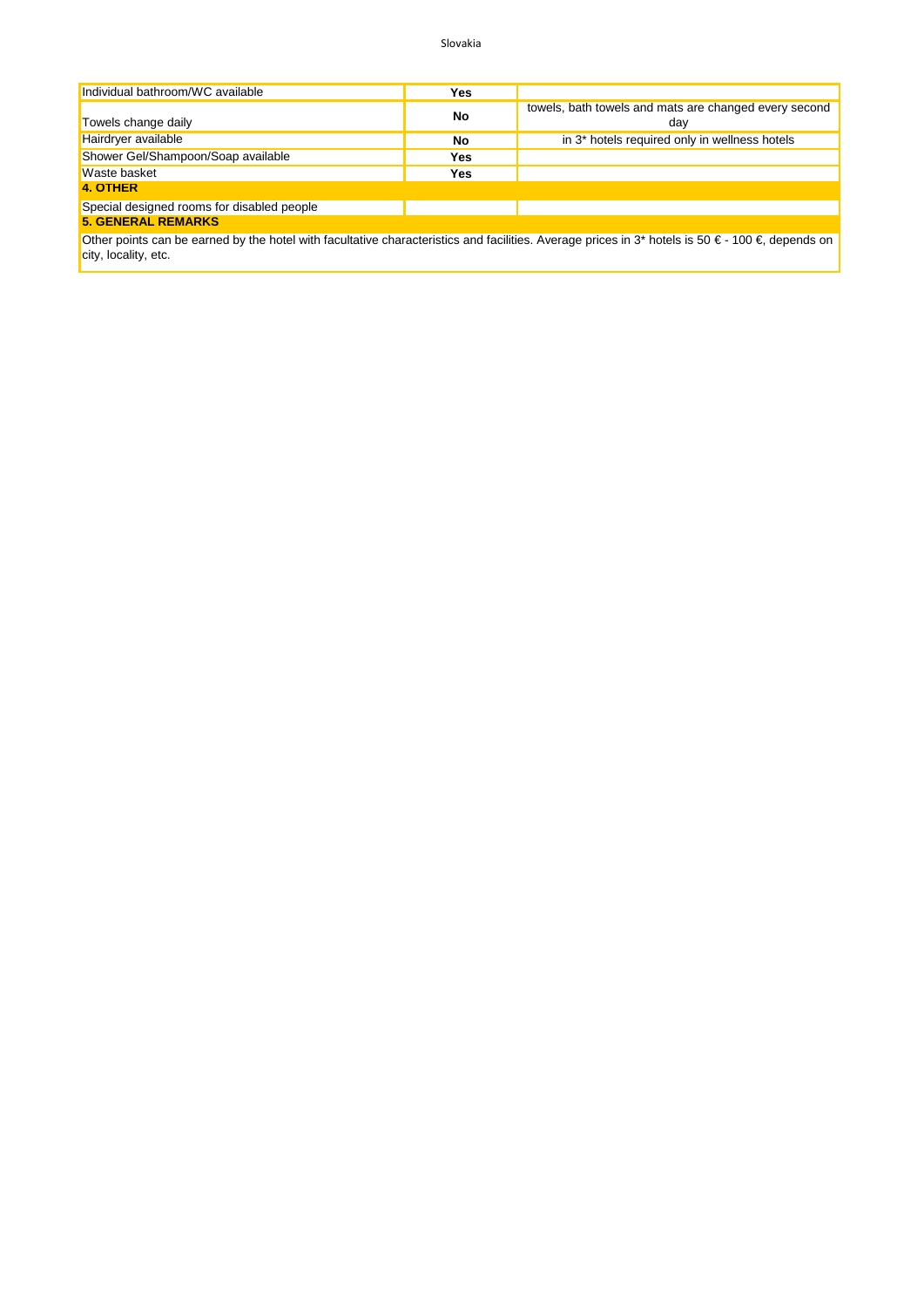Slovakia

| Individual bathroom/WC available                                                                                                                                  | Yes |                                                              |  |
|-------------------------------------------------------------------------------------------------------------------------------------------------------------------|-----|--------------------------------------------------------------|--|
| Towels change daily                                                                                                                                               | No  | towels, bath towels and mats are changed every second<br>day |  |
| Hairdryer available                                                                                                                                               | No  | in 3 <sup>*</sup> hotels required only in wellness hotels    |  |
| Shower Gel/Shampoon/Soap available                                                                                                                                | Yes |                                                              |  |
| <b>Waste basket</b>                                                                                                                                               | Yes |                                                              |  |
| 4. OTHER                                                                                                                                                          |     |                                                              |  |
| Special designed rooms for disabled people                                                                                                                        |     |                                                              |  |
| <b>5. GENERAL REMARKS</b>                                                                                                                                         |     |                                                              |  |
| Other points can be earned by the botel with facultative characteristics and facilities. Average prices in 3* hotels is 50 $\epsilon$ - 100 $\epsilon$ depends on |     |                                                              |  |

Other points can be earned by the hotel with facultative characteristics and facilities. Average prices in 3\* hotels is 50 € - 100 €, depends on city, locality, etc.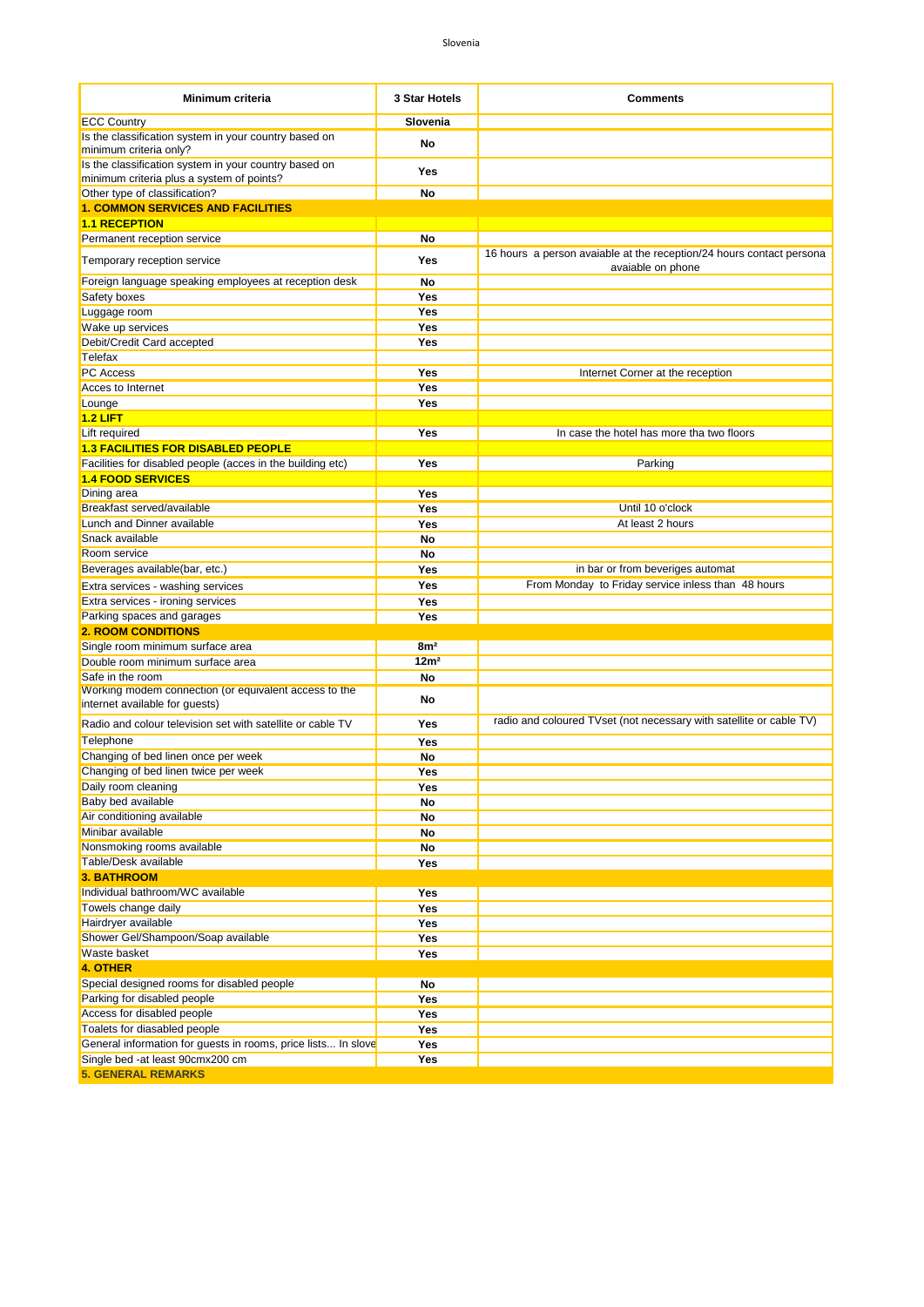| <b>Minimum criteria</b>                                                                 | 3 Star Hotels    | <b>Comments</b>                                                                           |
|-----------------------------------------------------------------------------------------|------------------|-------------------------------------------------------------------------------------------|
| <b>ECC Country</b>                                                                      | Slovenia         |                                                                                           |
| Is the classification system in your country based on<br>minimum criteria only?         | No               |                                                                                           |
| Is the classification system in your country based on                                   | Yes              |                                                                                           |
| minimum criteria plus a system of points?                                               |                  |                                                                                           |
| Other type of classification?                                                           | No               |                                                                                           |
| <b>1. COMMON SERVICES AND FACILITIES</b>                                                |                  |                                                                                           |
| <b>1.1 RECEPTION</b>                                                                    |                  |                                                                                           |
| Permanent reception service                                                             | No               |                                                                                           |
| Temporary reception service                                                             | Yes              | 16 hours a person avaiable at the reception/24 hours contact persona<br>avaiable on phone |
| Foreign language speaking employees at reception desk                                   | No               |                                                                                           |
| Safety boxes                                                                            | Yes              |                                                                                           |
| Luggage room                                                                            | Yes              |                                                                                           |
| Wake up services<br>Debit/Credit Card accepted                                          | Yes<br>Yes       |                                                                                           |
| Telefax                                                                                 |                  |                                                                                           |
| PC Access                                                                               | Yes              | Internet Corner at the reception                                                          |
| Acces to Internet                                                                       | Yes              |                                                                                           |
| Lounge                                                                                  | Yes              |                                                                                           |
| $1.2$ LIFT                                                                              |                  |                                                                                           |
| Lift required                                                                           | Yes              | In case the hotel has more tha two floors                                                 |
| <b>1.3 FACILITIES FOR DISABLED PEOPLE</b>                                               |                  |                                                                                           |
| Facilities for disabled people (acces in the building etc)                              | Yes              | Parking                                                                                   |
| <b>1.4 FOOD SERVICES</b>                                                                |                  |                                                                                           |
| Dining area                                                                             | Yes              |                                                                                           |
| Breakfast served/available                                                              | Yes              | Until 10 o'clock                                                                          |
| Lunch and Dinner available                                                              | Yes              | At least 2 hours                                                                          |
| Snack available                                                                         | No               |                                                                                           |
| Room service                                                                            | No               |                                                                                           |
| Beverages available(bar, etc.)                                                          | Yes              | in bar or from beveriges automat                                                          |
| Extra services - washing services                                                       | Yes              | From Monday to Friday service inless than 48 hours                                        |
| Extra services - ironing services                                                       | Yes              |                                                                                           |
| Parking spaces and garages                                                              | Yes              |                                                                                           |
| <b>2. ROOM CONDITIONS</b>                                                               |                  |                                                                                           |
| Single room minimum surface area                                                        | 8m <sup>2</sup>  |                                                                                           |
| Double room minimum surface area                                                        | 12m <sup>2</sup> |                                                                                           |
| Safe in the room                                                                        | No               |                                                                                           |
| Working modem connection (or equivalent access to the<br>internet available for guests) | No               |                                                                                           |
| Radio and colour television set with satellite or cable TV                              | Yes              | radio and coloured TVset (not necessary with satellite or cable TV)                       |
| Telephone                                                                               | Yes              |                                                                                           |
| Changing of bed linen once per week                                                     | No               |                                                                                           |
| Changing of bed linen twice per week                                                    | Yes              |                                                                                           |
| Daily room cleaning                                                                     | Yes              |                                                                                           |
| Baby bed available                                                                      | No               |                                                                                           |
| Air conditioning available                                                              | No               |                                                                                           |
| Minibar available                                                                       | No               |                                                                                           |
| Nonsmoking rooms available<br>Table/Desk available                                      | No               |                                                                                           |
| <b>3. BATHROOM</b>                                                                      | Yes              |                                                                                           |
| Individual bathroom/WC available                                                        | Yes              |                                                                                           |
| Towels change daily                                                                     | Yes              |                                                                                           |
| Hairdryer available                                                                     | Yes              |                                                                                           |
| Shower Gel/Shampoon/Soap available                                                      | Yes              |                                                                                           |
| Waste basket                                                                            | Yes              |                                                                                           |
| <b>4. OTHER</b>                                                                         |                  |                                                                                           |
| Special designed rooms for disabled people                                              | No               |                                                                                           |
| Parking for disabled people                                                             | Yes              |                                                                                           |
| Access for disabled people                                                              | Yes              |                                                                                           |
| Toalets for diasabled people                                                            | <b>Yes</b>       |                                                                                           |
| General information for guests in rooms, price lists In slove                           | Yes              |                                                                                           |
| Single bed -at least 90cmx200 cm                                                        | Yes              |                                                                                           |
| <b>5. GENERAL REMARKS</b>                                                               |                  |                                                                                           |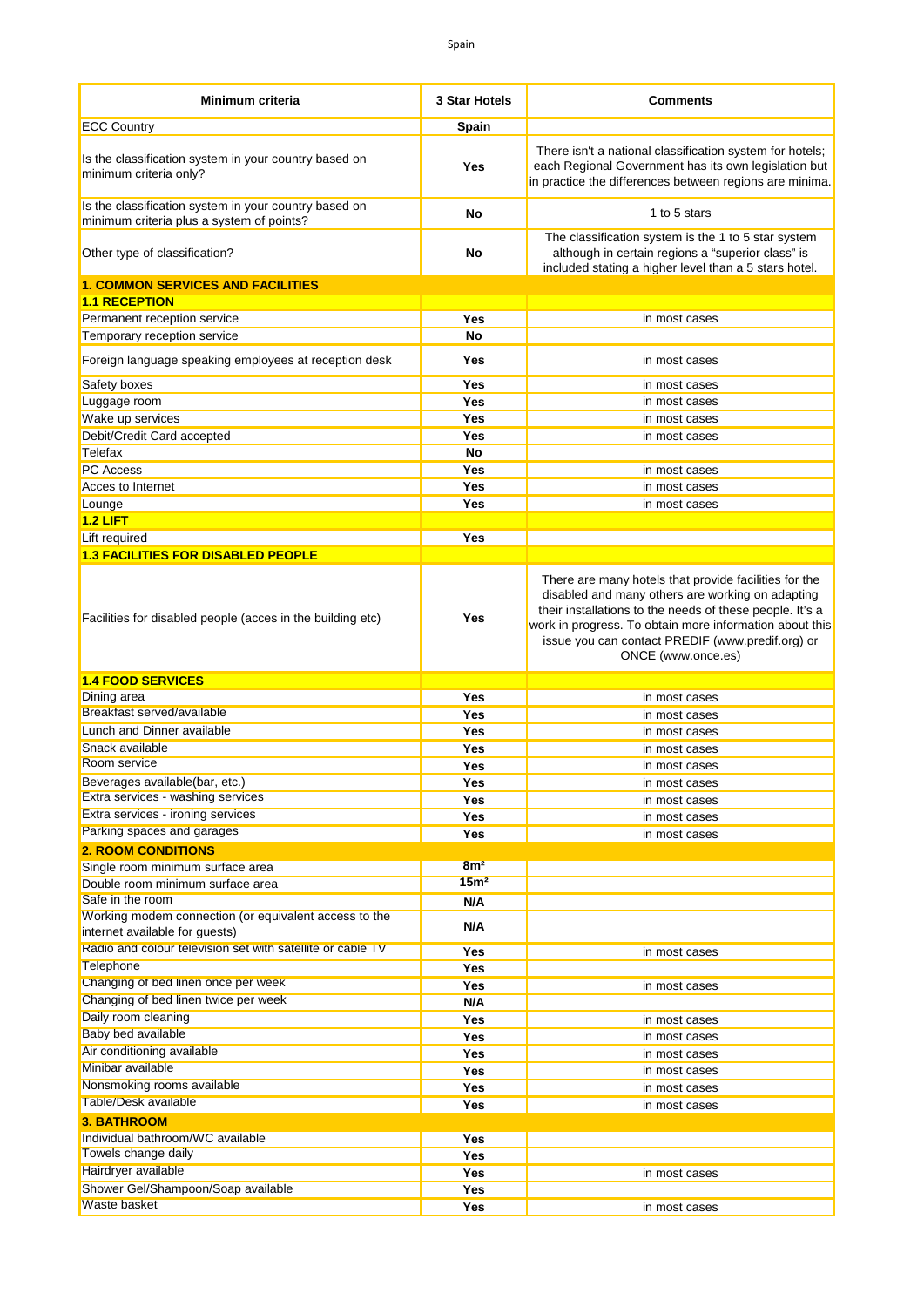| <b>Minimum criteria</b>                                                                            | 3 Star Hotels    | <b>Comments</b>                                                                                                                                                                                                                                                                                            |
|----------------------------------------------------------------------------------------------------|------------------|------------------------------------------------------------------------------------------------------------------------------------------------------------------------------------------------------------------------------------------------------------------------------------------------------------|
| <b>ECC Country</b>                                                                                 | Spain            |                                                                                                                                                                                                                                                                                                            |
| Is the classification system in your country based on<br>minimum criteria only?                    | Yes              | There isn't a national classification system for hotels;<br>each Regional Government has its own legislation but<br>in practice the differences between regions are minima.                                                                                                                                |
| Is the classification system in your country based on<br>minimum criteria plus a system of points? | No               | 1 to 5 stars                                                                                                                                                                                                                                                                                               |
| Other type of classification?                                                                      | No               | The classification system is the 1 to 5 star system<br>although in certain regions a "superior class" is<br>included stating a higher level than a 5 stars hotel.                                                                                                                                          |
| <b>1. COMMON SERVICES AND FACILITIES</b><br><b>1.1 RECEPTION</b>                                   |                  |                                                                                                                                                                                                                                                                                                            |
| Permanent reception service                                                                        | Yes              | in most cases                                                                                                                                                                                                                                                                                              |
| Temporary reception service                                                                        | <b>No</b>        |                                                                                                                                                                                                                                                                                                            |
| Foreign language speaking employees at reception desk                                              | Yes              | in most cases                                                                                                                                                                                                                                                                                              |
| Safety boxes                                                                                       | Yes              | in most cases                                                                                                                                                                                                                                                                                              |
| Luggage room                                                                                       | Yes              | in most cases                                                                                                                                                                                                                                                                                              |
| Wake up services                                                                                   | Yes              | in most cases                                                                                                                                                                                                                                                                                              |
| Debit/Credit Card accepted                                                                         | Yes              | in most cases                                                                                                                                                                                                                                                                                              |
| Telefax                                                                                            | No               |                                                                                                                                                                                                                                                                                                            |
| <b>PC Access</b>                                                                                   | Yes              | in most cases                                                                                                                                                                                                                                                                                              |
| Acces to Internet                                                                                  | Yes              | in most cases                                                                                                                                                                                                                                                                                              |
| Lounge                                                                                             | Yes              | in most cases                                                                                                                                                                                                                                                                                              |
| $1.2$ LIFT                                                                                         |                  |                                                                                                                                                                                                                                                                                                            |
| Lift required                                                                                      | Yes              |                                                                                                                                                                                                                                                                                                            |
| <b>1.3 FACILITIES FOR DISABLED PEOPLE</b>                                                          |                  |                                                                                                                                                                                                                                                                                                            |
| Facilities for disabled people (acces in the building etc)                                         | Yes              | There are many hotels that provide facilities for the<br>disabled and many others are working on adapting<br>their installations to the needs of these people. It's a<br>work in progress. To obtain more information about this<br>issue you can contact PREDIF (www.predif.org) or<br>ONCE (www.once.es) |
| <b>1.4 FOOD SERVICES</b>                                                                           |                  |                                                                                                                                                                                                                                                                                                            |
| Dining area                                                                                        | Yes              | in most cases                                                                                                                                                                                                                                                                                              |
| Breakfast served/available                                                                         | Yes              | in most cases                                                                                                                                                                                                                                                                                              |
| Lunch and Dinner available                                                                         | Yes              | in most cases                                                                                                                                                                                                                                                                                              |
| Snack available                                                                                    | Yes              | in most cases                                                                                                                                                                                                                                                                                              |
| Room service                                                                                       | Yes              | in most cases                                                                                                                                                                                                                                                                                              |
| Beverages available(bar, etc.)                                                                     | Yes              | in most cases                                                                                                                                                                                                                                                                                              |
| Extra services - washing services<br>Extra services - ironing services                             | Yes              | in most cases                                                                                                                                                                                                                                                                                              |
| Parking spaces and garages                                                                         | Yes              | in most cases                                                                                                                                                                                                                                                                                              |
| <b>2. ROOM CONDITIONS</b>                                                                          | Yes              | in most cases                                                                                                                                                                                                                                                                                              |
| Single room minimum surface area                                                                   | 8m <sup>2</sup>  |                                                                                                                                                                                                                                                                                                            |
| Double room minimum surface area                                                                   | 15 <sup>m²</sup> |                                                                                                                                                                                                                                                                                                            |
| Safe in the room                                                                                   | N/A              |                                                                                                                                                                                                                                                                                                            |
| Working modem connection (or equivalent access to the<br>internet available for guests)            | N/A              |                                                                                                                                                                                                                                                                                                            |
| Radio and colour television set with satellite or cable TV                                         | Yes              | in most cases                                                                                                                                                                                                                                                                                              |
| <b>Telephone</b>                                                                                   | Yes              |                                                                                                                                                                                                                                                                                                            |
| Changing of bed linen once per week                                                                | Yes              | in most cases                                                                                                                                                                                                                                                                                              |
| Changing of bed linen twice per week                                                               | N/A              |                                                                                                                                                                                                                                                                                                            |
| Daily room cleaning                                                                                | Yes              | in most cases                                                                                                                                                                                                                                                                                              |
| <b>Baby bed available</b>                                                                          | Yes              | in most cases                                                                                                                                                                                                                                                                                              |
| Air conditioning available                                                                         | Yes              | in most cases                                                                                                                                                                                                                                                                                              |
| Minibar available                                                                                  | Yes              | in most cases                                                                                                                                                                                                                                                                                              |
| Nonsmoking rooms available                                                                         | Yes              | in most cases                                                                                                                                                                                                                                                                                              |
| Table/Desk available                                                                               | Yes              | in most cases                                                                                                                                                                                                                                                                                              |
| <b>3. BATHROOM</b>                                                                                 |                  |                                                                                                                                                                                                                                                                                                            |
| Individual bathroom/WC available                                                                   | Yes              |                                                                                                                                                                                                                                                                                                            |
| Towels change daily                                                                                | Yes              |                                                                                                                                                                                                                                                                                                            |
| Hairdryer available                                                                                | Yes              | in most cases                                                                                                                                                                                                                                                                                              |
| Shower Gel/Shampoon/Soap available                                                                 | Yes              |                                                                                                                                                                                                                                                                                                            |
| Waste basket                                                                                       | Yes              | in most cases                                                                                                                                                                                                                                                                                              |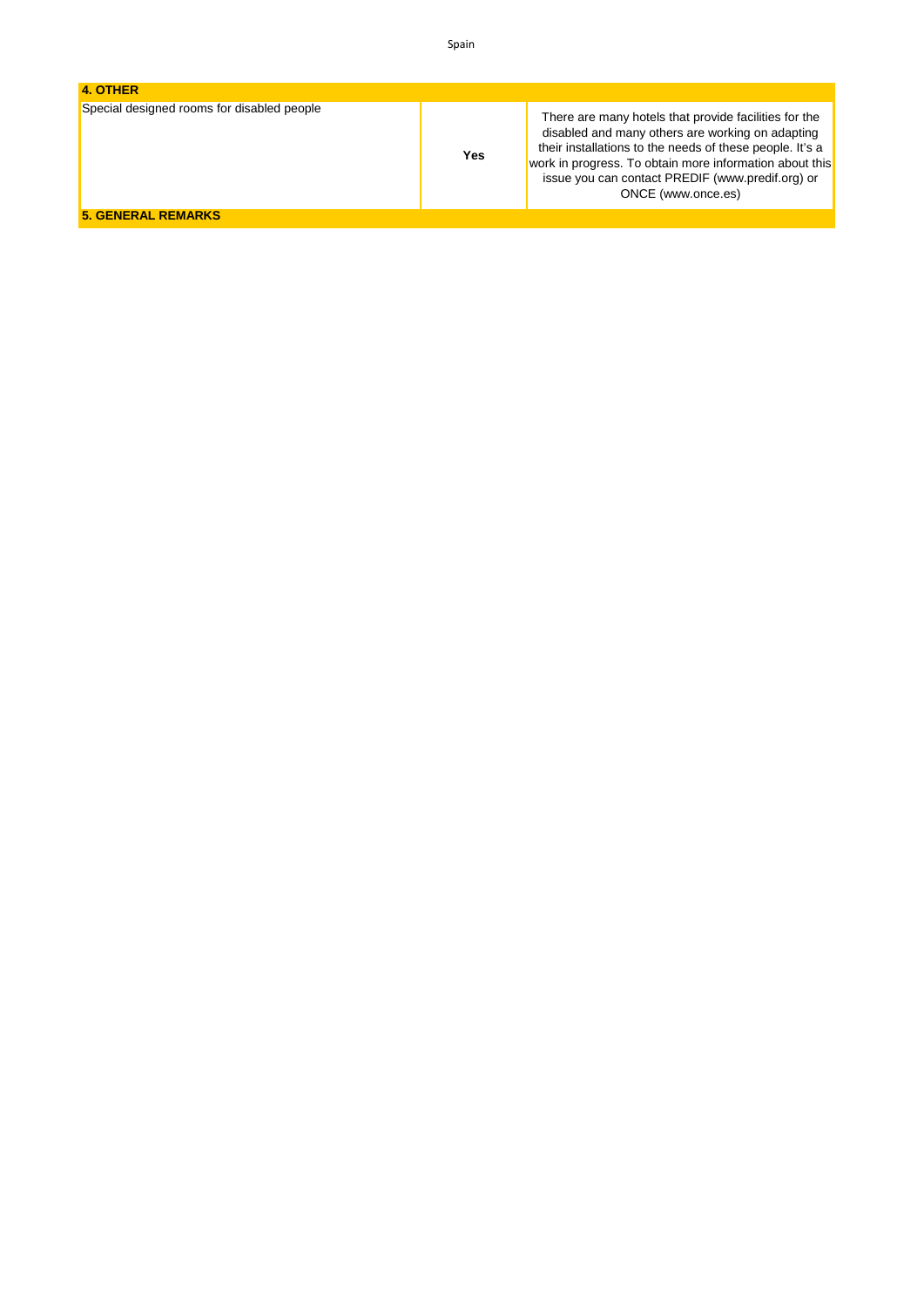| 4. OTHER                                   |     |                                                                                                                                                                                                                                                                                                            |
|--------------------------------------------|-----|------------------------------------------------------------------------------------------------------------------------------------------------------------------------------------------------------------------------------------------------------------------------------------------------------------|
| Special designed rooms for disabled people | Yes | There are many hotels that provide facilities for the<br>disabled and many others are working on adapting<br>their installations to the needs of these people. It's a<br>work in progress. To obtain more information about this<br>issue you can contact PREDIF (www.predif.org) or<br>ONCE (www.once.es) |
| <b>5. GENERAL REMARKS</b>                  |     |                                                                                                                                                                                                                                                                                                            |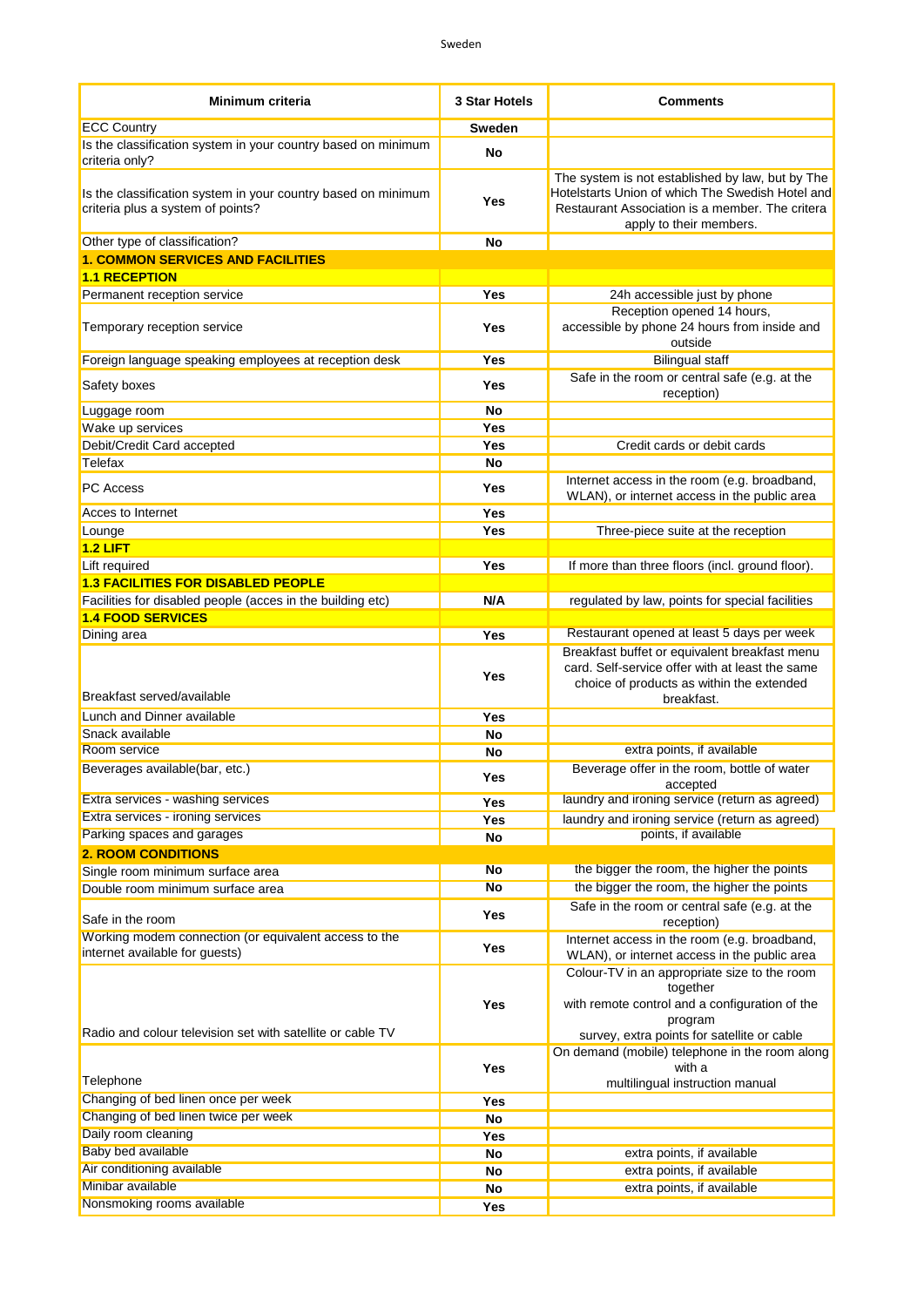| <b>Minimum criteria</b>                                                                            | <b>3 Star Hotels</b> | <b>Comments</b>                                                                                                                                                                    |
|----------------------------------------------------------------------------------------------------|----------------------|------------------------------------------------------------------------------------------------------------------------------------------------------------------------------------|
| <b>ECC Country</b>                                                                                 | <b>Sweden</b>        |                                                                                                                                                                                    |
| Is the classification system in your country based on minimum<br>criteria only?                    | No                   |                                                                                                                                                                                    |
| Is the classification system in your country based on minimum<br>criteria plus a system of points? | Yes                  | The system is not established by law, but by The<br>Hotelstarts Union of which The Swedish Hotel and<br>Restaurant Association is a member. The critera<br>apply to their members. |
| Other type of classification?                                                                      | No                   |                                                                                                                                                                                    |
| <b>1. COMMON SERVICES AND FACILITIES</b>                                                           |                      |                                                                                                                                                                                    |
| <b>1.1 RECEPTION</b>                                                                               | Yes                  | 24h accessible just by phone                                                                                                                                                       |
| Permanent reception service                                                                        |                      | Reception opened 14 hours,                                                                                                                                                         |
| Temporary reception service                                                                        | Yes                  | accessible by phone 24 hours from inside and<br>outside                                                                                                                            |
| Foreign language speaking employees at reception desk                                              | Yes                  | <b>Bilingual staff</b>                                                                                                                                                             |
| Safety boxes                                                                                       | Yes                  | Safe in the room or central safe (e.g. at the<br>reception)                                                                                                                        |
| Luggage room                                                                                       | No                   |                                                                                                                                                                                    |
| Wake up services                                                                                   | Yes                  |                                                                                                                                                                                    |
| Debit/Credit Card accepted                                                                         | <b>Yes</b>           | Credit cards or debit cards                                                                                                                                                        |
| Telefax                                                                                            | No                   |                                                                                                                                                                                    |
| <b>PC</b> Access                                                                                   | Yes                  | Internet access in the room (e.g. broadband,<br>WLAN), or internet access in the public area                                                                                       |
| Acces to Internet                                                                                  | <b>Yes</b>           |                                                                                                                                                                                    |
| Lounge                                                                                             | Yes                  | Three-piece suite at the reception                                                                                                                                                 |
| $1.2$ LIFT                                                                                         |                      |                                                                                                                                                                                    |
| Lift required                                                                                      | <b>Yes</b>           | If more than three floors (incl. ground floor).                                                                                                                                    |
| <b>1.3 FACILITIES FOR DISABLED PEOPLE</b>                                                          |                      |                                                                                                                                                                                    |
| Facilities for disabled people (acces in the building etc)                                         | N/A                  | regulated by law, points for special facilities                                                                                                                                    |
| <b>1.4 FOOD SERVICES</b>                                                                           |                      | Restaurant opened at least 5 days per week                                                                                                                                         |
| Dining area                                                                                        | Yes                  | Breakfast buffet or equivalent breakfast menu                                                                                                                                      |
| Breakfast served/available                                                                         | Yes                  | card. Self-service offer with at least the same<br>choice of products as within the extended<br>breakfast.                                                                         |
| Lunch and Dinner available                                                                         | Yes                  |                                                                                                                                                                                    |
| Snack available                                                                                    | No                   |                                                                                                                                                                                    |
| Room service                                                                                       | <b>No</b>            | extra points, if available                                                                                                                                                         |
| Beverages available(bar, etc.)                                                                     | Yes                  | Beverage offer in the room, bottle of water<br>accepted                                                                                                                            |
| Extra services - washing services                                                                  | Yes                  | laundry and ironing service (return as agreed)                                                                                                                                     |
| Extra services - ironing services                                                                  | Yes                  | laundry and ironing service (return as agreed)                                                                                                                                     |
| Parking spaces and garages                                                                         | No                   | points, if available                                                                                                                                                               |
| <b>2. ROOM CONDITIONS</b>                                                                          |                      |                                                                                                                                                                                    |
| Single room minimum surface area                                                                   | <b>No</b>            | the bigger the room, the higher the points                                                                                                                                         |
| Double room minimum surface area                                                                   | <b>No</b>            | the bigger the room, the higher the points                                                                                                                                         |
| Safe in the room                                                                                   | Yes                  | Safe in the room or central safe (e.g. at the<br>reception)                                                                                                                        |
| Working modem connection (or equivalent access to the<br>internet available for guests)            | <b>Yes</b>           | Internet access in the room (e.g. broadband,<br>WLAN), or internet access in the public area                                                                                       |
| Radio and colour television set with satellite or cable TV                                         | Yes                  | Colour-TV in an appropriate size to the room<br>together<br>with remote control and a configuration of the<br>program<br>survey, extra points for satellite or cable               |
| Telephone                                                                                          | <b>Yes</b>           | On demand (mobile) telephone in the room along<br>with a<br>multilingual instruction manual                                                                                        |
| Changing of bed linen once per week                                                                | Yes                  |                                                                                                                                                                                    |
| Changing of bed linen twice per week                                                               | <b>No</b>            |                                                                                                                                                                                    |
| Daily room cleaning                                                                                | Yes                  |                                                                                                                                                                                    |
| Baby bed available                                                                                 | No                   | extra points, if available                                                                                                                                                         |
| Air conditioning available                                                                         | No                   | extra points, if available                                                                                                                                                         |
| Minibar available                                                                                  | No                   | extra points, if available                                                                                                                                                         |
| Nonsmoking rooms available                                                                         | Yes                  |                                                                                                                                                                                    |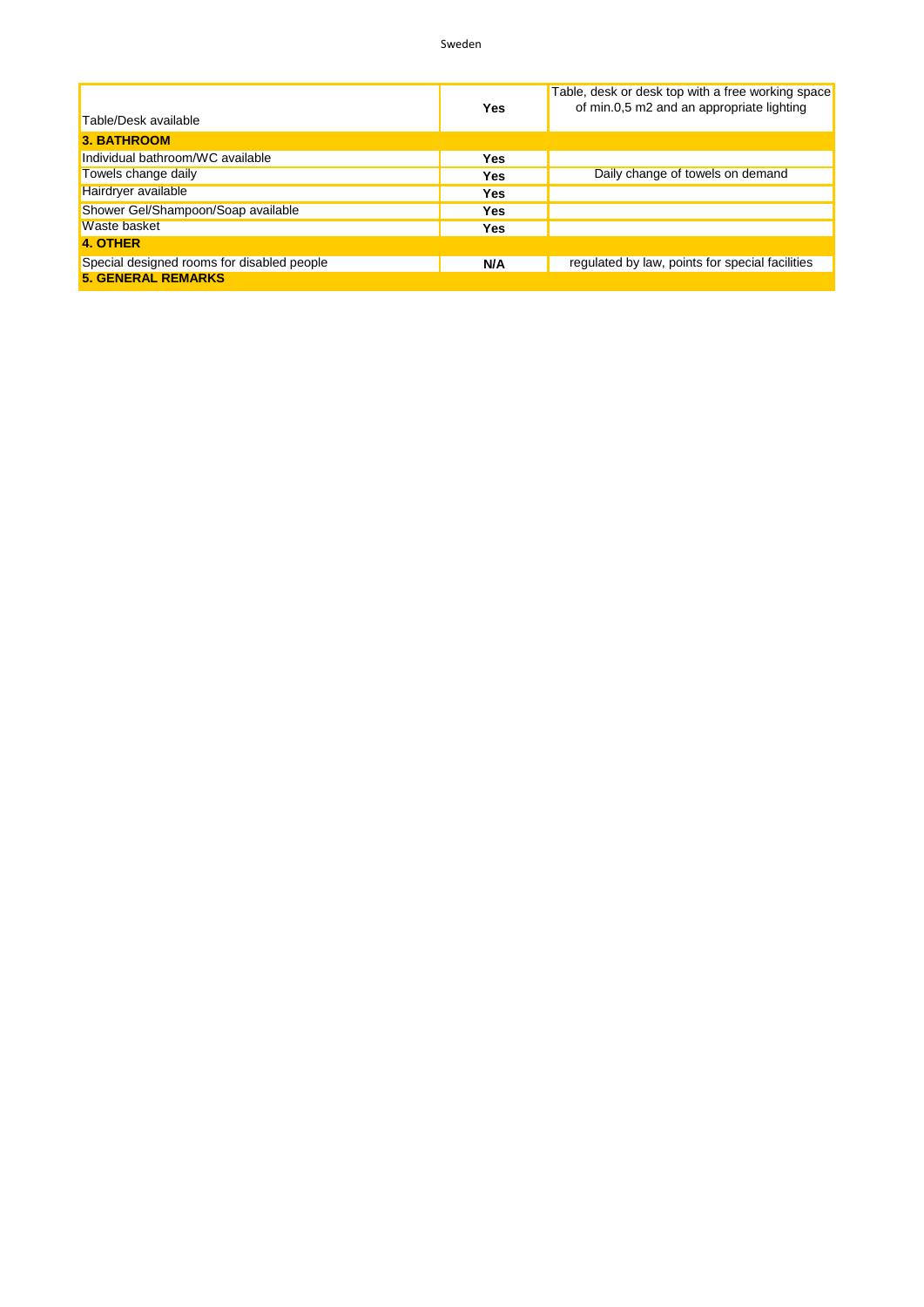|                                            | Yes | Table, desk or desk top with a free working space<br>of min.0,5 m2 and an appropriate lighting |
|--------------------------------------------|-----|------------------------------------------------------------------------------------------------|
| Table/Desk available                       |     |                                                                                                |
| <b>3. BATHROOM</b>                         |     |                                                                                                |
| Individual bathroom/WC available           | Yes |                                                                                                |
| Towels change daily                        | Yes | Daily change of towels on demand                                                               |
| Hairdryer available                        | Yes |                                                                                                |
| Shower Gel/Shampoon/Soap available         | Yes |                                                                                                |
| Waste basket                               | Yes |                                                                                                |
| <b>4. OTHER</b>                            |     |                                                                                                |
| Special designed rooms for disabled people | N/A | regulated by law, points for special facilities                                                |
| <b>5. GENERAL REMARKS</b>                  |     |                                                                                                |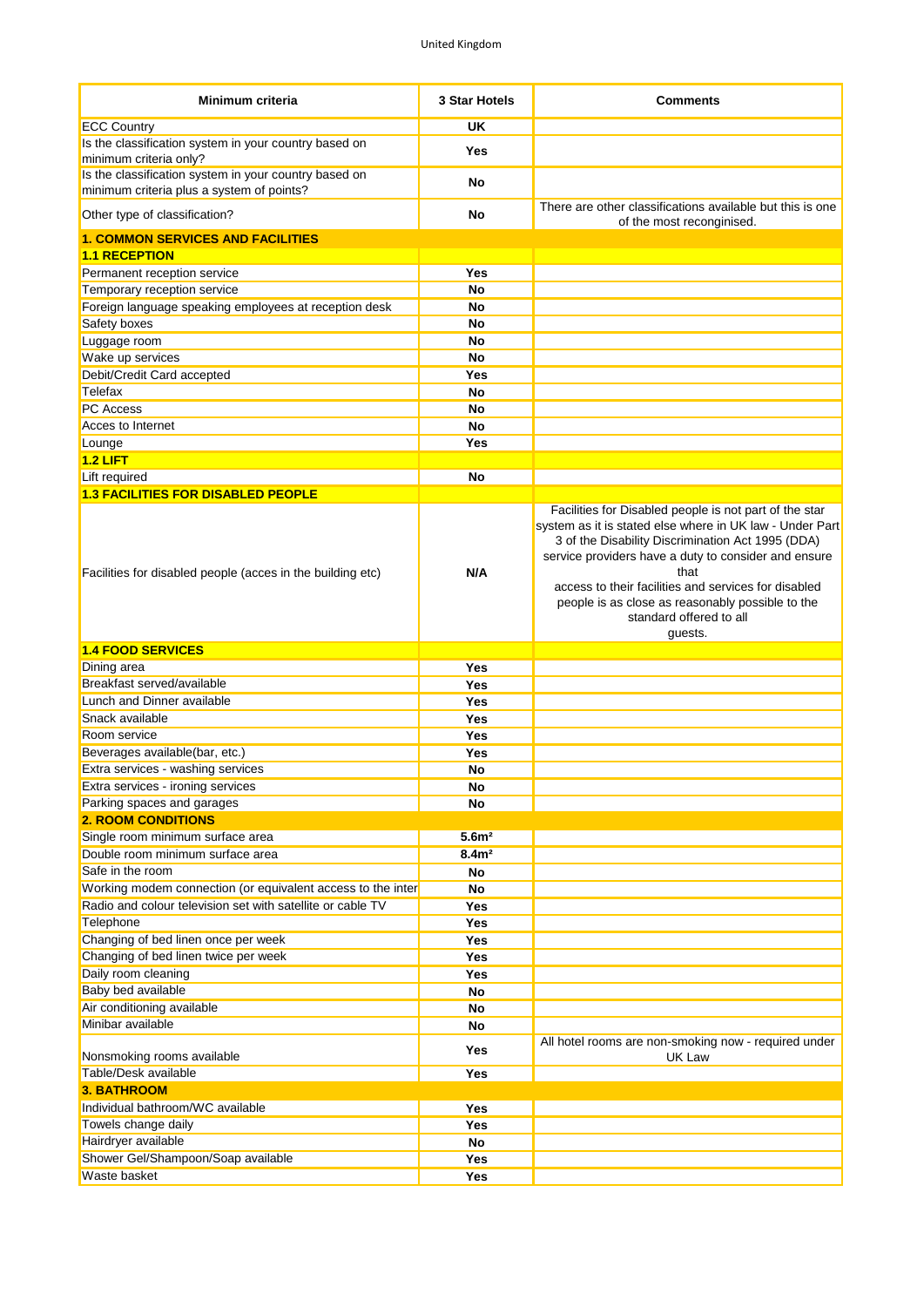| Minimum criteria                                                                                   | 3 Star Hotels     | <b>Comments</b>                                                                                                                                                                                                                                                                                                                                                                           |
|----------------------------------------------------------------------------------------------------|-------------------|-------------------------------------------------------------------------------------------------------------------------------------------------------------------------------------------------------------------------------------------------------------------------------------------------------------------------------------------------------------------------------------------|
| <b>ECC Country</b>                                                                                 | <b>UK</b>         |                                                                                                                                                                                                                                                                                                                                                                                           |
| Is the classification system in your country based on<br>minimum criteria only?                    | Yes               |                                                                                                                                                                                                                                                                                                                                                                                           |
| Is the classification system in your country based on<br>minimum criteria plus a system of points? | No                |                                                                                                                                                                                                                                                                                                                                                                                           |
| Other type of classification?                                                                      | No                | There are other classifications available but this is one<br>of the most reconginised.                                                                                                                                                                                                                                                                                                    |
| <b>1. COMMON SERVICES AND FACILITIES</b>                                                           |                   |                                                                                                                                                                                                                                                                                                                                                                                           |
| <b>1.1 RECEPTION</b>                                                                               |                   |                                                                                                                                                                                                                                                                                                                                                                                           |
| Permanent reception service                                                                        | Yes               |                                                                                                                                                                                                                                                                                                                                                                                           |
| Temporary reception service                                                                        | <b>No</b>         |                                                                                                                                                                                                                                                                                                                                                                                           |
| Foreign language speaking employees at reception desk                                              | <b>No</b>         |                                                                                                                                                                                                                                                                                                                                                                                           |
| Safety boxes                                                                                       | No                |                                                                                                                                                                                                                                                                                                                                                                                           |
| Luggage room                                                                                       | No                |                                                                                                                                                                                                                                                                                                                                                                                           |
| Wake up services                                                                                   | <b>No</b>         |                                                                                                                                                                                                                                                                                                                                                                                           |
| Debit/Credit Card accepted                                                                         | Yes               |                                                                                                                                                                                                                                                                                                                                                                                           |
| Telefax                                                                                            | <b>No</b>         |                                                                                                                                                                                                                                                                                                                                                                                           |
| <b>PC</b> Access                                                                                   | <b>No</b>         |                                                                                                                                                                                                                                                                                                                                                                                           |
| Acces to Internet                                                                                  | <b>No</b>         |                                                                                                                                                                                                                                                                                                                                                                                           |
| Lounge                                                                                             | Yes               |                                                                                                                                                                                                                                                                                                                                                                                           |
| $1.2$ LIFT                                                                                         |                   |                                                                                                                                                                                                                                                                                                                                                                                           |
| Lift required                                                                                      | <b>No</b>         |                                                                                                                                                                                                                                                                                                                                                                                           |
| <b>1.3 FACILITIES FOR DISABLED PEOPLE</b>                                                          |                   |                                                                                                                                                                                                                                                                                                                                                                                           |
| Facilities for disabled people (acces in the building etc)                                         | N/A               | Facilities for Disabled people is not part of the star<br>system as it is stated else where in UK law - Under Part<br>3 of the Disability Discrimination Act 1995 (DDA)<br>service providers have a duty to consider and ensure<br>that<br>access to their facilities and services for disabled<br>people is as close as reasonably possible to the<br>standard offered to all<br>guests. |
| <b>1.4 FOOD SERVICES</b>                                                                           |                   |                                                                                                                                                                                                                                                                                                                                                                                           |
| Dining area                                                                                        | Yes               |                                                                                                                                                                                                                                                                                                                                                                                           |
|                                                                                                    |                   |                                                                                                                                                                                                                                                                                                                                                                                           |
| Breakfast served/available                                                                         | <b>Yes</b>        |                                                                                                                                                                                                                                                                                                                                                                                           |
| Lunch and Dinner available                                                                         | Yes               |                                                                                                                                                                                                                                                                                                                                                                                           |
| Snack available                                                                                    | Yes               |                                                                                                                                                                                                                                                                                                                                                                                           |
| Room service                                                                                       | Yes               |                                                                                                                                                                                                                                                                                                                                                                                           |
| Beverages available(bar, etc.)                                                                     | Yes               |                                                                                                                                                                                                                                                                                                                                                                                           |
| Extra services - washing services                                                                  | No                |                                                                                                                                                                                                                                                                                                                                                                                           |
| Extra services - ironing services                                                                  | No                |                                                                                                                                                                                                                                                                                                                                                                                           |
| Parking spaces and garages                                                                         | No                |                                                                                                                                                                                                                                                                                                                                                                                           |
| <b>2. ROOM CONDITIONS</b>                                                                          |                   |                                                                                                                                                                                                                                                                                                                                                                                           |
| Single room minimum surface area                                                                   | 5.6 <sup>m2</sup> |                                                                                                                                                                                                                                                                                                                                                                                           |
| Double room minimum surface area                                                                   | 8.4 <sup>2</sup>  |                                                                                                                                                                                                                                                                                                                                                                                           |
| Safe in the room                                                                                   | <b>No</b>         |                                                                                                                                                                                                                                                                                                                                                                                           |
| Working modem connection (or equivalent access to the inter                                        | <b>No</b>         |                                                                                                                                                                                                                                                                                                                                                                                           |
| Radio and colour television set with satellite or cable TV                                         | Yes               |                                                                                                                                                                                                                                                                                                                                                                                           |
| Telephone                                                                                          | Yes               |                                                                                                                                                                                                                                                                                                                                                                                           |
| Changing of bed linen once per week                                                                | Yes               |                                                                                                                                                                                                                                                                                                                                                                                           |
| Changing of bed linen twice per week                                                               | Yes               |                                                                                                                                                                                                                                                                                                                                                                                           |
| Daily room cleaning                                                                                | Yes               |                                                                                                                                                                                                                                                                                                                                                                                           |
| Baby bed available                                                                                 | No                |                                                                                                                                                                                                                                                                                                                                                                                           |
| Air conditioning available                                                                         | No                |                                                                                                                                                                                                                                                                                                                                                                                           |
| Minibar available                                                                                  | No<br>Yes         | All hotel rooms are non-smoking now - required under                                                                                                                                                                                                                                                                                                                                      |
| Nonsmoking rooms available                                                                         |                   | UK Law                                                                                                                                                                                                                                                                                                                                                                                    |
| Table/Desk available                                                                               | Yes               |                                                                                                                                                                                                                                                                                                                                                                                           |
| <b>3. BATHROOM</b>                                                                                 |                   |                                                                                                                                                                                                                                                                                                                                                                                           |
| Individual bathroom/WC available                                                                   | Yes               |                                                                                                                                                                                                                                                                                                                                                                                           |
| Towels change daily                                                                                | Yes               |                                                                                                                                                                                                                                                                                                                                                                                           |
| Hairdryer available                                                                                | No                |                                                                                                                                                                                                                                                                                                                                                                                           |
| Shower Gel/Shampoon/Soap available<br>Waste basket                                                 | Yes<br>Yes        |                                                                                                                                                                                                                                                                                                                                                                                           |